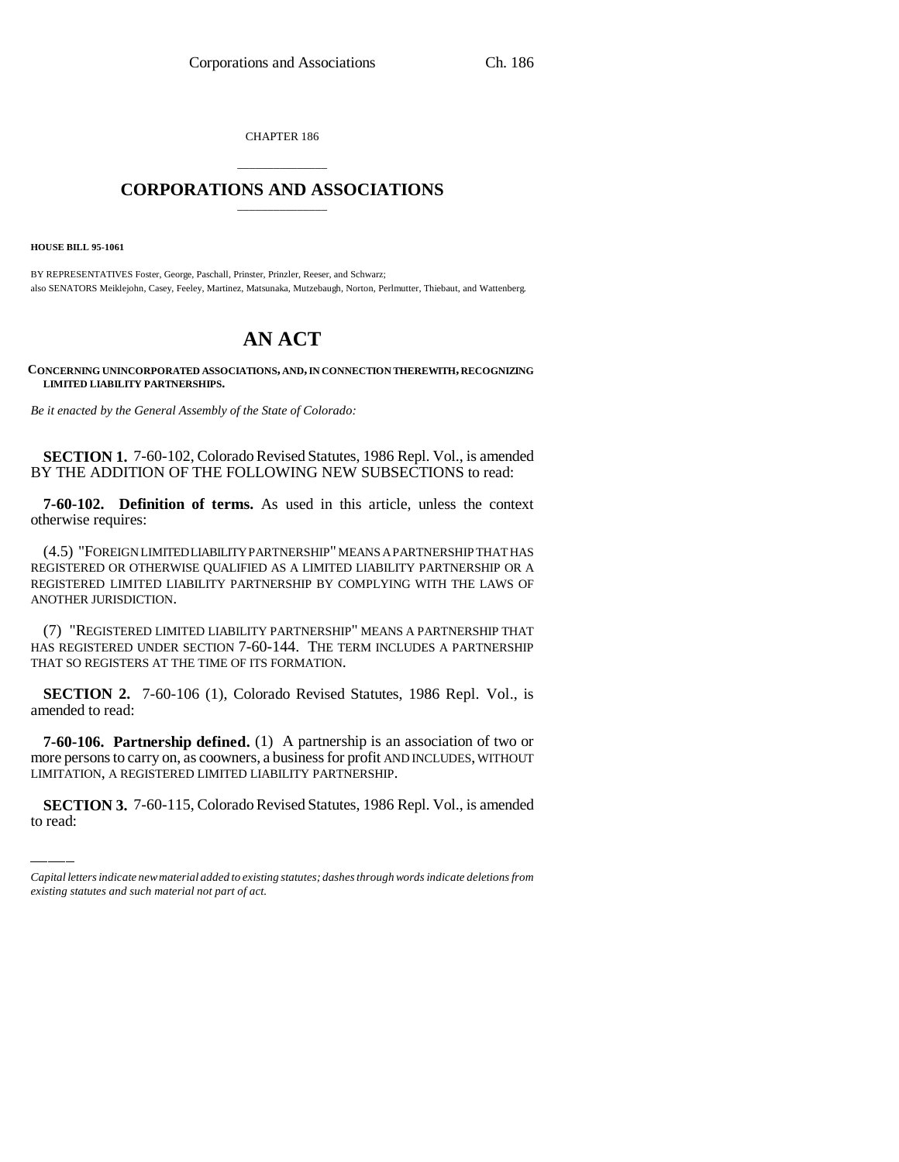CHAPTER 186

# \_\_\_\_\_\_\_\_\_\_\_\_\_\_\_ **CORPORATIONS AND ASSOCIATIONS** \_\_\_\_\_\_\_\_\_\_\_\_\_\_\_

**HOUSE BILL 95-1061**

BY REPRESENTATIVES Foster, George, Paschall, Prinster, Prinzler, Reeser, and Schwarz; also SENATORS Meiklejohn, Casey, Feeley, Martinez, Matsunaka, Mutzebaugh, Norton, Perlmutter, Thiebaut, and Wattenberg.

# **AN ACT**

**CONCERNING UNINCORPORATED ASSOCIATIONS, AND, IN CONNECTION THEREWITH, RECOGNIZING LIMITED LIABILITY PARTNERSHIPS.**

*Be it enacted by the General Assembly of the State of Colorado:*

**SECTION 1.** 7-60-102, Colorado Revised Statutes, 1986 Repl. Vol., is amended BY THE ADDITION OF THE FOLLOWING NEW SUBSECTIONS to read:

**7-60-102. Definition of terms.** As used in this article, unless the context otherwise requires:

(4.5) "FOREIGN LIMITED LIABILITY PARTNERSHIP" MEANS A PARTNERSHIP THAT HAS REGISTERED OR OTHERWISE QUALIFIED AS A LIMITED LIABILITY PARTNERSHIP OR A REGISTERED LIMITED LIABILITY PARTNERSHIP BY COMPLYING WITH THE LAWS OF ANOTHER JURISDICTION.

(7) "REGISTERED LIMITED LIABILITY PARTNERSHIP" MEANS A PARTNERSHIP THAT HAS REGISTERED UNDER SECTION 7-60-144. THE TERM INCLUDES A PARTNERSHIP THAT SO REGISTERS AT THE TIME OF ITS FORMATION.

**SECTION 2.** 7-60-106 (1), Colorado Revised Statutes, 1986 Repl. Vol., is amended to read:

**TOO-TOO. T** at the ship defined, (1) TV partnership is an association of two of more persons to carry on, as coowners, a business for profit AND INCLUDES, WITHOUT **7-60-106. Partnership defined.** (1) A partnership is an association of two or LIMITATION, A REGISTERED LIMITED LIABILITY PARTNERSHIP.

**SECTION 3.** 7-60-115, Colorado Revised Statutes, 1986 Repl. Vol., is amended to read:

*Capital letters indicate new material added to existing statutes; dashes through words indicate deletions from existing statutes and such material not part of act.*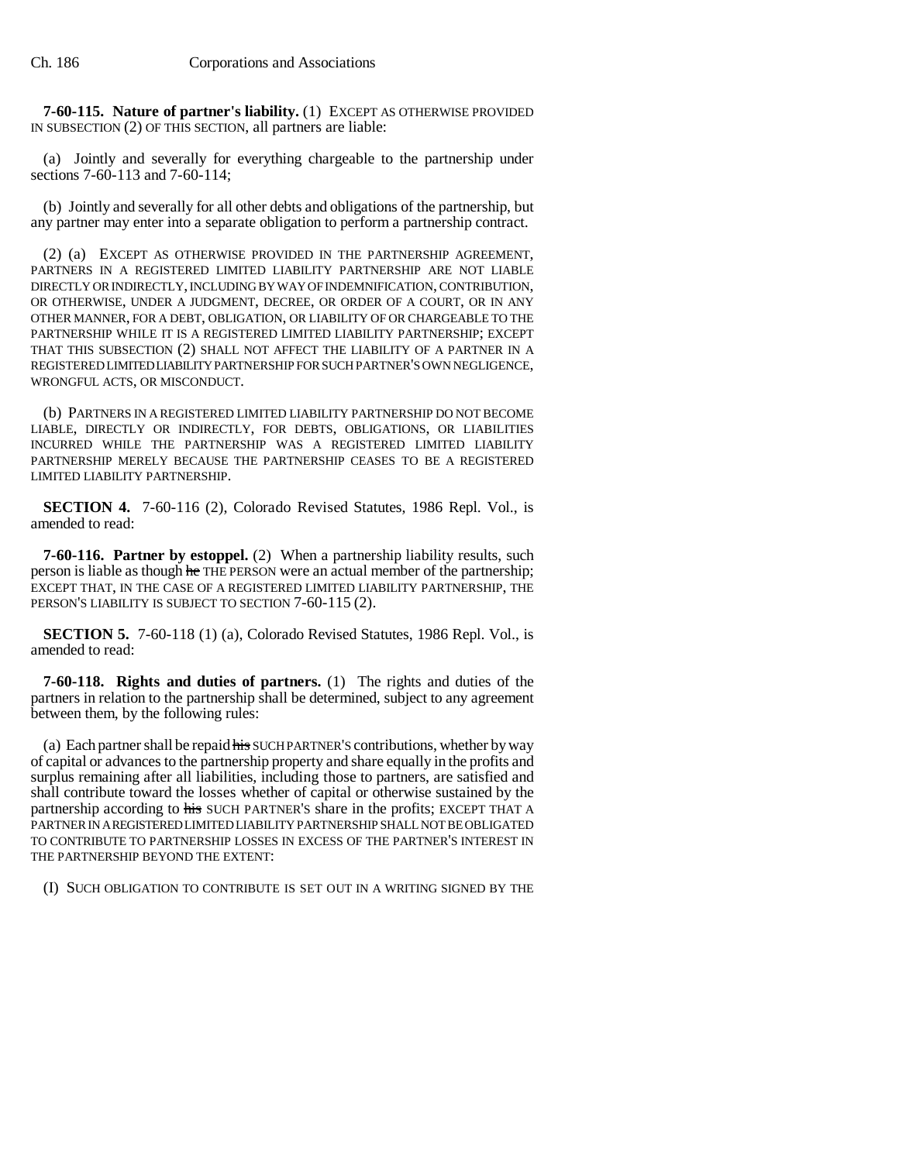**7-60-115. Nature of partner's liability.** (1) EXCEPT AS OTHERWISE PROVIDED IN SUBSECTION (2) OF THIS SECTION, all partners are liable:

(a) Jointly and severally for everything chargeable to the partnership under sections 7-60-113 and 7-60-114;

(b) Jointly and severally for all other debts and obligations of the partnership, but any partner may enter into a separate obligation to perform a partnership contract.

(2) (a) EXCEPT AS OTHERWISE PROVIDED IN THE PARTNERSHIP AGREEMENT, PARTNERS IN A REGISTERED LIMITED LIABILITY PARTNERSHIP ARE NOT LIABLE DIRECTLY OR INDIRECTLY, INCLUDING BY WAY OF INDEMNIFICATION, CONTRIBUTION, OR OTHERWISE, UNDER A JUDGMENT, DECREE, OR ORDER OF A COURT, OR IN ANY OTHER MANNER, FOR A DEBT, OBLIGATION, OR LIABILITY OF OR CHARGEABLE TO THE PARTNERSHIP WHILE IT IS A REGISTERED LIMITED LIABILITY PARTNERSHIP; EXCEPT THAT THIS SUBSECTION (2) SHALL NOT AFFECT THE LIABILITY OF A PARTNER IN A REGISTERED LIMITED LIABILITY PARTNERSHIP FOR SUCH PARTNER'S OWN NEGLIGENCE, WRONGFUL ACTS, OR MISCONDUCT.

(b) PARTNERS IN A REGISTERED LIMITED LIABILITY PARTNERSHIP DO NOT BECOME LIABLE, DIRECTLY OR INDIRECTLY, FOR DEBTS, OBLIGATIONS, OR LIABILITIES INCURRED WHILE THE PARTNERSHIP WAS A REGISTERED LIMITED LIABILITY PARTNERSHIP MERELY BECAUSE THE PARTNERSHIP CEASES TO BE A REGISTERED LIMITED LIABILITY PARTNERSHIP.

**SECTION 4.** 7-60-116 (2), Colorado Revised Statutes, 1986 Repl. Vol., is amended to read:

**7-60-116. Partner by estoppel.** (2) When a partnership liability results, such person is liable as though he THE PERSON were an actual member of the partnership; EXCEPT THAT, IN THE CASE OF A REGISTERED LIMITED LIABILITY PARTNERSHIP, THE PERSON'S LIABILITY IS SUBJECT TO SECTION 7-60-115 (2).

**SECTION 5.** 7-60-118 (1) (a), Colorado Revised Statutes, 1986 Repl. Vol., is amended to read:

**7-60-118. Rights and duties of partners.** (1) The rights and duties of the partners in relation to the partnership shall be determined, subject to any agreement between them, by the following rules:

(a) Each partner shall be repaid his SUCH PARTNER'S contributions, whether by way of capital or advances to the partnership property and share equally in the profits and surplus remaining after all liabilities, including those to partners, are satisfied and shall contribute toward the losses whether of capital or otherwise sustained by the partnership according to his SUCH PARTNER's share in the profits; EXCEPT THAT A PARTNER IN A REGISTERED LIMITED LIABILITY PARTNERSHIP SHALL NOT BE OBLIGATED TO CONTRIBUTE TO PARTNERSHIP LOSSES IN EXCESS OF THE PARTNER'S INTEREST IN THE PARTNERSHIP BEYOND THE EXTENT:

(I) SUCH OBLIGATION TO CONTRIBUTE IS SET OUT IN A WRITING SIGNED BY THE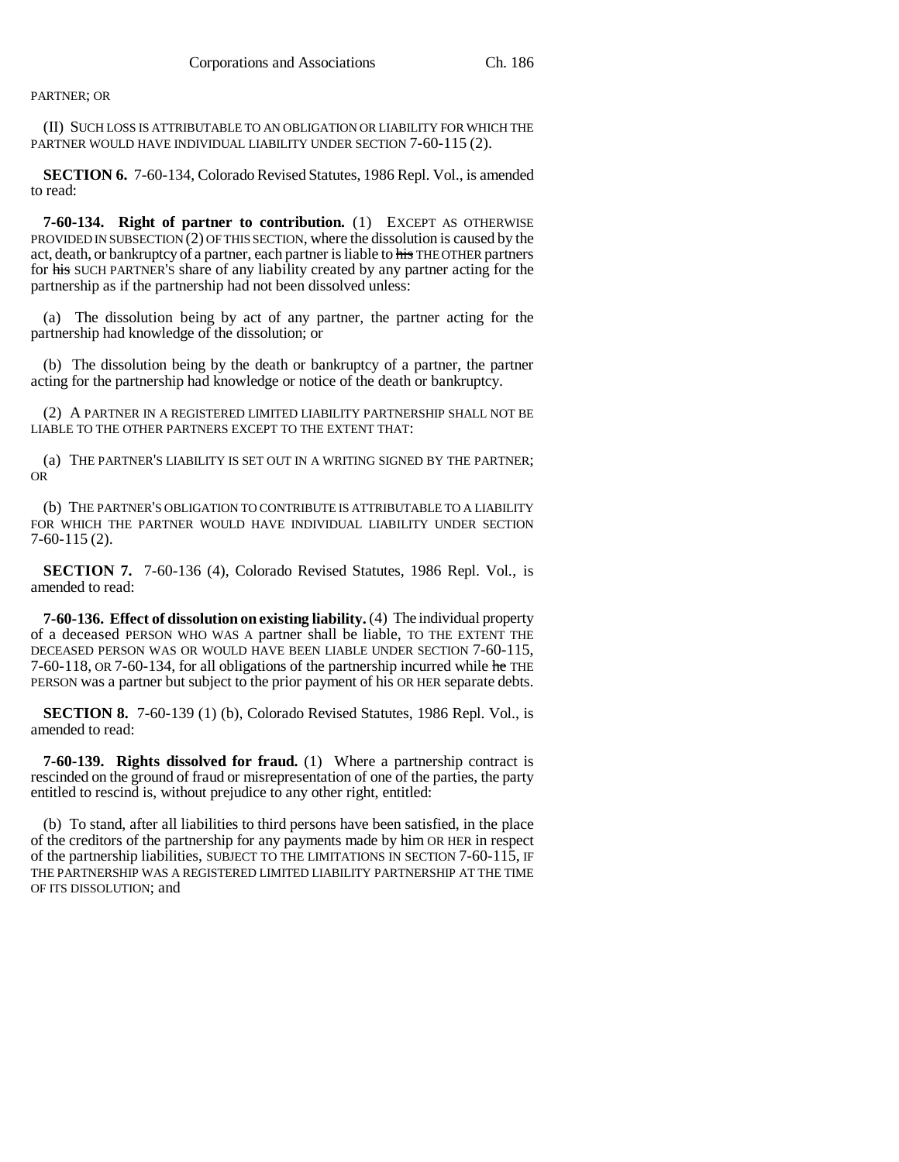PARTNER; OR

(II) SUCH LOSS IS ATTRIBUTABLE TO AN OBLIGATION OR LIABILITY FOR WHICH THE PARTNER WOULD HAVE INDIVIDUAL LIABILITY UNDER SECTION 7-60-115 (2).

**SECTION 6.** 7-60-134, Colorado Revised Statutes, 1986 Repl. Vol., is amended to read:

**7-60-134. Right of partner to contribution.** (1) EXCEPT AS OTHERWISE PROVIDED IN SUBSECTION (2) OF THIS SECTION, where the dissolution is caused by the act, death, or bankruptcy of a partner, each partner is liable to his THE OTHER partners for his SUCH PARTNER'S share of any liability created by any partner acting for the partnership as if the partnership had not been dissolved unless:

(a) The dissolution being by act of any partner, the partner acting for the partnership had knowledge of the dissolution; or

(b) The dissolution being by the death or bankruptcy of a partner, the partner acting for the partnership had knowledge or notice of the death or bankruptcy.

(2) A PARTNER IN A REGISTERED LIMITED LIABILITY PARTNERSHIP SHALL NOT BE LIABLE TO THE OTHER PARTNERS EXCEPT TO THE EXTENT THAT:

(a) THE PARTNER'S LIABILITY IS SET OUT IN A WRITING SIGNED BY THE PARTNER; OR

(b) THE PARTNER'S OBLIGATION TO CONTRIBUTE IS ATTRIBUTABLE TO A LIABILITY FOR WHICH THE PARTNER WOULD HAVE INDIVIDUAL LIABILITY UNDER SECTION 7-60-115 (2).

**SECTION 7.** 7-60-136 (4), Colorado Revised Statutes, 1986 Repl. Vol., is amended to read:

**7-60-136. Effect of dissolution on existing liability.** (4) The individual property of a deceased PERSON WHO WAS A partner shall be liable, TO THE EXTENT THE DECEASED PERSON WAS OR WOULD HAVE BEEN LIABLE UNDER SECTION 7-60-115, 7-60-118, OR 7-60-134, for all obligations of the partnership incurred while he THE PERSON was a partner but subject to the prior payment of his OR HER separate debts.

**SECTION 8.** 7-60-139 (1) (b), Colorado Revised Statutes, 1986 Repl. Vol., is amended to read:

**7-60-139. Rights dissolved for fraud.** (1) Where a partnership contract is rescinded on the ground of fraud or misrepresentation of one of the parties, the party entitled to rescind is, without prejudice to any other right, entitled:

(b) To stand, after all liabilities to third persons have been satisfied, in the place of the creditors of the partnership for any payments made by him OR HER in respect of the partnership liabilities, SUBJECT TO THE LIMITATIONS IN SECTION 7-60-115, IF THE PARTNERSHIP WAS A REGISTERED LIMITED LIABILITY PARTNERSHIP AT THE TIME OF ITS DISSOLUTION; and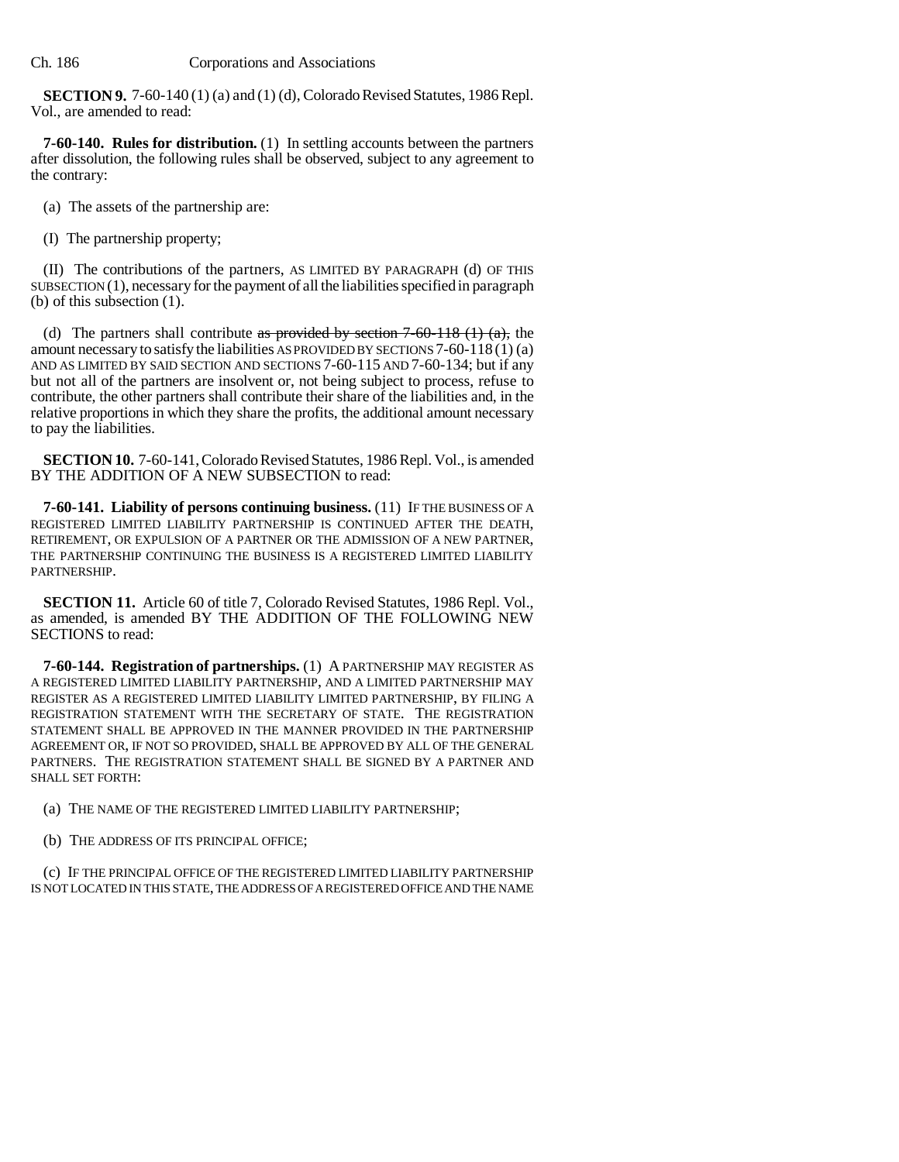**SECTION 9.** 7-60-140 (1) (a) and (1) (d), Colorado Revised Statutes, 1986 Repl. Vol., are amended to read:

**7-60-140. Rules for distribution.** (1) In settling accounts between the partners after dissolution, the following rules shall be observed, subject to any agreement to the contrary:

(a) The assets of the partnership are:

(I) The partnership property;

(II) The contributions of the partners, AS LIMITED BY PARAGRAPH (d) OF THIS SUBSECTION (1), necessary for the payment of all the liabilities specified in paragraph (b) of this subsection (1).

(d) The partners shall contribute as provided by section  $7-60-118$  (1) (a), the amount necessary to satisfy the liabilities AS PROVIDED BY SECTIONS 7-60-118 (1) (a) AND AS LIMITED BY SAID SECTION AND SECTIONS 7-60-115 AND 7-60-134; but if any but not all of the partners are insolvent or, not being subject to process, refuse to contribute, the other partners shall contribute their share of the liabilities and, in the relative proportions in which they share the profits, the additional amount necessary to pay the liabilities.

**SECTION 10.** 7-60-141, Colorado Revised Statutes, 1986 Repl. Vol., is amended BY THE ADDITION OF A NEW SUBSECTION to read:

**7-60-141. Liability of persons continuing business.** (11) IF THE BUSINESS OF A REGISTERED LIMITED LIABILITY PARTNERSHIP IS CONTINUED AFTER THE DEATH, RETIREMENT, OR EXPULSION OF A PARTNER OR THE ADMISSION OF A NEW PARTNER, THE PARTNERSHIP CONTINUING THE BUSINESS IS A REGISTERED LIMITED LIABILITY PARTNERSHIP.

**SECTION 11.** Article 60 of title 7, Colorado Revised Statutes, 1986 Repl. Vol., as amended, is amended BY THE ADDITION OF THE FOLLOWING NEW SECTIONS to read:

**7-60-144. Registration of partnerships.** (1) A PARTNERSHIP MAY REGISTER AS A REGISTERED LIMITED LIABILITY PARTNERSHIP, AND A LIMITED PARTNERSHIP MAY REGISTER AS A REGISTERED LIMITED LIABILITY LIMITED PARTNERSHIP, BY FILING A REGISTRATION STATEMENT WITH THE SECRETARY OF STATE. THE REGISTRATION STATEMENT SHALL BE APPROVED IN THE MANNER PROVIDED IN THE PARTNERSHIP AGREEMENT OR, IF NOT SO PROVIDED, SHALL BE APPROVED BY ALL OF THE GENERAL PARTNERS. THE REGISTRATION STATEMENT SHALL BE SIGNED BY A PARTNER AND SHALL SET FORTH:

(a) THE NAME OF THE REGISTERED LIMITED LIABILITY PARTNERSHIP;

(b) THE ADDRESS OF ITS PRINCIPAL OFFICE;

(c) IF THE PRINCIPAL OFFICE OF THE REGISTERED LIMITED LIABILITY PARTNERSHIP IS NOT LOCATED IN THIS STATE, THE ADDRESS OF A REGISTERED OFFICE AND THE NAME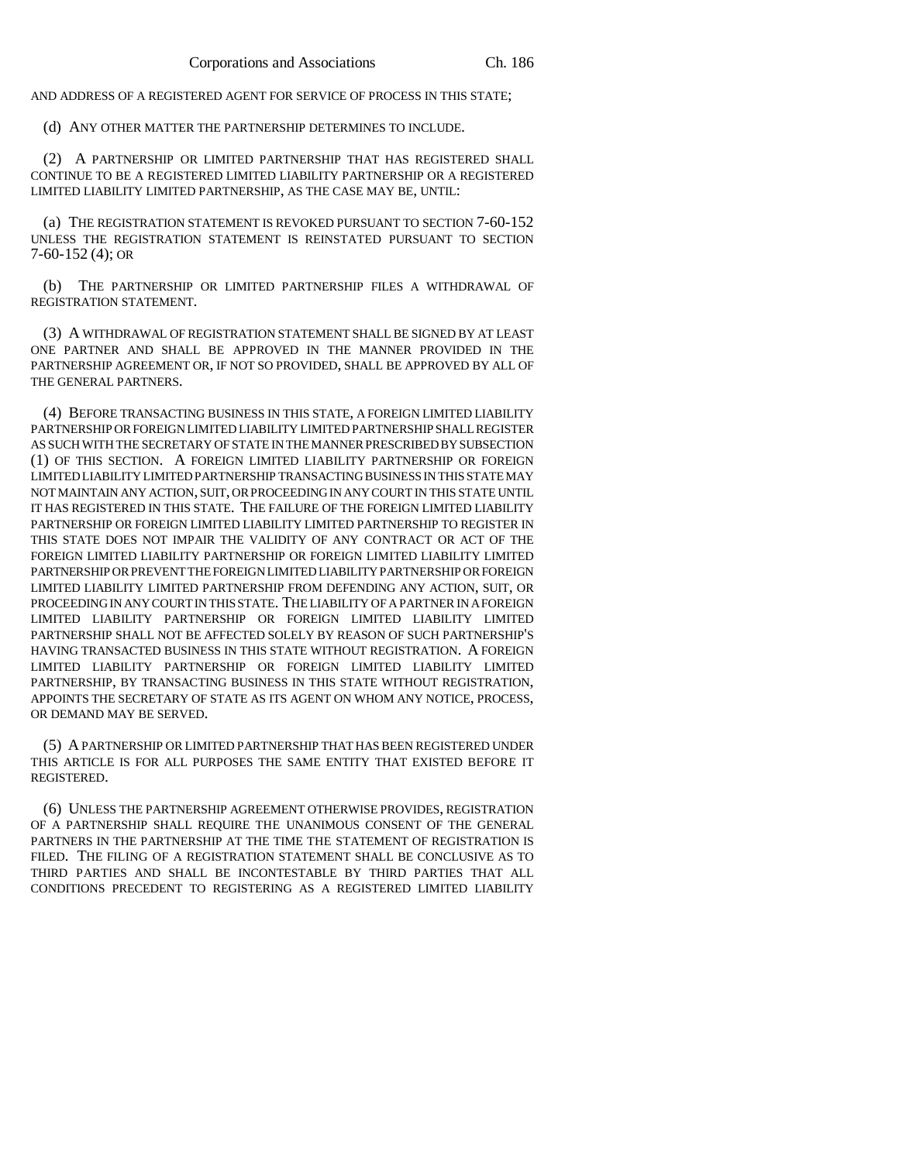AND ADDRESS OF A REGISTERED AGENT FOR SERVICE OF PROCESS IN THIS STATE;

(d) ANY OTHER MATTER THE PARTNERSHIP DETERMINES TO INCLUDE.

(2) A PARTNERSHIP OR LIMITED PARTNERSHIP THAT HAS REGISTERED SHALL CONTINUE TO BE A REGISTERED LIMITED LIABILITY PARTNERSHIP OR A REGISTERED LIMITED LIABILITY LIMITED PARTNERSHIP, AS THE CASE MAY BE, UNTIL:

(a) THE REGISTRATION STATEMENT IS REVOKED PURSUANT TO SECTION 7-60-152 UNLESS THE REGISTRATION STATEMENT IS REINSTATED PURSUANT TO SECTION 7-60-152 (4); OR

(b) THE PARTNERSHIP OR LIMITED PARTNERSHIP FILES A WITHDRAWAL OF REGISTRATION STATEMENT.

(3) A WITHDRAWAL OF REGISTRATION STATEMENT SHALL BE SIGNED BY AT LEAST ONE PARTNER AND SHALL BE APPROVED IN THE MANNER PROVIDED IN THE PARTNERSHIP AGREEMENT OR, IF NOT SO PROVIDED, SHALL BE APPROVED BY ALL OF THE GENERAL PARTNERS.

(4) BEFORE TRANSACTING BUSINESS IN THIS STATE, A FOREIGN LIMITED LIABILITY PARTNERSHIP OR FOREIGN LIMITED LIABILITY LIMITED PARTNERSHIP SHALL REGISTER AS SUCH WITH THE SECRETARY OF STATE IN THE MANNER PRESCRIBED BY SUBSECTION (1) OF THIS SECTION. A FOREIGN LIMITED LIABILITY PARTNERSHIP OR FOREIGN LIMITED LIABILITY LIMITED PARTNERSHIP TRANSACTING BUSINESS IN THIS STATE MAY NOT MAINTAIN ANY ACTION, SUIT, OR PROCEEDING IN ANY COURT IN THIS STATE UNTIL IT HAS REGISTERED IN THIS STATE. THE FAILURE OF THE FOREIGN LIMITED LIABILITY PARTNERSHIP OR FOREIGN LIMITED LIABILITY LIMITED PARTNERSHIP TO REGISTER IN THIS STATE DOES NOT IMPAIR THE VALIDITY OF ANY CONTRACT OR ACT OF THE FOREIGN LIMITED LIABILITY PARTNERSHIP OR FOREIGN LIMITED LIABILITY LIMITED PARTNERSHIP OR PREVENT THE FOREIGN LIMITED LIABILITY PARTNERSHIP OR FOREIGN LIMITED LIABILITY LIMITED PARTNERSHIP FROM DEFENDING ANY ACTION, SUIT, OR PROCEEDING IN ANY COURT IN THIS STATE. THE LIABILITY OF A PARTNER IN A FOREIGN LIMITED LIABILITY PARTNERSHIP OR FOREIGN LIMITED LIABILITY LIMITED PARTNERSHIP SHALL NOT BE AFFECTED SOLELY BY REASON OF SUCH PARTNERSHIP'S HAVING TRANSACTED BUSINESS IN THIS STATE WITHOUT REGISTRATION. A FOREIGN LIMITED LIABILITY PARTNERSHIP OR FOREIGN LIMITED LIABILITY LIMITED PARTNERSHIP, BY TRANSACTING BUSINESS IN THIS STATE WITHOUT REGISTRATION, APPOINTS THE SECRETARY OF STATE AS ITS AGENT ON WHOM ANY NOTICE, PROCESS, OR DEMAND MAY BE SERVED.

(5) A PARTNERSHIP OR LIMITED PARTNERSHIP THAT HAS BEEN REGISTERED UNDER THIS ARTICLE IS FOR ALL PURPOSES THE SAME ENTITY THAT EXISTED BEFORE IT REGISTERED.

(6) UNLESS THE PARTNERSHIP AGREEMENT OTHERWISE PROVIDES, REGISTRATION OF A PARTNERSHIP SHALL REQUIRE THE UNANIMOUS CONSENT OF THE GENERAL PARTNERS IN THE PARTNERSHIP AT THE TIME THE STATEMENT OF REGISTRATION IS FILED. THE FILING OF A REGISTRATION STATEMENT SHALL BE CONCLUSIVE AS TO THIRD PARTIES AND SHALL BE INCONTESTABLE BY THIRD PARTIES THAT ALL CONDITIONS PRECEDENT TO REGISTERING AS A REGISTERED LIMITED LIABILITY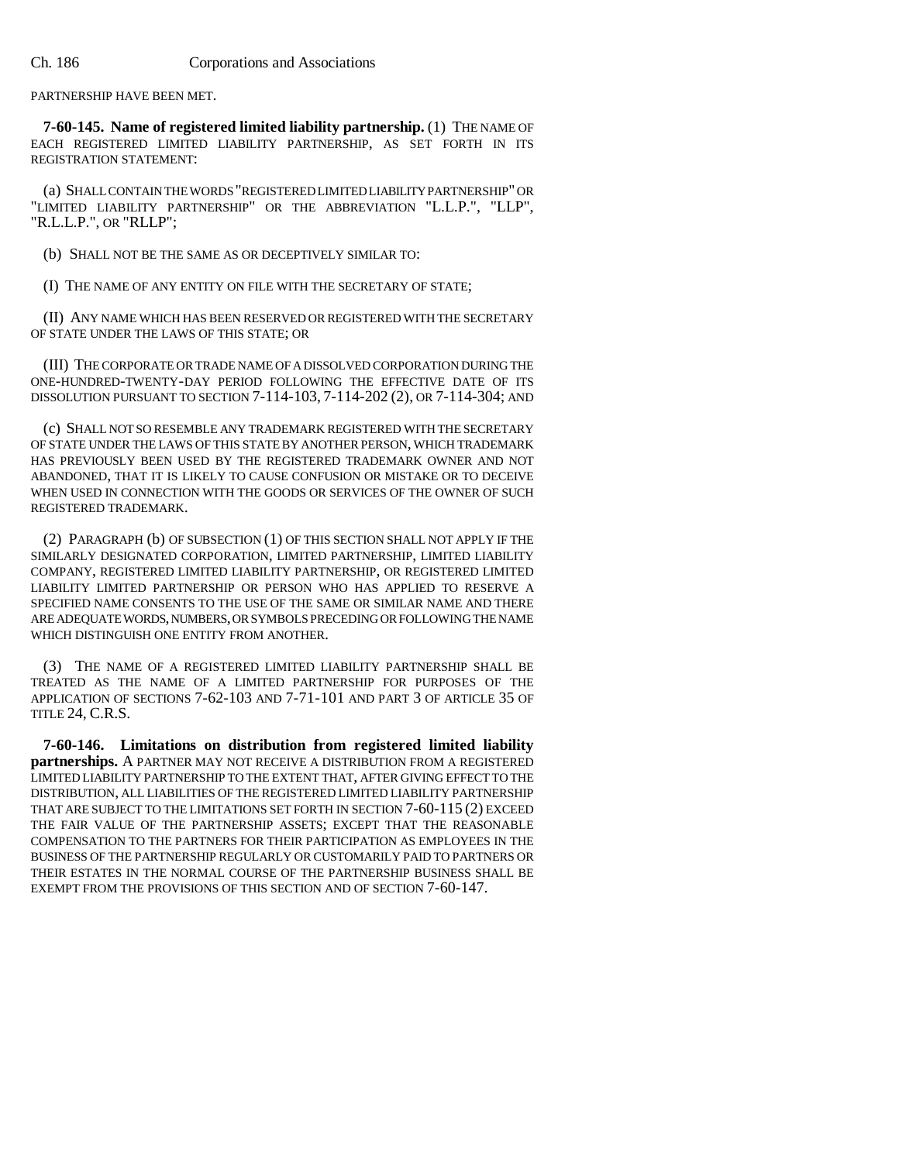PARTNERSHIP HAVE BEEN MET.

**7-60-145. Name of registered limited liability partnership.** (1) THE NAME OF EACH REGISTERED LIMITED LIABILITY PARTNERSHIP, AS SET FORTH IN ITS REGISTRATION STATEMENT:

(a) SHALL CONTAIN THE WORDS "REGISTERED LIMITED LIABILITY PARTNERSHIP" OR "LIMITED LIABILITY PARTNERSHIP" OR THE ABBREVIATION "L.L.P.", "LLP", "R.L.L.P.", OR "RLLP";

(b) SHALL NOT BE THE SAME AS OR DECEPTIVELY SIMILAR TO:

(I) THE NAME OF ANY ENTITY ON FILE WITH THE SECRETARY OF STATE;

(II) ANY NAME WHICH HAS BEEN RESERVED OR REGISTERED WITH THE SECRETARY OF STATE UNDER THE LAWS OF THIS STATE; OR

(III) THE CORPORATE OR TRADE NAME OF A DISSOLVED CORPORATION DURING THE ONE-HUNDRED-TWENTY-DAY PERIOD FOLLOWING THE EFFECTIVE DATE OF ITS DISSOLUTION PURSUANT TO SECTION 7-114-103, 7-114-202 (2), OR 7-114-304; AND

(c) SHALL NOT SO RESEMBLE ANY TRADEMARK REGISTERED WITH THE SECRETARY OF STATE UNDER THE LAWS OF THIS STATE BY ANOTHER PERSON, WHICH TRADEMARK HAS PREVIOUSLY BEEN USED BY THE REGISTERED TRADEMARK OWNER AND NOT ABANDONED, THAT IT IS LIKELY TO CAUSE CONFUSION OR MISTAKE OR TO DECEIVE WHEN USED IN CONNECTION WITH THE GOODS OR SERVICES OF THE OWNER OF SUCH REGISTERED TRADEMARK.

(2) PARAGRAPH (b) OF SUBSECTION (1) OF THIS SECTION SHALL NOT APPLY IF THE SIMILARLY DESIGNATED CORPORATION, LIMITED PARTNERSHIP, LIMITED LIABILITY COMPANY, REGISTERED LIMITED LIABILITY PARTNERSHIP, OR REGISTERED LIMITED LIABILITY LIMITED PARTNERSHIP OR PERSON WHO HAS APPLIED TO RESERVE A SPECIFIED NAME CONSENTS TO THE USE OF THE SAME OR SIMILAR NAME AND THERE ARE ADEQUATE WORDS, NUMBERS, OR SYMBOLS PRECEDING OR FOLLOWING THE NAME WHICH DISTINGUISH ONE ENTITY FROM ANOTHER.

(3) THE NAME OF A REGISTERED LIMITED LIABILITY PARTNERSHIP SHALL BE TREATED AS THE NAME OF A LIMITED PARTNERSHIP FOR PURPOSES OF THE APPLICATION OF SECTIONS 7-62-103 AND 7-71-101 AND PART 3 OF ARTICLE 35 OF TITLE 24, C.R.S.

**7-60-146. Limitations on distribution from registered limited liability partnerships.** A PARTNER MAY NOT RECEIVE A DISTRIBUTION FROM A REGISTERED LIMITED LIABILITY PARTNERSHIP TO THE EXTENT THAT, AFTER GIVING EFFECT TO THE DISTRIBUTION, ALL LIABILITIES OF THE REGISTERED LIMITED LIABILITY PARTNERSHIP THAT ARE SUBJECT TO THE LIMITATIONS SET FORTH IN SECTION 7-60-115 (2) EXCEED THE FAIR VALUE OF THE PARTNERSHIP ASSETS; EXCEPT THAT THE REASONABLE COMPENSATION TO THE PARTNERS FOR THEIR PARTICIPATION AS EMPLOYEES IN THE BUSINESS OF THE PARTNERSHIP REGULARLY OR CUSTOMARILY PAID TO PARTNERS OR THEIR ESTATES IN THE NORMAL COURSE OF THE PARTNERSHIP BUSINESS SHALL BE EXEMPT FROM THE PROVISIONS OF THIS SECTION AND OF SECTION 7-60-147.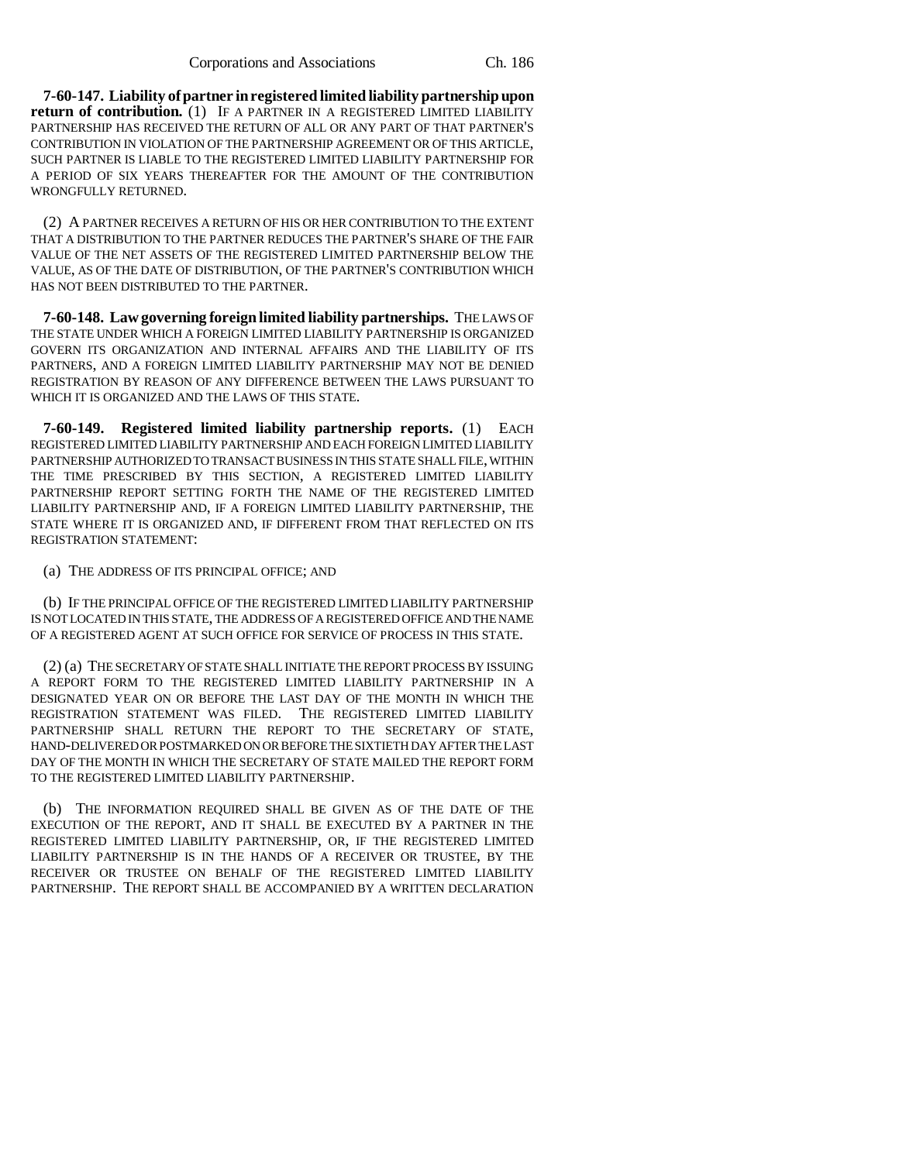**7-60-147. Liability of partner in registered limited liability partnership upon return of contribution.** (1) IF A PARTNER IN A REGISTERED LIMITED LIABILITY PARTNERSHIP HAS RECEIVED THE RETURN OF ALL OR ANY PART OF THAT PARTNER'S CONTRIBUTION IN VIOLATION OF THE PARTNERSHIP AGREEMENT OR OF THIS ARTICLE, SUCH PARTNER IS LIABLE TO THE REGISTERED LIMITED LIABILITY PARTNERSHIP FOR A PERIOD OF SIX YEARS THEREAFTER FOR THE AMOUNT OF THE CONTRIBUTION WRONGFULLY RETURNED.

(2) A PARTNER RECEIVES A RETURN OF HIS OR HER CONTRIBUTION TO THE EXTENT THAT A DISTRIBUTION TO THE PARTNER REDUCES THE PARTNER'S SHARE OF THE FAIR VALUE OF THE NET ASSETS OF THE REGISTERED LIMITED PARTNERSHIP BELOW THE VALUE, AS OF THE DATE OF DISTRIBUTION, OF THE PARTNER'S CONTRIBUTION WHICH HAS NOT BEEN DISTRIBUTED TO THE PARTNER.

**7-60-148. Law governing foreign limited liability partnerships.** THE LAWS OF THE STATE UNDER WHICH A FOREIGN LIMITED LIABILITY PARTNERSHIP IS ORGANIZED GOVERN ITS ORGANIZATION AND INTERNAL AFFAIRS AND THE LIABILITY OF ITS PARTNERS, AND A FOREIGN LIMITED LIABILITY PARTNERSHIP MAY NOT BE DENIED REGISTRATION BY REASON OF ANY DIFFERENCE BETWEEN THE LAWS PURSUANT TO WHICH IT IS ORGANIZED AND THE LAWS OF THIS STATE.

**7-60-149. Registered limited liability partnership reports.** (1) EACH REGISTERED LIMITED LIABILITY PARTNERSHIP AND EACH FOREIGN LIMITED LIABILITY PARTNERSHIP AUTHORIZED TO TRANSACT BUSINESS IN THIS STATE SHALL FILE, WITHIN THE TIME PRESCRIBED BY THIS SECTION, A REGISTERED LIMITED LIABILITY PARTNERSHIP REPORT SETTING FORTH THE NAME OF THE REGISTERED LIMITED LIABILITY PARTNERSHIP AND, IF A FOREIGN LIMITED LIABILITY PARTNERSHIP, THE STATE WHERE IT IS ORGANIZED AND, IF DIFFERENT FROM THAT REFLECTED ON ITS REGISTRATION STATEMENT:

(a) THE ADDRESS OF ITS PRINCIPAL OFFICE; AND

(b) IF THE PRINCIPAL OFFICE OF THE REGISTERED LIMITED LIABILITY PARTNERSHIP IS NOT LOCATED IN THIS STATE, THE ADDRESS OF A REGISTERED OFFICE AND THE NAME OF A REGISTERED AGENT AT SUCH OFFICE FOR SERVICE OF PROCESS IN THIS STATE.

(2) (a) THE SECRETARY OF STATE SHALL INITIATE THE REPORT PROCESS BY ISSUING A REPORT FORM TO THE REGISTERED LIMITED LIABILITY PARTNERSHIP IN A DESIGNATED YEAR ON OR BEFORE THE LAST DAY OF THE MONTH IN WHICH THE REGISTRATION STATEMENT WAS FILED. THE REGISTERED LIMITED LIABILITY PARTNERSHIP SHALL RETURN THE REPORT TO THE SECRETARY OF STATE, HAND-DELIVERED OR POSTMARKED ON OR BEFORE THE SIXTIETH DAY AFTER THE LAST DAY OF THE MONTH IN WHICH THE SECRETARY OF STATE MAILED THE REPORT FORM TO THE REGISTERED LIMITED LIABILITY PARTNERSHIP.

(b) THE INFORMATION REQUIRED SHALL BE GIVEN AS OF THE DATE OF THE EXECUTION OF THE REPORT, AND IT SHALL BE EXECUTED BY A PARTNER IN THE REGISTERED LIMITED LIABILITY PARTNERSHIP, OR, IF THE REGISTERED LIMITED LIABILITY PARTNERSHIP IS IN THE HANDS OF A RECEIVER OR TRUSTEE, BY THE RECEIVER OR TRUSTEE ON BEHALF OF THE REGISTERED LIMITED LIABILITY PARTNERSHIP. THE REPORT SHALL BE ACCOMPANIED BY A WRITTEN DECLARATION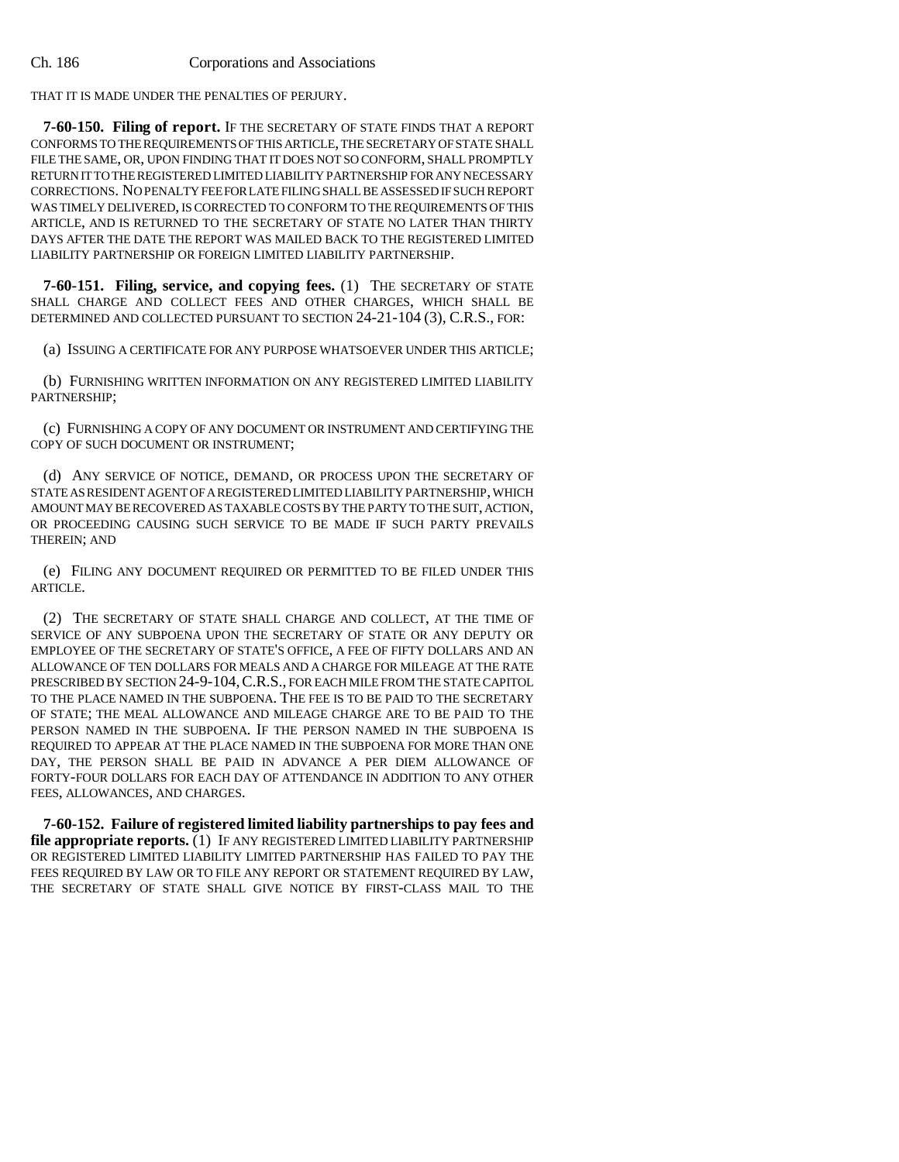THAT IT IS MADE UNDER THE PENALTIES OF PERJURY.

**7-60-150. Filing of report.** IF THE SECRETARY OF STATE FINDS THAT A REPORT CONFORMS TO THE REQUIREMENTS OF THIS ARTICLE, THE SECRETARY OF STATE SHALL FILE THE SAME, OR, UPON FINDING THAT IT DOES NOT SO CONFORM, SHALL PROMPTLY RETURN IT TO THE REGISTERED LIMITED LIABILITY PARTNERSHIP FOR ANY NECESSARY CORRECTIONS. NO PENALTY FEE FOR LATE FILING SHALL BE ASSESSED IF SUCH REPORT WAS TIMELY DELIVERED, IS CORRECTED TO CONFORM TO THE REQUIREMENTS OF THIS ARTICLE, AND IS RETURNED TO THE SECRETARY OF STATE NO LATER THAN THIRTY DAYS AFTER THE DATE THE REPORT WAS MAILED BACK TO THE REGISTERED LIMITED LIABILITY PARTNERSHIP OR FOREIGN LIMITED LIABILITY PARTNERSHIP.

**7-60-151. Filing, service, and copying fees.** (1) THE SECRETARY OF STATE SHALL CHARGE AND COLLECT FEES AND OTHER CHARGES, WHICH SHALL BE DETERMINED AND COLLECTED PURSUANT TO SECTION 24-21-104 (3), C.R.S., FOR:

(a) ISSUING A CERTIFICATE FOR ANY PURPOSE WHATSOEVER UNDER THIS ARTICLE;

(b) FURNISHING WRITTEN INFORMATION ON ANY REGISTERED LIMITED LIABILITY PARTNERSHIP;

(c) FURNISHING A COPY OF ANY DOCUMENT OR INSTRUMENT AND CERTIFYING THE COPY OF SUCH DOCUMENT OR INSTRUMENT;

(d) ANY SERVICE OF NOTICE, DEMAND, OR PROCESS UPON THE SECRETARY OF STATE AS RESIDENT AGENT OF A REGISTERED LIMITED LIABILITY PARTNERSHIP, WHICH AMOUNT MAY BE RECOVERED AS TAXABLE COSTS BY THE PARTY TO THE SUIT, ACTION, OR PROCEEDING CAUSING SUCH SERVICE TO BE MADE IF SUCH PARTY PREVAILS THEREIN; AND

(e) FILING ANY DOCUMENT REQUIRED OR PERMITTED TO BE FILED UNDER THIS ARTICLE.

(2) THE SECRETARY OF STATE SHALL CHARGE AND COLLECT, AT THE TIME OF SERVICE OF ANY SUBPOENA UPON THE SECRETARY OF STATE OR ANY DEPUTY OR EMPLOYEE OF THE SECRETARY OF STATE'S OFFICE, A FEE OF FIFTY DOLLARS AND AN ALLOWANCE OF TEN DOLLARS FOR MEALS AND A CHARGE FOR MILEAGE AT THE RATE PRESCRIBED BY SECTION 24-9-104,C.R.S., FOR EACH MILE FROM THE STATE CAPITOL TO THE PLACE NAMED IN THE SUBPOENA. THE FEE IS TO BE PAID TO THE SECRETARY OF STATE; THE MEAL ALLOWANCE AND MILEAGE CHARGE ARE TO BE PAID TO THE PERSON NAMED IN THE SUBPOENA. IF THE PERSON NAMED IN THE SUBPOENA IS REQUIRED TO APPEAR AT THE PLACE NAMED IN THE SUBPOENA FOR MORE THAN ONE DAY, THE PERSON SHALL BE PAID IN ADVANCE A PER DIEM ALLOWANCE OF FORTY-FOUR DOLLARS FOR EACH DAY OF ATTENDANCE IN ADDITION TO ANY OTHER FEES, ALLOWANCES, AND CHARGES.

**7-60-152. Failure of registered limited liability partnerships to pay fees and file appropriate reports.** (1) IF ANY REGISTERED LIMITED LIABILITY PARTNERSHIP OR REGISTERED LIMITED LIABILITY LIMITED PARTNERSHIP HAS FAILED TO PAY THE FEES REQUIRED BY LAW OR TO FILE ANY REPORT OR STATEMENT REQUIRED BY LAW, THE SECRETARY OF STATE SHALL GIVE NOTICE BY FIRST-CLASS MAIL TO THE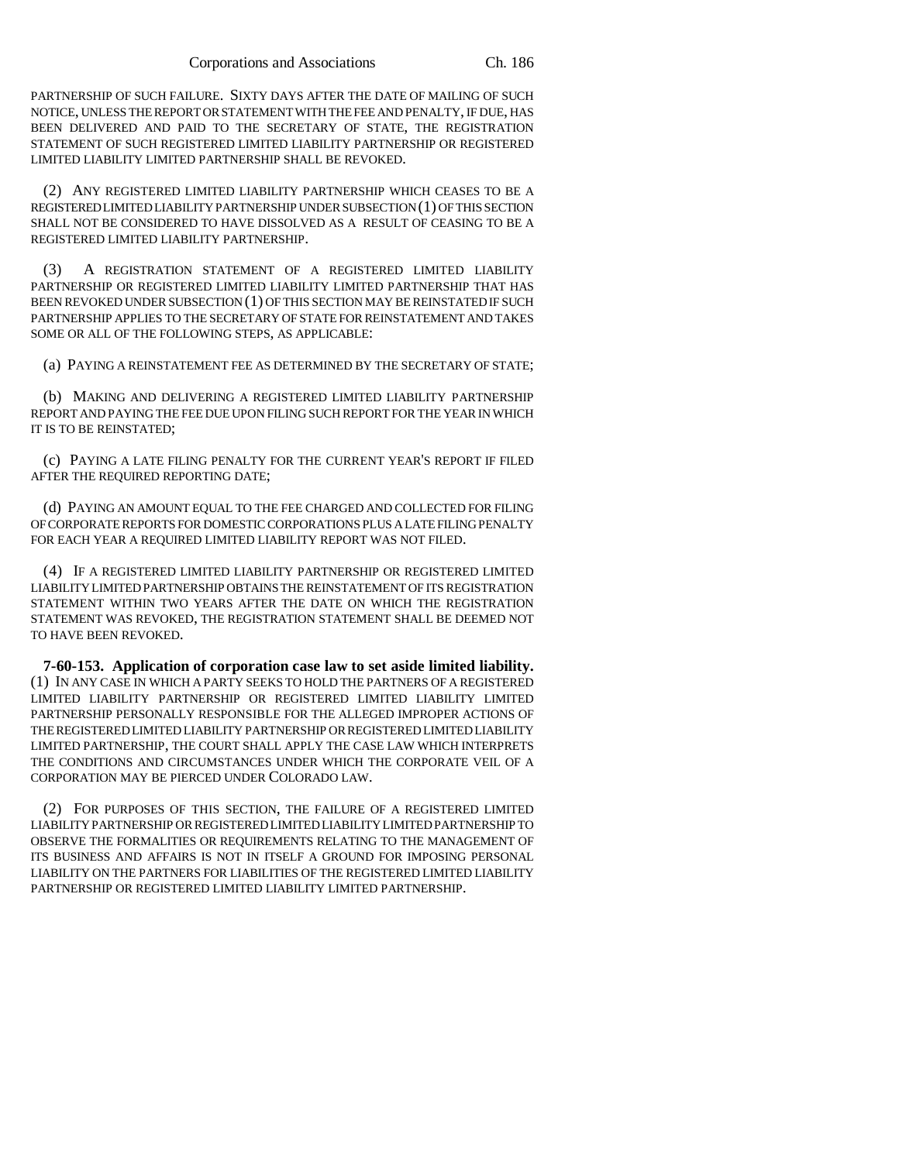PARTNERSHIP OF SUCH FAILURE. SIXTY DAYS AFTER THE DATE OF MAILING OF SUCH NOTICE, UNLESS THE REPORT OR STATEMENT WITH THE FEE AND PENALTY, IF DUE, HAS BEEN DELIVERED AND PAID TO THE SECRETARY OF STATE, THE REGISTRATION STATEMENT OF SUCH REGISTERED LIMITED LIABILITY PARTNERSHIP OR REGISTERED LIMITED LIABILITY LIMITED PARTNERSHIP SHALL BE REVOKED.

(2) ANY REGISTERED LIMITED LIABILITY PARTNERSHIP WHICH CEASES TO BE A REGISTERED LIMITED LIABILITY PARTNERSHIP UNDER SUBSECTION (1) OF THIS SECTION SHALL NOT BE CONSIDERED TO HAVE DISSOLVED AS A RESULT OF CEASING TO BE A REGISTERED LIMITED LIABILITY PARTNERSHIP.

(3) A REGISTRATION STATEMENT OF A REGISTERED LIMITED LIABILITY PARTNERSHIP OR REGISTERED LIMITED LIABILITY LIMITED PARTNERSHIP THAT HAS BEEN REVOKED UNDER SUBSECTION (1) OF THIS SECTION MAY BE REINSTATED IF SUCH PARTNERSHIP APPLIES TO THE SECRETARY OF STATE FOR REINSTATEMENT AND TAKES SOME OR ALL OF THE FOLLOWING STEPS, AS APPLICABLE:

(a) PAYING A REINSTATEMENT FEE AS DETERMINED BY THE SECRETARY OF STATE;

(b) MAKING AND DELIVERING A REGISTERED LIMITED LIABILITY PARTNERSHIP REPORT AND PAYING THE FEE DUE UPON FILING SUCH REPORT FOR THE YEAR IN WHICH IT IS TO BE REINSTATED;

(c) PAYING A LATE FILING PENALTY FOR THE CURRENT YEAR'S REPORT IF FILED AFTER THE REQUIRED REPORTING DATE;

(d) PAYING AN AMOUNT EQUAL TO THE FEE CHARGED AND COLLECTED FOR FILING OF CORPORATE REPORTS FOR DOMESTIC CORPORATIONS PLUS A LATE FILING PENALTY FOR EACH YEAR A REQUIRED LIMITED LIABILITY REPORT WAS NOT FILED.

(4) IF A REGISTERED LIMITED LIABILITY PARTNERSHIP OR REGISTERED LIMITED LIABILITY LIMITED PARTNERSHIP OBTAINS THE REINSTATEMENT OF ITS REGISTRATION STATEMENT WITHIN TWO YEARS AFTER THE DATE ON WHICH THE REGISTRATION STATEMENT WAS REVOKED, THE REGISTRATION STATEMENT SHALL BE DEEMED NOT TO HAVE BEEN REVOKED.

**7-60-153. Application of corporation case law to set aside limited liability.** (1) IN ANY CASE IN WHICH A PARTY SEEKS TO HOLD THE PARTNERS OF A REGISTERED LIMITED LIABILITY PARTNERSHIP OR REGISTERED LIMITED LIABILITY LIMITED PARTNERSHIP PERSONALLY RESPONSIBLE FOR THE ALLEGED IMPROPER ACTIONS OF THE REGISTERED LIMITED LIABILITY PARTNERSHIP OR REGISTERED LIMITED LIABILITY LIMITED PARTNERSHIP, THE COURT SHALL APPLY THE CASE LAW WHICH INTERPRETS THE CONDITIONS AND CIRCUMSTANCES UNDER WHICH THE CORPORATE VEIL OF A CORPORATION MAY BE PIERCED UNDER COLORADO LAW.

(2) FOR PURPOSES OF THIS SECTION, THE FAILURE OF A REGISTERED LIMITED LIABILITY PARTNERSHIP OR REGISTERED LIMITED LIABILITY LIMITED PARTNERSHIP TO OBSERVE THE FORMALITIES OR REQUIREMENTS RELATING TO THE MANAGEMENT OF ITS BUSINESS AND AFFAIRS IS NOT IN ITSELF A GROUND FOR IMPOSING PERSONAL LIABILITY ON THE PARTNERS FOR LIABILITIES OF THE REGISTERED LIMITED LIABILITY PARTNERSHIP OR REGISTERED LIMITED LIABILITY LIMITED PARTNERSHIP.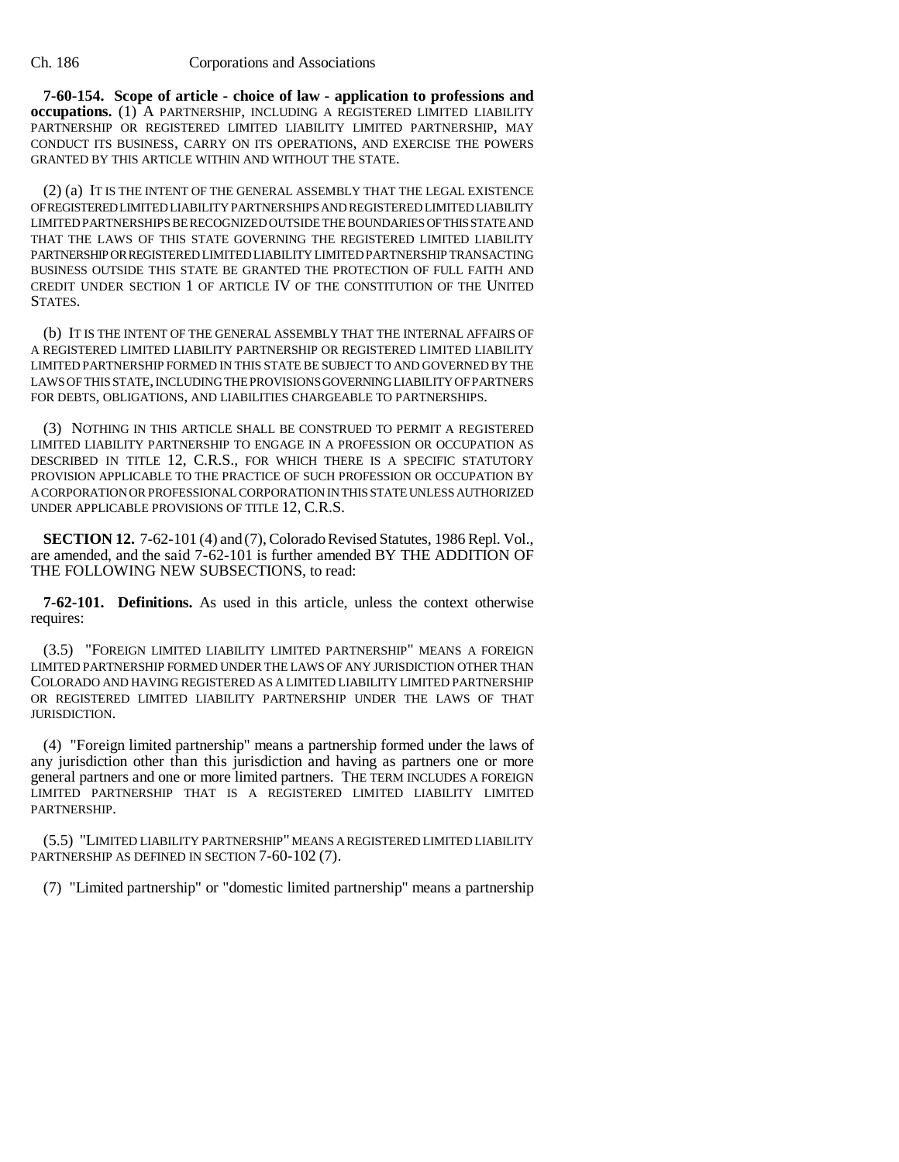**7-60-154. Scope of article - choice of law - application to professions and occupations.** (1) A PARTNERSHIP, INCLUDING A REGISTERED LIMITED LIABILITY PARTNERSHIP OR REGISTERED LIMITED LIABILITY LIMITED PARTNERSHIP, MAY CONDUCT ITS BUSINESS, CARRY ON ITS OPERATIONS, AND EXERCISE THE POWERS GRANTED BY THIS ARTICLE WITHIN AND WITHOUT THE STATE.

(2) (a) IT IS THE INTENT OF THE GENERAL ASSEMBLY THAT THE LEGAL EXISTENCE OF REGISTERED LIMITED LIABILITY PARTNERSHIPS AND REGISTERED LIMITED LIABILITY LIMITED PARTNERSHIPS BE RECOGNIZED OUTSIDE THE BOUNDARIES OF THIS STATE AND THAT THE LAWS OF THIS STATE GOVERNING THE REGISTERED LIMITED LIABILITY PARTNERSHIP OR REGISTERED LIMITED LIABILITY LIMITED PARTNERSHIP TRANSACTING BUSINESS OUTSIDE THIS STATE BE GRANTED THE PROTECTION OF FULL FAITH AND CREDIT UNDER SECTION 1 OF ARTICLE IV OF THE CONSTITUTION OF THE UNITED STATES.

(b) IT IS THE INTENT OF THE GENERAL ASSEMBLY THAT THE INTERNAL AFFAIRS OF A REGISTERED LIMITED LIABILITY PARTNERSHIP OR REGISTERED LIMITED LIABILITY LIMITED PARTNERSHIP FORMED IN THIS STATE BE SUBJECT TO AND GOVERNED BY THE LAWS OF THIS STATE, INCLUDING THE PROVISIONS GOVERNING LIABILITY OF PARTNERS FOR DEBTS, OBLIGATIONS, AND LIABILITIES CHARGEABLE TO PARTNERSHIPS.

(3) NOTHING IN THIS ARTICLE SHALL BE CONSTRUED TO PERMIT A REGISTERED LIMITED LIABILITY PARTNERSHIP TO ENGAGE IN A PROFESSION OR OCCUPATION AS DESCRIBED IN TITLE 12, C.R.S., FOR WHICH THERE IS A SPECIFIC STATUTORY PROVISION APPLICABLE TO THE PRACTICE OF SUCH PROFESSION OR OCCUPATION BY A CORPORATION OR PROFESSIONAL CORPORATION IN THIS STATE UNLESS AUTHORIZED UNDER APPLICABLE PROVISIONS OF TITLE 12, C.R.S.

**SECTION 12.** 7-62-101 (4) and (7), Colorado Revised Statutes, 1986 Repl. Vol., are amended, and the said 7-62-101 is further amended BY THE ADDITION OF THE FOLLOWING NEW SUBSECTIONS, to read:

**7-62-101. Definitions.** As used in this article, unless the context otherwise requires:

(3.5) "FOREIGN LIMITED LIABILITY LIMITED PARTNERSHIP" MEANS A FOREIGN LIMITED PARTNERSHIP FORMED UNDER THE LAWS OF ANY JURISDICTION OTHER THAN COLORADO AND HAVING REGISTERED AS A LIMITED LIABILITY LIMITED PARTNERSHIP OR REGISTERED LIMITED LIABILITY PARTNERSHIP UNDER THE LAWS OF THAT JURISDICTION.

(4) "Foreign limited partnership" means a partnership formed under the laws of any jurisdiction other than this jurisdiction and having as partners one or more general partners and one or more limited partners. THE TERM INCLUDES A FOREIGN LIMITED PARTNERSHIP THAT IS A REGISTERED LIMITED LIABILITY LIMITED PARTNERSHIP.

(5.5) "LIMITED LIABILITY PARTNERSHIP" MEANS A REGISTERED LIMITED LIABILITY PARTNERSHIP AS DEFINED IN SECTION 7-60-102 (7).

(7) "Limited partnership" or "domestic limited partnership" means a partnership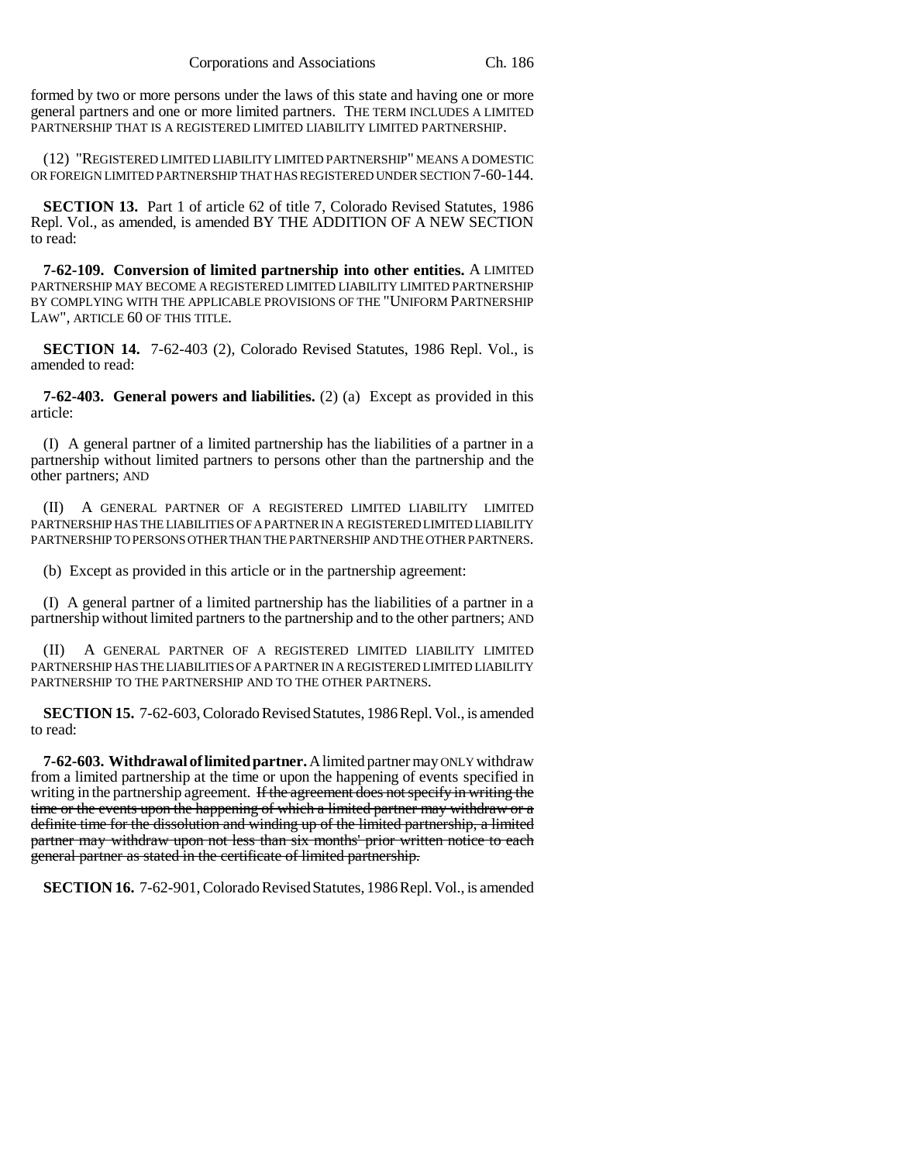formed by two or more persons under the laws of this state and having one or more general partners and one or more limited partners. THE TERM INCLUDES A LIMITED PARTNERSHIP THAT IS A REGISTERED LIMITED LIABILITY LIMITED PARTNERSHIP.

(12) "REGISTERED LIMITED LIABILITY LIMITED PARTNERSHIP" MEANS A DOMESTIC OR FOREIGN LIMITED PARTNERSHIP THAT HAS REGISTERED UNDER SECTION 7-60-144.

**SECTION 13.** Part 1 of article 62 of title 7, Colorado Revised Statutes, 1986 Repl. Vol., as amended, is amended BY THE ADDITION OF A NEW SECTION to read:

**7-62-109. Conversion of limited partnership into other entities.** A LIMITED PARTNERSHIP MAY BECOME A REGISTERED LIMITED LIABILITY LIMITED PARTNERSHIP BY COMPLYING WITH THE APPLICABLE PROVISIONS OF THE "UNIFORM PARTNERSHIP LAW", ARTICLE 60 OF THIS TITLE.

**SECTION 14.** 7-62-403 (2), Colorado Revised Statutes, 1986 Repl. Vol., is amended to read:

**7-62-403. General powers and liabilities.** (2) (a) Except as provided in this article:

(I) A general partner of a limited partnership has the liabilities of a partner in a partnership without limited partners to persons other than the partnership and the other partners; AND

(II) A GENERAL PARTNER OF A REGISTERED LIMITED LIABILITY LIMITED PARTNERSHIP HAS THE LIABILITIES OF A PARTNER IN A REGISTERED LIMITED LIABILITY PARTNERSHIP TO PERSONS OTHER THAN THE PARTNERSHIP AND THE OTHER PARTNERS.

(b) Except as provided in this article or in the partnership agreement:

(I) A general partner of a limited partnership has the liabilities of a partner in a partnership without limited partners to the partnership and to the other partners; AND

(II) A GENERAL PARTNER OF A REGISTERED LIMITED LIABILITY LIMITED PARTNERSHIP HAS THE LIABILITIES OF A PARTNER IN A REGISTERED LIMITED LIABILITY PARTNERSHIP TO THE PARTNERSHIP AND TO THE OTHER PARTNERS.

**SECTION 15.** 7-62-603, Colorado Revised Statutes, 1986 Repl. Vol., is amended to read:

**7-62-603. Withdrawal of limited partner.** A limited partner may ONLY withdraw from a limited partnership at the time or upon the happening of events specified in writing in the partnership agreement. If the agreement does not specify in writing the time or the events upon the happening of which a limited partner may withdraw or a definite time for the dissolution and winding up of the limited partnership, a limited partner may withdraw upon not less than six months' prior written notice to each general partner as stated in the certificate of limited partnership.

**SECTION 16.** 7-62-901, Colorado Revised Statutes, 1986 Repl. Vol., is amended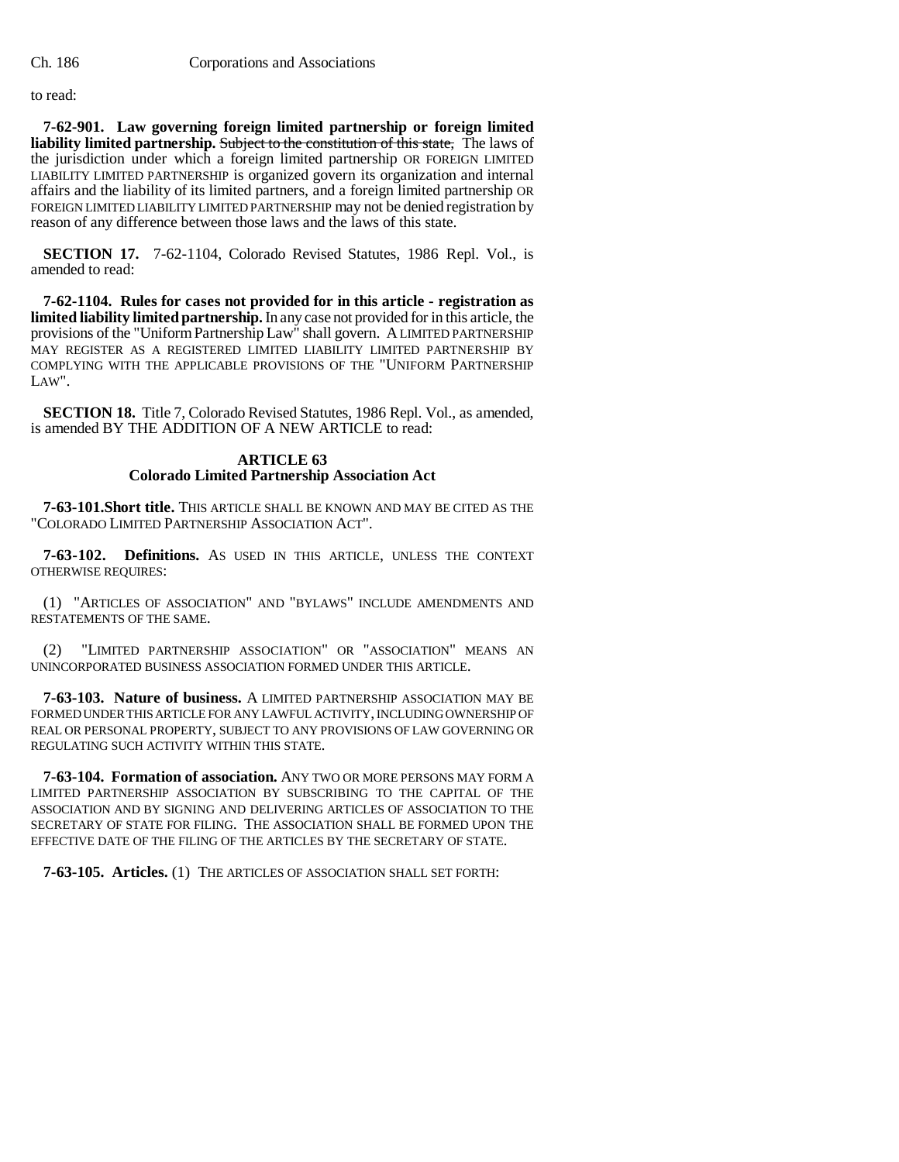to read:

**7-62-901. Law governing foreign limited partnership or foreign limited** liability limited partnership. Subject to the constitution of this state, The laws of the jurisdiction under which a foreign limited partnership OR FOREIGN LIMITED LIABILITY LIMITED PARTNERSHIP is organized govern its organization and internal affairs and the liability of its limited partners, and a foreign limited partnership OR FOREIGN LIMITED LIABILITY LIMITED PARTNERSHIP may not be denied registration by reason of any difference between those laws and the laws of this state.

**SECTION 17.** 7-62-1104, Colorado Revised Statutes, 1986 Repl. Vol., is amended to read:

**7-62-1104. Rules for cases not provided for in this article - registration as limited liability limited partnership.** In any case not provided for in this article, the provisions of the "Uniform Partnership Law" shall govern. A LIMITED PARTNERSHIP MAY REGISTER AS A REGISTERED LIMITED LIABILITY LIMITED PARTNERSHIP BY COMPLYING WITH THE APPLICABLE PROVISIONS OF THE "UNIFORM PARTNERSHIP LAW".

**SECTION 18.** Title 7, Colorado Revised Statutes, 1986 Repl. Vol., as amended, is amended BY THE ADDITION OF A NEW ARTICLE to read:

## **ARTICLE 63 Colorado Limited Partnership Association Act**

**7-63-101.Short title.** THIS ARTICLE SHALL BE KNOWN AND MAY BE CITED AS THE "COLORADO LIMITED PARTNERSHIP ASSOCIATION ACT".

**7-63-102. Definitions.** AS USED IN THIS ARTICLE, UNLESS THE CONTEXT OTHERWISE REQUIRES:

(1) "ARTICLES OF ASSOCIATION" AND "BYLAWS" INCLUDE AMENDMENTS AND RESTATEMENTS OF THE SAME.

(2) "LIMITED PARTNERSHIP ASSOCIATION" OR "ASSOCIATION" MEANS AN UNINCORPORATED BUSINESS ASSOCIATION FORMED UNDER THIS ARTICLE.

**7-63-103. Nature of business.** A LIMITED PARTNERSHIP ASSOCIATION MAY BE FORMED UNDER THIS ARTICLE FOR ANY LAWFUL ACTIVITY, INCLUDING OWNERSHIP OF REAL OR PERSONAL PROPERTY, SUBJECT TO ANY PROVISIONS OF LAW GOVERNING OR REGULATING SUCH ACTIVITY WITHIN THIS STATE.

**7-63-104. Formation of association.** ANY TWO OR MORE PERSONS MAY FORM A LIMITED PARTNERSHIP ASSOCIATION BY SUBSCRIBING TO THE CAPITAL OF THE ASSOCIATION AND BY SIGNING AND DELIVERING ARTICLES OF ASSOCIATION TO THE SECRETARY OF STATE FOR FILING. THE ASSOCIATION SHALL BE FORMED UPON THE EFFECTIVE DATE OF THE FILING OF THE ARTICLES BY THE SECRETARY OF STATE.

**7-63-105. Articles.** (1) THE ARTICLES OF ASSOCIATION SHALL SET FORTH: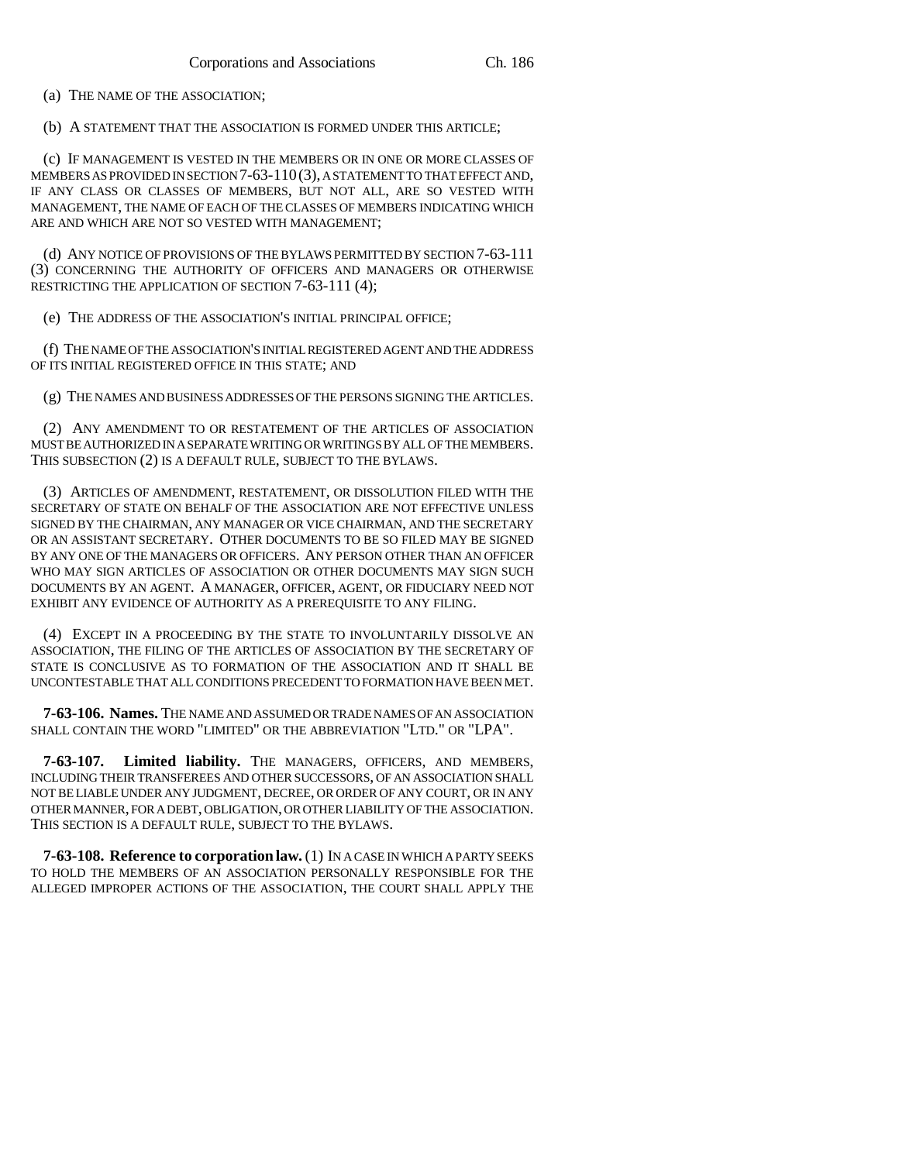(a) THE NAME OF THE ASSOCIATION;

(b) A STATEMENT THAT THE ASSOCIATION IS FORMED UNDER THIS ARTICLE;

(c) IF MANAGEMENT IS VESTED IN THE MEMBERS OR IN ONE OR MORE CLASSES OF MEMBERS AS PROVIDED IN SECTION 7-63-110(3), A STATEMENT TO THAT EFFECT AND, IF ANY CLASS OR CLASSES OF MEMBERS, BUT NOT ALL, ARE SO VESTED WITH MANAGEMENT, THE NAME OF EACH OF THE CLASSES OF MEMBERS INDICATING WHICH ARE AND WHICH ARE NOT SO VESTED WITH MANAGEMENT;

(d) ANY NOTICE OF PROVISIONS OF THE BYLAWS PERMITTED BY SECTION 7-63-111 (3) CONCERNING THE AUTHORITY OF OFFICERS AND MANAGERS OR OTHERWISE RESTRICTING THE APPLICATION OF SECTION 7-63-111 (4);

(e) THE ADDRESS OF THE ASSOCIATION'S INITIAL PRINCIPAL OFFICE;

(f) THE NAME OF THE ASSOCIATION'S INITIAL REGISTERED AGENT AND THE ADDRESS OF ITS INITIAL REGISTERED OFFICE IN THIS STATE; AND

(g) THE NAMES AND BUSINESS ADDRESSES OF THE PERSONS SIGNING THE ARTICLES.

(2) ANY AMENDMENT TO OR RESTATEMENT OF THE ARTICLES OF ASSOCIATION MUST BE AUTHORIZED IN A SEPARATE WRITING OR WRITINGS BY ALL OF THE MEMBERS. THIS SUBSECTION (2) IS A DEFAULT RULE, SUBJECT TO THE BYLAWS.

(3) ARTICLES OF AMENDMENT, RESTATEMENT, OR DISSOLUTION FILED WITH THE SECRETARY OF STATE ON BEHALF OF THE ASSOCIATION ARE NOT EFFECTIVE UNLESS SIGNED BY THE CHAIRMAN, ANY MANAGER OR VICE CHAIRMAN, AND THE SECRETARY OR AN ASSISTANT SECRETARY. OTHER DOCUMENTS TO BE SO FILED MAY BE SIGNED BY ANY ONE OF THE MANAGERS OR OFFICERS. ANY PERSON OTHER THAN AN OFFICER WHO MAY SIGN ARTICLES OF ASSOCIATION OR OTHER DOCUMENTS MAY SIGN SUCH DOCUMENTS BY AN AGENT. A MANAGER, OFFICER, AGENT, OR FIDUCIARY NEED NOT EXHIBIT ANY EVIDENCE OF AUTHORITY AS A PREREQUISITE TO ANY FILING.

(4) EXCEPT IN A PROCEEDING BY THE STATE TO INVOLUNTARILY DISSOLVE AN ASSOCIATION, THE FILING OF THE ARTICLES OF ASSOCIATION BY THE SECRETARY OF STATE IS CONCLUSIVE AS TO FORMATION OF THE ASSOCIATION AND IT SHALL BE UNCONTESTABLE THAT ALL CONDITIONS PRECEDENT TO FORMATION HAVE BEEN MET.

**7-63-106. Names.** THE NAME AND ASSUMED OR TRADE NAMES OF AN ASSOCIATION SHALL CONTAIN THE WORD "LIMITED" OR THE ABBREVIATION "LTD." OR "LPA".

**7-63-107. Limited liability.** THE MANAGERS, OFFICERS, AND MEMBERS, INCLUDING THEIR TRANSFEREES AND OTHER SUCCESSORS, OF AN ASSOCIATION SHALL NOT BE LIABLE UNDER ANY JUDGMENT, DECREE, OR ORDER OF ANY COURT, OR IN ANY OTHER MANNER, FOR A DEBT, OBLIGATION, OR OTHER LIABILITY OF THE ASSOCIATION. THIS SECTION IS A DEFAULT RULE, SUBJECT TO THE BYLAWS.

**7-63-108. Reference to corporation law.** (1) IN A CASE IN WHICH A PARTY SEEKS TO HOLD THE MEMBERS OF AN ASSOCIATION PERSONALLY RESPONSIBLE FOR THE ALLEGED IMPROPER ACTIONS OF THE ASSOCIATION, THE COURT SHALL APPLY THE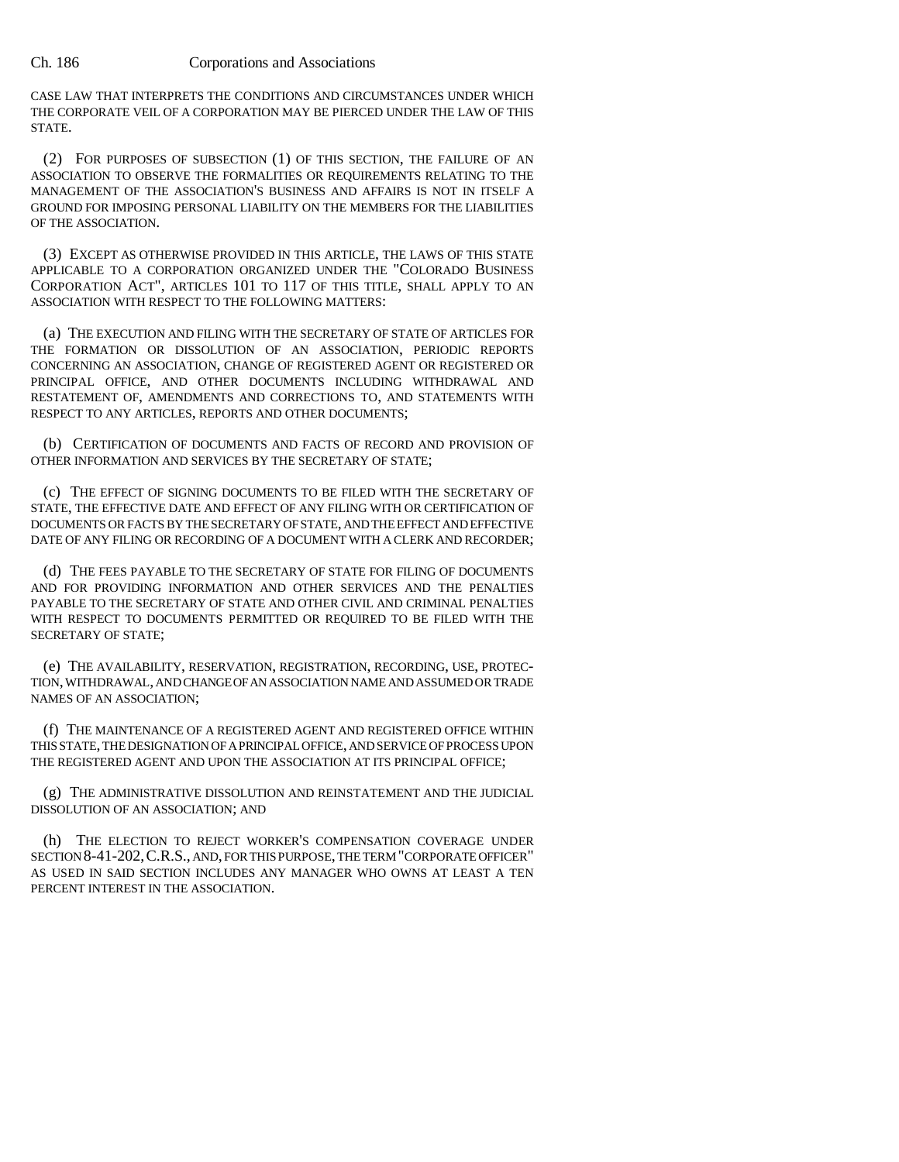CASE LAW THAT INTERPRETS THE CONDITIONS AND CIRCUMSTANCES UNDER WHICH THE CORPORATE VEIL OF A CORPORATION MAY BE PIERCED UNDER THE LAW OF THIS STATE.

(2) FOR PURPOSES OF SUBSECTION (1) OF THIS SECTION, THE FAILURE OF AN ASSOCIATION TO OBSERVE THE FORMALITIES OR REQUIREMENTS RELATING TO THE MANAGEMENT OF THE ASSOCIATION'S BUSINESS AND AFFAIRS IS NOT IN ITSELF A GROUND FOR IMPOSING PERSONAL LIABILITY ON THE MEMBERS FOR THE LIABILITIES OF THE ASSOCIATION.

(3) EXCEPT AS OTHERWISE PROVIDED IN THIS ARTICLE, THE LAWS OF THIS STATE APPLICABLE TO A CORPORATION ORGANIZED UNDER THE "COLORADO BUSINESS CORPORATION ACT", ARTICLES 101 TO 117 OF THIS TITLE, SHALL APPLY TO AN ASSOCIATION WITH RESPECT TO THE FOLLOWING MATTERS:

(a) THE EXECUTION AND FILING WITH THE SECRETARY OF STATE OF ARTICLES FOR THE FORMATION OR DISSOLUTION OF AN ASSOCIATION, PERIODIC REPORTS CONCERNING AN ASSOCIATION, CHANGE OF REGISTERED AGENT OR REGISTERED OR PRINCIPAL OFFICE, AND OTHER DOCUMENTS INCLUDING WITHDRAWAL AND RESTATEMENT OF, AMENDMENTS AND CORRECTIONS TO, AND STATEMENTS WITH RESPECT TO ANY ARTICLES, REPORTS AND OTHER DOCUMENTS;

(b) CERTIFICATION OF DOCUMENTS AND FACTS OF RECORD AND PROVISION OF OTHER INFORMATION AND SERVICES BY THE SECRETARY OF STATE;

(c) THE EFFECT OF SIGNING DOCUMENTS TO BE FILED WITH THE SECRETARY OF STATE, THE EFFECTIVE DATE AND EFFECT OF ANY FILING WITH OR CERTIFICATION OF DOCUMENTS OR FACTS BY THE SECRETARY OF STATE, AND THE EFFECT AND EFFECTIVE DATE OF ANY FILING OR RECORDING OF A DOCUMENT WITH A CLERK AND RECORDER;

(d) THE FEES PAYABLE TO THE SECRETARY OF STATE FOR FILING OF DOCUMENTS AND FOR PROVIDING INFORMATION AND OTHER SERVICES AND THE PENALTIES PAYABLE TO THE SECRETARY OF STATE AND OTHER CIVIL AND CRIMINAL PENALTIES WITH RESPECT TO DOCUMENTS PERMITTED OR REQUIRED TO BE FILED WITH THE SECRETARY OF STATE;

(e) THE AVAILABILITY, RESERVATION, REGISTRATION, RECORDING, USE, PROTEC-TION, WITHDRAWAL, AND CHANGE OF AN ASSOCIATION NAME AND ASSUMED OR TRADE NAMES OF AN ASSOCIATION;

(f) THE MAINTENANCE OF A REGISTERED AGENT AND REGISTERED OFFICE WITHIN THIS STATE, THE DESIGNATION OF A PRINCIPAL OFFICE, AND SERVICE OF PROCESS UPON THE REGISTERED AGENT AND UPON THE ASSOCIATION AT ITS PRINCIPAL OFFICE;

(g) THE ADMINISTRATIVE DISSOLUTION AND REINSTATEMENT AND THE JUDICIAL DISSOLUTION OF AN ASSOCIATION; AND

(h) THE ELECTION TO REJECT WORKER'S COMPENSATION COVERAGE UNDER SECTION 8-41-202,C.R.S., AND, FOR THIS PURPOSE, THE TERM "CORPORATE OFFICER" AS USED IN SAID SECTION INCLUDES ANY MANAGER WHO OWNS AT LEAST A TEN PERCENT INTEREST IN THE ASSOCIATION.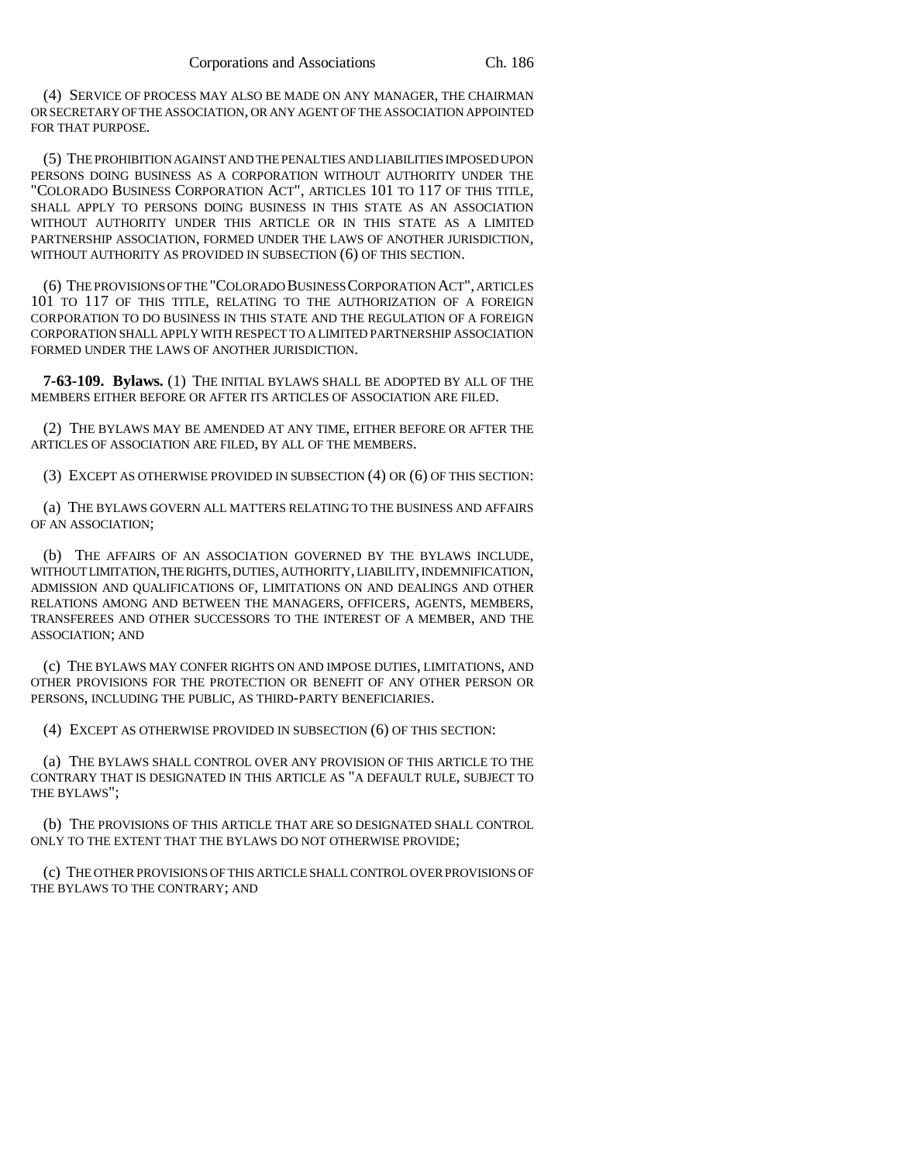(4) SERVICE OF PROCESS MAY ALSO BE MADE ON ANY MANAGER, THE CHAIRMAN OR SECRETARY OF THE ASSOCIATION, OR ANY AGENT OF THE ASSOCIATION APPOINTED FOR THAT PURPOSE.

(5) THE PROHIBITION AGAINST AND THE PENALTIES AND LIABILITIES IMPOSED UPON PERSONS DOING BUSINESS AS A CORPORATION WITHOUT AUTHORITY UNDER THE "COLORADO BUSINESS CORPORATION ACT", ARTICLES 101 TO 117 OF THIS TITLE, SHALL APPLY TO PERSONS DOING BUSINESS IN THIS STATE AS AN ASSOCIATION WITHOUT AUTHORITY UNDER THIS ARTICLE OR IN THIS STATE AS A LIMITED PARTNERSHIP ASSOCIATION, FORMED UNDER THE LAWS OF ANOTHER JURISDICTION, WITHOUT AUTHORITY AS PROVIDED IN SUBSECTION (6) OF THIS SECTION.

(6) THE PROVISIONS OF THE "COLORADO BUSINESS CORPORATION ACT", ARTICLES 101 TO 117 OF THIS TITLE, RELATING TO THE AUTHORIZATION OF A FOREIGN CORPORATION TO DO BUSINESS IN THIS STATE AND THE REGULATION OF A FOREIGN CORPORATION SHALL APPLY WITH RESPECT TO A LIMITED PARTNERSHIP ASSOCIATION FORMED UNDER THE LAWS OF ANOTHER JURISDICTION.

**7-63-109. Bylaws.** (1) THE INITIAL BYLAWS SHALL BE ADOPTED BY ALL OF THE MEMBERS EITHER BEFORE OR AFTER ITS ARTICLES OF ASSOCIATION ARE FILED.

(2) THE BYLAWS MAY BE AMENDED AT ANY TIME, EITHER BEFORE OR AFTER THE ARTICLES OF ASSOCIATION ARE FILED, BY ALL OF THE MEMBERS.

(3) EXCEPT AS OTHERWISE PROVIDED IN SUBSECTION (4) OR (6) OF THIS SECTION:

(a) THE BYLAWS GOVERN ALL MATTERS RELATING TO THE BUSINESS AND AFFAIRS OF AN ASSOCIATION;

(b) THE AFFAIRS OF AN ASSOCIATION GOVERNED BY THE BYLAWS INCLUDE, WITHOUT LIMITATION, THE RIGHTS, DUTIES, AUTHORITY, LIABILITY, INDEMNIFICATION, ADMISSION AND QUALIFICATIONS OF, LIMITATIONS ON AND DEALINGS AND OTHER RELATIONS AMONG AND BETWEEN THE MANAGERS, OFFICERS, AGENTS, MEMBERS, TRANSFEREES AND OTHER SUCCESSORS TO THE INTEREST OF A MEMBER, AND THE ASSOCIATION; AND

(c) THE BYLAWS MAY CONFER RIGHTS ON AND IMPOSE DUTIES, LIMITATIONS, AND OTHER PROVISIONS FOR THE PROTECTION OR BENEFIT OF ANY OTHER PERSON OR PERSONS, INCLUDING THE PUBLIC, AS THIRD-PARTY BENEFICIARIES.

(4) EXCEPT AS OTHERWISE PROVIDED IN SUBSECTION (6) OF THIS SECTION:

(a) THE BYLAWS SHALL CONTROL OVER ANY PROVISION OF THIS ARTICLE TO THE CONTRARY THAT IS DESIGNATED IN THIS ARTICLE AS "A DEFAULT RULE, SUBJECT TO THE BYLAWS";

(b) THE PROVISIONS OF THIS ARTICLE THAT ARE SO DESIGNATED SHALL CONTROL ONLY TO THE EXTENT THAT THE BYLAWS DO NOT OTHERWISE PROVIDE;

(c) THE OTHER PROVISIONS OF THIS ARTICLE SHALL CONTROL OVER PROVISIONS OF THE BYLAWS TO THE CONTRARY; AND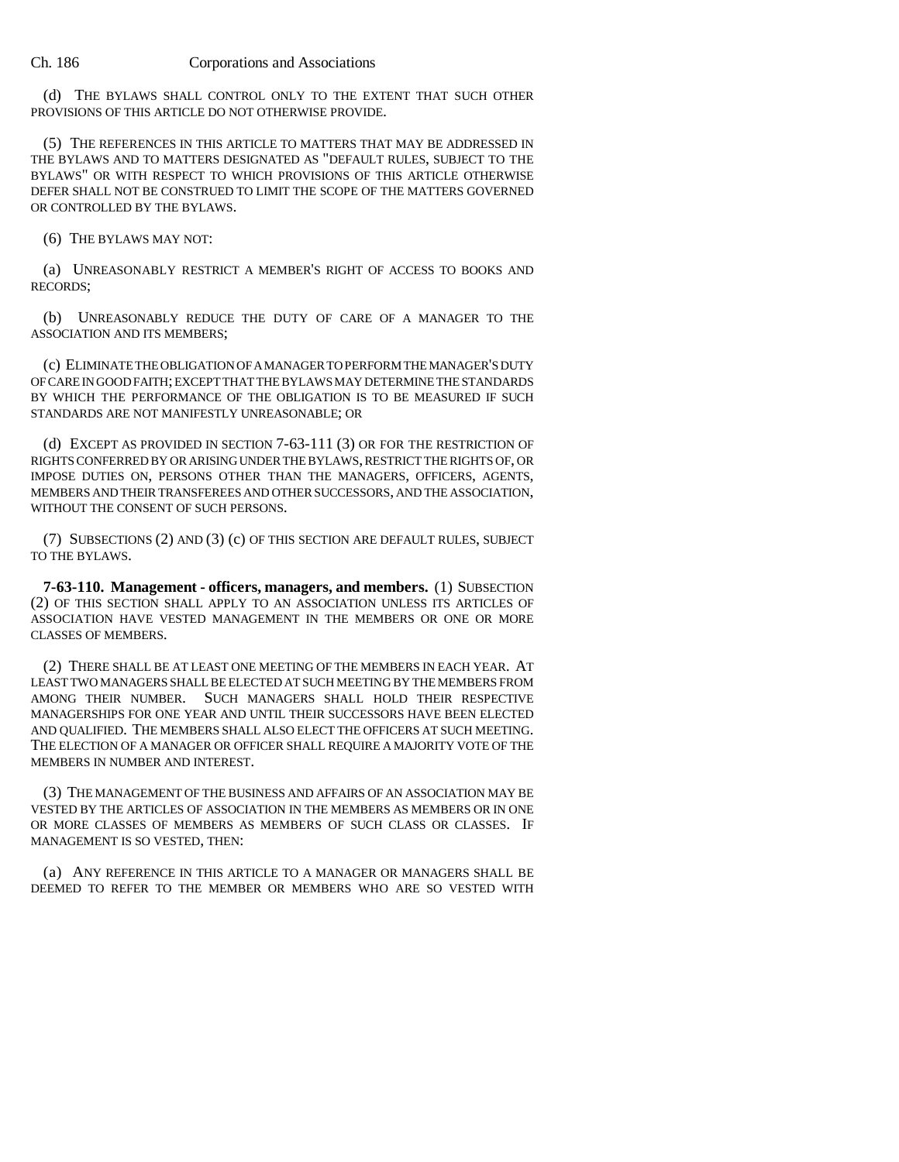(d) THE BYLAWS SHALL CONTROL ONLY TO THE EXTENT THAT SUCH OTHER PROVISIONS OF THIS ARTICLE DO NOT OTHERWISE PROVIDE.

(5) THE REFERENCES IN THIS ARTICLE TO MATTERS THAT MAY BE ADDRESSED IN THE BYLAWS AND TO MATTERS DESIGNATED AS "DEFAULT RULES, SUBJECT TO THE BYLAWS" OR WITH RESPECT TO WHICH PROVISIONS OF THIS ARTICLE OTHERWISE DEFER SHALL NOT BE CONSTRUED TO LIMIT THE SCOPE OF THE MATTERS GOVERNED OR CONTROLLED BY THE BYLAWS.

(6) THE BYLAWS MAY NOT:

(a) UNREASONABLY RESTRICT A MEMBER'S RIGHT OF ACCESS TO BOOKS AND RECORDS;

(b) UNREASONABLY REDUCE THE DUTY OF CARE OF A MANAGER TO THE ASSOCIATION AND ITS MEMBERS;

(c) ELIMINATE THE OBLIGATION OF A MANAGER TO PERFORM THE MANAGER'S DUTY OF CARE IN GOOD FAITH; EXCEPT THAT THE BYLAWS MAY DETERMINE THE STANDARDS BY WHICH THE PERFORMANCE OF THE OBLIGATION IS TO BE MEASURED IF SUCH STANDARDS ARE NOT MANIFESTLY UNREASONABLE; OR

(d) EXCEPT AS PROVIDED IN SECTION 7-63-111 (3) OR FOR THE RESTRICTION OF RIGHTS CONFERRED BY OR ARISING UNDER THE BYLAWS, RESTRICT THE RIGHTS OF, OR IMPOSE DUTIES ON, PERSONS OTHER THAN THE MANAGERS, OFFICERS, AGENTS, MEMBERS AND THEIR TRANSFEREES AND OTHER SUCCESSORS, AND THE ASSOCIATION, WITHOUT THE CONSENT OF SUCH PERSONS.

(7) SUBSECTIONS (2) AND (3) (c) OF THIS SECTION ARE DEFAULT RULES, SUBJECT TO THE BYLAWS.

**7-63-110. Management - officers, managers, and members.** (1) SUBSECTION (2) OF THIS SECTION SHALL APPLY TO AN ASSOCIATION UNLESS ITS ARTICLES OF ASSOCIATION HAVE VESTED MANAGEMENT IN THE MEMBERS OR ONE OR MORE CLASSES OF MEMBERS.

(2) THERE SHALL BE AT LEAST ONE MEETING OF THE MEMBERS IN EACH YEAR. AT LEAST TWO MANAGERS SHALL BE ELECTED AT SUCH MEETING BY THE MEMBERS FROM AMONG THEIR NUMBER. SUCH MANAGERS SHALL HOLD THEIR RESPECTIVE MANAGERSHIPS FOR ONE YEAR AND UNTIL THEIR SUCCESSORS HAVE BEEN ELECTED AND QUALIFIED. THE MEMBERS SHALL ALSO ELECT THE OFFICERS AT SUCH MEETING. THE ELECTION OF A MANAGER OR OFFICER SHALL REQUIRE A MAJORITY VOTE OF THE MEMBERS IN NUMBER AND INTEREST.

(3) THE MANAGEMENT OF THE BUSINESS AND AFFAIRS OF AN ASSOCIATION MAY BE VESTED BY THE ARTICLES OF ASSOCIATION IN THE MEMBERS AS MEMBERS OR IN ONE OR MORE CLASSES OF MEMBERS AS MEMBERS OF SUCH CLASS OR CLASSES. IF MANAGEMENT IS SO VESTED, THEN:

(a) ANY REFERENCE IN THIS ARTICLE TO A MANAGER OR MANAGERS SHALL BE DEEMED TO REFER TO THE MEMBER OR MEMBERS WHO ARE SO VESTED WITH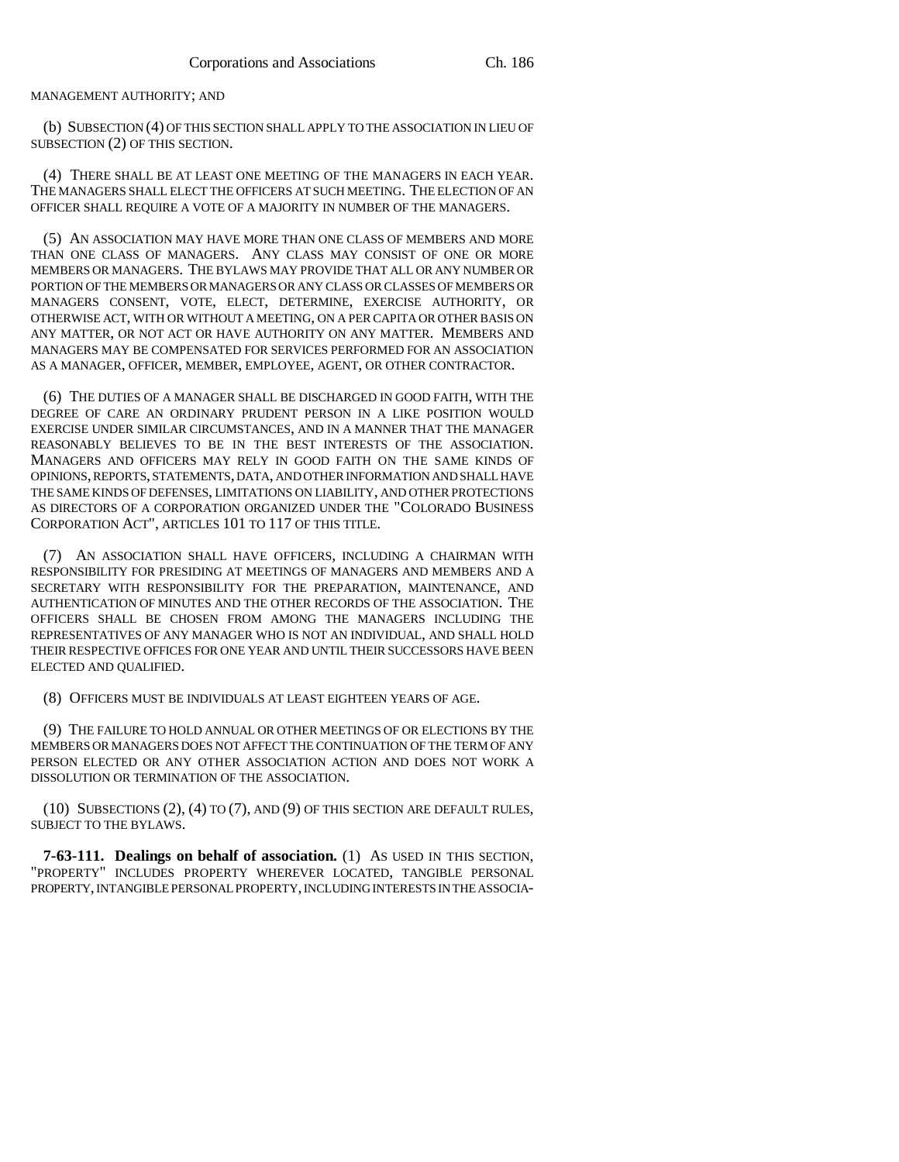MANAGEMENT AUTHORITY; AND

(b) SUBSECTION (4) OF THIS SECTION SHALL APPLY TO THE ASSOCIATION IN LIEU OF SUBSECTION (2) OF THIS SECTION.

(4) THERE SHALL BE AT LEAST ONE MEETING OF THE MANAGERS IN EACH YEAR. THE MANAGERS SHALL ELECT THE OFFICERS AT SUCH MEETING. THE ELECTION OF AN OFFICER SHALL REQUIRE A VOTE OF A MAJORITY IN NUMBER OF THE MANAGERS.

(5) AN ASSOCIATION MAY HAVE MORE THAN ONE CLASS OF MEMBERS AND MORE THAN ONE CLASS OF MANAGERS. ANY CLASS MAY CONSIST OF ONE OR MORE MEMBERS OR MANAGERS. THE BYLAWS MAY PROVIDE THAT ALL OR ANY NUMBER OR PORTION OF THE MEMBERS OR MANAGERS OR ANY CLASS OR CLASSES OF MEMBERS OR MANAGERS CONSENT, VOTE, ELECT, DETERMINE, EXERCISE AUTHORITY, OR OTHERWISE ACT, WITH OR WITHOUT A MEETING, ON A PER CAPITA OR OTHER BASIS ON ANY MATTER, OR NOT ACT OR HAVE AUTHORITY ON ANY MATTER. MEMBERS AND MANAGERS MAY BE COMPENSATED FOR SERVICES PERFORMED FOR AN ASSOCIATION AS A MANAGER, OFFICER, MEMBER, EMPLOYEE, AGENT, OR OTHER CONTRACTOR.

(6) THE DUTIES OF A MANAGER SHALL BE DISCHARGED IN GOOD FAITH, WITH THE DEGREE OF CARE AN ORDINARY PRUDENT PERSON IN A LIKE POSITION WOULD EXERCISE UNDER SIMILAR CIRCUMSTANCES, AND IN A MANNER THAT THE MANAGER REASONABLY BELIEVES TO BE IN THE BEST INTERESTS OF THE ASSOCIATION. MANAGERS AND OFFICERS MAY RELY IN GOOD FAITH ON THE SAME KINDS OF OPINIONS, REPORTS, STATEMENTS, DATA, AND OTHER INFORMATION AND SHALL HAVE THE SAME KINDS OF DEFENSES, LIMITATIONS ON LIABILITY, AND OTHER PROTECTIONS AS DIRECTORS OF A CORPORATION ORGANIZED UNDER THE "COLORADO BUSINESS CORPORATION ACT", ARTICLES 101 TO 117 OF THIS TITLE.

(7) AN ASSOCIATION SHALL HAVE OFFICERS, INCLUDING A CHAIRMAN WITH RESPONSIBILITY FOR PRESIDING AT MEETINGS OF MANAGERS AND MEMBERS AND A SECRETARY WITH RESPONSIBILITY FOR THE PREPARATION, MAINTENANCE, AND AUTHENTICATION OF MINUTES AND THE OTHER RECORDS OF THE ASSOCIATION. THE OFFICERS SHALL BE CHOSEN FROM AMONG THE MANAGERS INCLUDING THE REPRESENTATIVES OF ANY MANAGER WHO IS NOT AN INDIVIDUAL, AND SHALL HOLD THEIR RESPECTIVE OFFICES FOR ONE YEAR AND UNTIL THEIR SUCCESSORS HAVE BEEN ELECTED AND QUALIFIED.

(8) OFFICERS MUST BE INDIVIDUALS AT LEAST EIGHTEEN YEARS OF AGE.

(9) THE FAILURE TO HOLD ANNUAL OR OTHER MEETINGS OF OR ELECTIONS BY THE MEMBERS OR MANAGERS DOES NOT AFFECT THE CONTINUATION OF THE TERM OF ANY PERSON ELECTED OR ANY OTHER ASSOCIATION ACTION AND DOES NOT WORK A DISSOLUTION OR TERMINATION OF THE ASSOCIATION.

(10) SUBSECTIONS (2), (4) TO (7), AND (9) OF THIS SECTION ARE DEFAULT RULES, SUBJECT TO THE BYLAWS.

**7-63-111. Dealings on behalf of association.** (1) AS USED IN THIS SECTION, "PROPERTY" INCLUDES PROPERTY WHEREVER LOCATED, TANGIBLE PERSONAL PROPERTY, INTANGIBLE PERSONAL PROPERTY, INCLUDING INTERESTS IN THE ASSOCIA-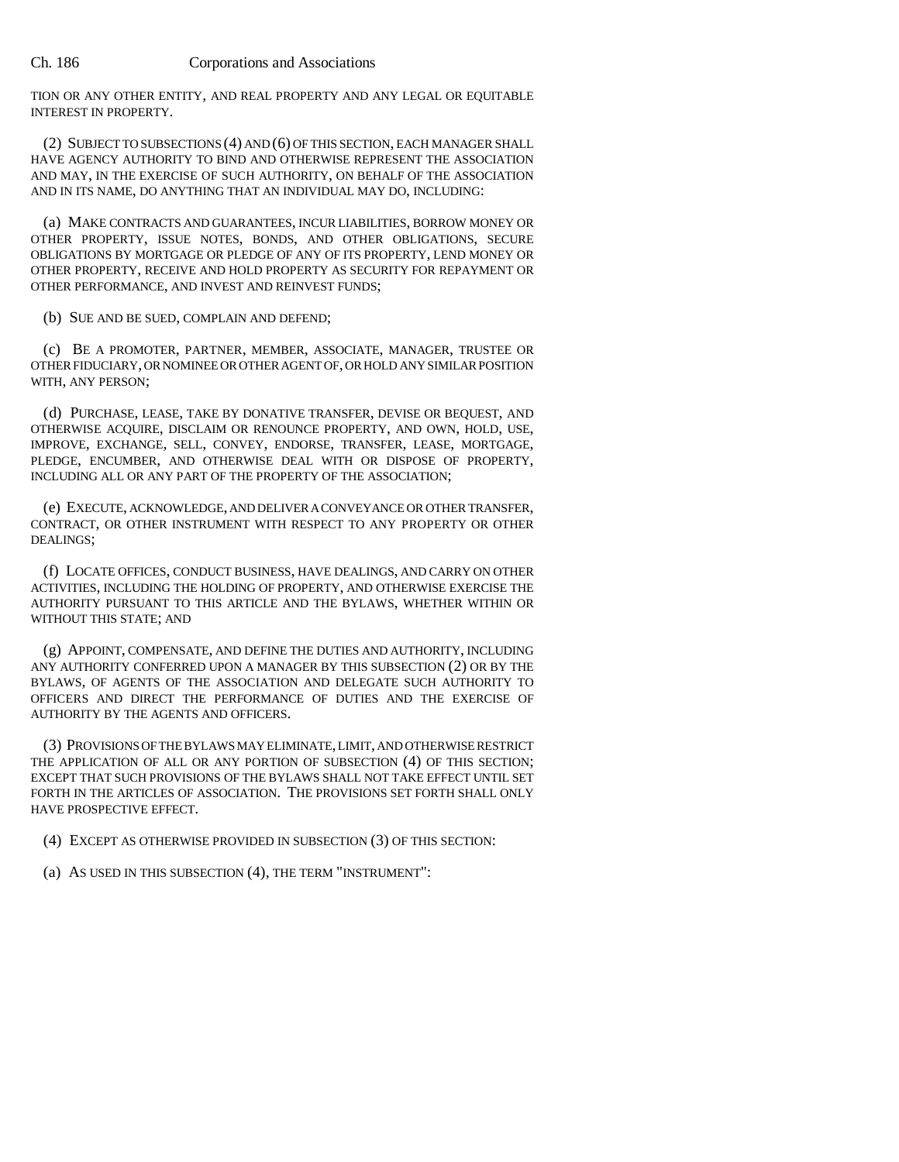TION OR ANY OTHER ENTITY, AND REAL PROPERTY AND ANY LEGAL OR EQUITABLE INTEREST IN PROPERTY.

(2) SUBJECT TO SUBSECTIONS (4) AND (6) OF THIS SECTION, EACH MANAGER SHALL HAVE AGENCY AUTHORITY TO BIND AND OTHERWISE REPRESENT THE ASSOCIATION AND MAY, IN THE EXERCISE OF SUCH AUTHORITY, ON BEHALF OF THE ASSOCIATION AND IN ITS NAME, DO ANYTHING THAT AN INDIVIDUAL MAY DO, INCLUDING:

(a) MAKE CONTRACTS AND GUARANTEES, INCUR LIABILITIES, BORROW MONEY OR OTHER PROPERTY, ISSUE NOTES, BONDS, AND OTHER OBLIGATIONS, SECURE OBLIGATIONS BY MORTGAGE OR PLEDGE OF ANY OF ITS PROPERTY, LEND MONEY OR OTHER PROPERTY, RECEIVE AND HOLD PROPERTY AS SECURITY FOR REPAYMENT OR OTHER PERFORMANCE, AND INVEST AND REINVEST FUNDS;

(b) SUE AND BE SUED, COMPLAIN AND DEFEND;

(c) BE A PROMOTER, PARTNER, MEMBER, ASSOCIATE, MANAGER, TRUSTEE OR OTHER FIDUCIARY, OR NOMINEE OR OTHER AGENT OF, OR HOLD ANY SIMILAR POSITION WITH, ANY PERSON;

(d) PURCHASE, LEASE, TAKE BY DONATIVE TRANSFER, DEVISE OR BEQUEST, AND OTHERWISE ACQUIRE, DISCLAIM OR RENOUNCE PROPERTY, AND OWN, HOLD, USE, IMPROVE, EXCHANGE, SELL, CONVEY, ENDORSE, TRANSFER, LEASE, MORTGAGE, PLEDGE, ENCUMBER, AND OTHERWISE DEAL WITH OR DISPOSE OF PROPERTY, INCLUDING ALL OR ANY PART OF THE PROPERTY OF THE ASSOCIATION;

(e) EXECUTE, ACKNOWLEDGE, AND DELIVER A CONVEYANCE OR OTHER TRANSFER, CONTRACT, OR OTHER INSTRUMENT WITH RESPECT TO ANY PROPERTY OR OTHER DEALINGS;

(f) LOCATE OFFICES, CONDUCT BUSINESS, HAVE DEALINGS, AND CARRY ON OTHER ACTIVITIES, INCLUDING THE HOLDING OF PROPERTY, AND OTHERWISE EXERCISE THE AUTHORITY PURSUANT TO THIS ARTICLE AND THE BYLAWS, WHETHER WITHIN OR WITHOUT THIS STATE; AND

(g) APPOINT, COMPENSATE, AND DEFINE THE DUTIES AND AUTHORITY, INCLUDING ANY AUTHORITY CONFERRED UPON A MANAGER BY THIS SUBSECTION (2) OR BY THE BYLAWS, OF AGENTS OF THE ASSOCIATION AND DELEGATE SUCH AUTHORITY TO OFFICERS AND DIRECT THE PERFORMANCE OF DUTIES AND THE EXERCISE OF AUTHORITY BY THE AGENTS AND OFFICERS.

(3) PROVISIONS OF THE BYLAWS MAY ELIMINATE, LIMIT, AND OTHERWISE RESTRICT THE APPLICATION OF ALL OR ANY PORTION OF SUBSECTION (4) OF THIS SECTION; EXCEPT THAT SUCH PROVISIONS OF THE BYLAWS SHALL NOT TAKE EFFECT UNTIL SET FORTH IN THE ARTICLES OF ASSOCIATION. THE PROVISIONS SET FORTH SHALL ONLY HAVE PROSPECTIVE EFFECT.

(4) EXCEPT AS OTHERWISE PROVIDED IN SUBSECTION (3) OF THIS SECTION:

(a) AS USED IN THIS SUBSECTION (4), THE TERM "INSTRUMENT":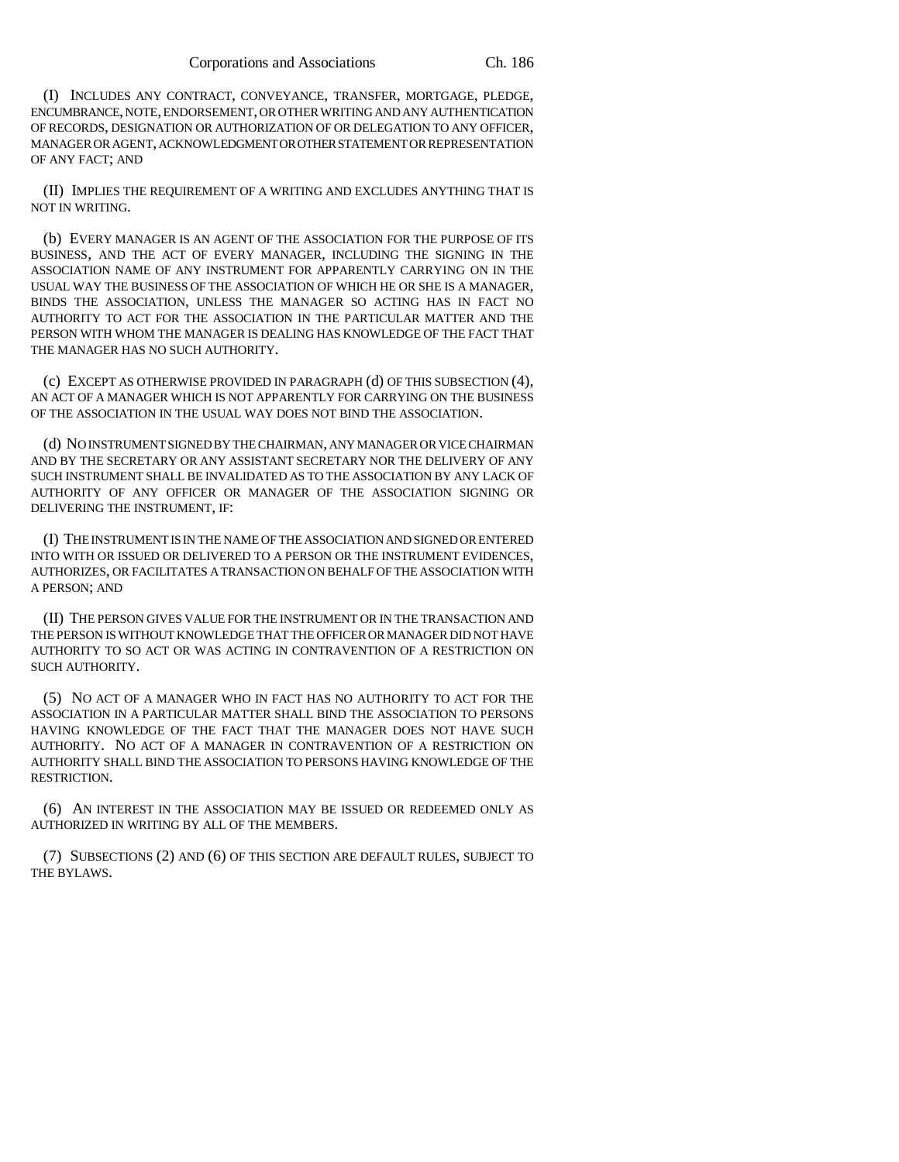(I) INCLUDES ANY CONTRACT, CONVEYANCE, TRANSFER, MORTGAGE, PLEDGE, ENCUMBRANCE, NOTE, ENDORSEMENT, OR OTHER WRITING AND ANY AUTHENTICATION OF RECORDS, DESIGNATION OR AUTHORIZATION OF OR DELEGATION TO ANY OFFICER, MANAGER OR AGENT, ACKNOWLEDGMENT OR OTHER STATEMENT OR REPRESENTATION OF ANY FACT; AND

(II) IMPLIES THE REQUIREMENT OF A WRITING AND EXCLUDES ANYTHING THAT IS NOT IN WRITING.

(b) EVERY MANAGER IS AN AGENT OF THE ASSOCIATION FOR THE PURPOSE OF ITS BUSINESS, AND THE ACT OF EVERY MANAGER, INCLUDING THE SIGNING IN THE ASSOCIATION NAME OF ANY INSTRUMENT FOR APPARENTLY CARRYING ON IN THE USUAL WAY THE BUSINESS OF THE ASSOCIATION OF WHICH HE OR SHE IS A MANAGER, BINDS THE ASSOCIATION, UNLESS THE MANAGER SO ACTING HAS IN FACT NO AUTHORITY TO ACT FOR THE ASSOCIATION IN THE PARTICULAR MATTER AND THE PERSON WITH WHOM THE MANAGER IS DEALING HAS KNOWLEDGE OF THE FACT THAT THE MANAGER HAS NO SUCH AUTHORITY.

(c) EXCEPT AS OTHERWISE PROVIDED IN PARAGRAPH (d) OF THIS SUBSECTION (4), AN ACT OF A MANAGER WHICH IS NOT APPARENTLY FOR CARRYING ON THE BUSINESS OF THE ASSOCIATION IN THE USUAL WAY DOES NOT BIND THE ASSOCIATION.

(d) NO INSTRUMENT SIGNED BY THE CHAIRMAN, ANY MANAGER OR VICE CHAIRMAN AND BY THE SECRETARY OR ANY ASSISTANT SECRETARY NOR THE DELIVERY OF ANY SUCH INSTRUMENT SHALL BE INVALIDATED AS TO THE ASSOCIATION BY ANY LACK OF AUTHORITY OF ANY OFFICER OR MANAGER OF THE ASSOCIATION SIGNING OR DELIVERING THE INSTRUMENT, IF:

(I) THE INSTRUMENT IS IN THE NAME OF THE ASSOCIATION AND SIGNED OR ENTERED INTO WITH OR ISSUED OR DELIVERED TO A PERSON OR THE INSTRUMENT EVIDENCES, AUTHORIZES, OR FACILITATES A TRANSACTION ON BEHALF OF THE ASSOCIATION WITH A PERSON; AND

(II) THE PERSON GIVES VALUE FOR THE INSTRUMENT OR IN THE TRANSACTION AND THE PERSON IS WITHOUT KNOWLEDGE THAT THE OFFICER OR MANAGER DID NOT HAVE AUTHORITY TO SO ACT OR WAS ACTING IN CONTRAVENTION OF A RESTRICTION ON SUCH AUTHORITY.

(5) NO ACT OF A MANAGER WHO IN FACT HAS NO AUTHORITY TO ACT FOR THE ASSOCIATION IN A PARTICULAR MATTER SHALL BIND THE ASSOCIATION TO PERSONS HAVING KNOWLEDGE OF THE FACT THAT THE MANAGER DOES NOT HAVE SUCH AUTHORITY. NO ACT OF A MANAGER IN CONTRAVENTION OF A RESTRICTION ON AUTHORITY SHALL BIND THE ASSOCIATION TO PERSONS HAVING KNOWLEDGE OF THE RESTRICTION.

(6) AN INTEREST IN THE ASSOCIATION MAY BE ISSUED OR REDEEMED ONLY AS AUTHORIZED IN WRITING BY ALL OF THE MEMBERS.

(7) SUBSECTIONS (2) AND (6) OF THIS SECTION ARE DEFAULT RULES, SUBJECT TO THE BYLAWS.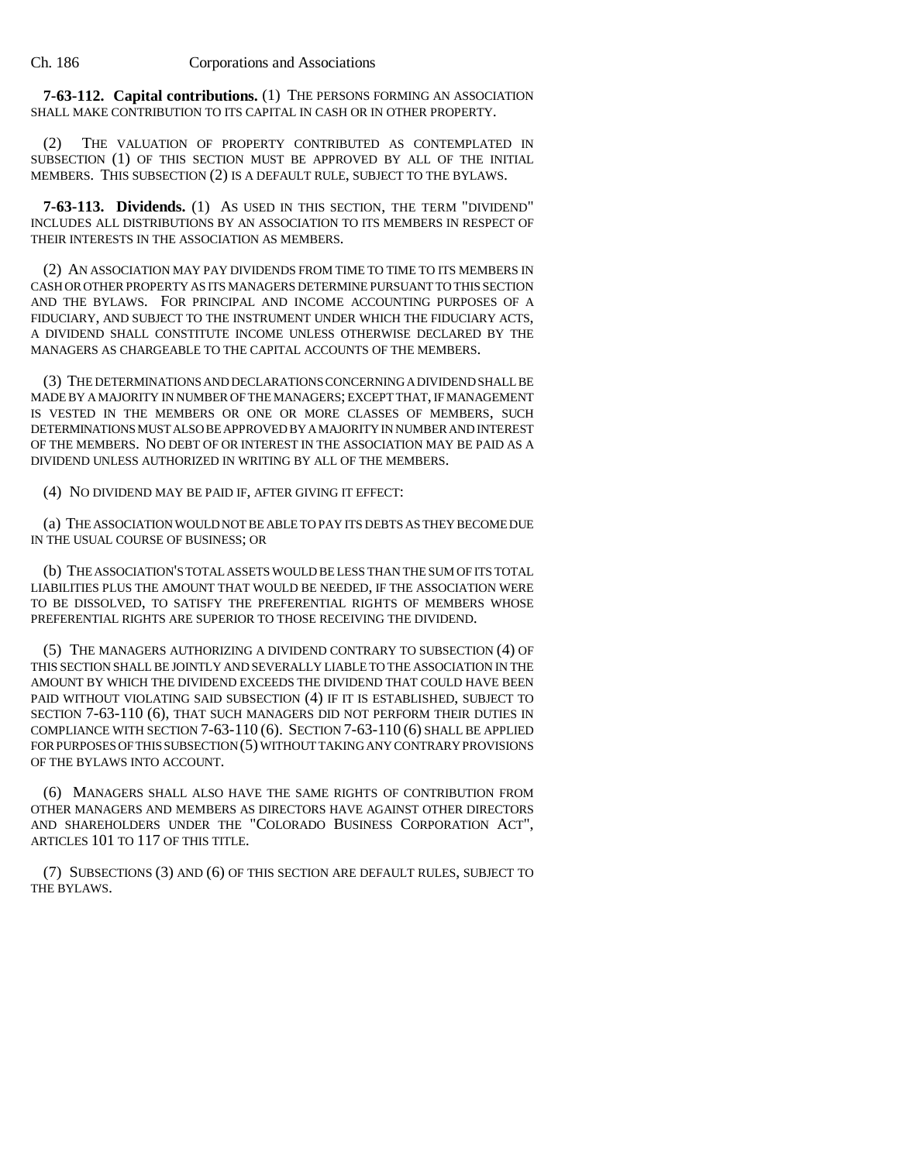**7-63-112. Capital contributions.** (1) THE PERSONS FORMING AN ASSOCIATION SHALL MAKE CONTRIBUTION TO ITS CAPITAL IN CASH OR IN OTHER PROPERTY.

(2) THE VALUATION OF PROPERTY CONTRIBUTED AS CONTEMPLATED IN SUBSECTION (1) OF THIS SECTION MUST BE APPROVED BY ALL OF THE INITIAL MEMBERS. THIS SUBSECTION (2) IS A DEFAULT RULE, SUBJECT TO THE BYLAWS.

**7-63-113. Dividends.** (1) AS USED IN THIS SECTION, THE TERM "DIVIDEND" INCLUDES ALL DISTRIBUTIONS BY AN ASSOCIATION TO ITS MEMBERS IN RESPECT OF THEIR INTERESTS IN THE ASSOCIATION AS MEMBERS.

(2) AN ASSOCIATION MAY PAY DIVIDENDS FROM TIME TO TIME TO ITS MEMBERS IN CASH OR OTHER PROPERTY AS ITS MANAGERS DETERMINE PURSUANT TO THIS SECTION AND THE BYLAWS. FOR PRINCIPAL AND INCOME ACCOUNTING PURPOSES OF A FIDUCIARY, AND SUBJECT TO THE INSTRUMENT UNDER WHICH THE FIDUCIARY ACTS, A DIVIDEND SHALL CONSTITUTE INCOME UNLESS OTHERWISE DECLARED BY THE MANAGERS AS CHARGEABLE TO THE CAPITAL ACCOUNTS OF THE MEMBERS.

(3) THE DETERMINATIONS AND DECLARATIONS CONCERNING A DIVIDEND SHALL BE MADE BY A MAJORITY IN NUMBER OF THE MANAGERS; EXCEPT THAT, IF MANAGEMENT IS VESTED IN THE MEMBERS OR ONE OR MORE CLASSES OF MEMBERS, SUCH DETERMINATIONS MUST ALSO BE APPROVED BY A MAJORITY IN NUMBER AND INTEREST OF THE MEMBERS. NO DEBT OF OR INTEREST IN THE ASSOCIATION MAY BE PAID AS A DIVIDEND UNLESS AUTHORIZED IN WRITING BY ALL OF THE MEMBERS.

(4) NO DIVIDEND MAY BE PAID IF, AFTER GIVING IT EFFECT:

(a) THE ASSOCIATION WOULD NOT BE ABLE TO PAY ITS DEBTS AS THEY BECOME DUE IN THE USUAL COURSE OF BUSINESS; OR

(b) THE ASSOCIATION'S TOTAL ASSETS WOULD BE LESS THAN THE SUM OF ITS TOTAL LIABILITIES PLUS THE AMOUNT THAT WOULD BE NEEDED, IF THE ASSOCIATION WERE TO BE DISSOLVED, TO SATISFY THE PREFERENTIAL RIGHTS OF MEMBERS WHOSE PREFERENTIAL RIGHTS ARE SUPERIOR TO THOSE RECEIVING THE DIVIDEND.

(5) THE MANAGERS AUTHORIZING A DIVIDEND CONTRARY TO SUBSECTION (4) OF THIS SECTION SHALL BE JOINTLY AND SEVERALLY LIABLE TO THE ASSOCIATION IN THE AMOUNT BY WHICH THE DIVIDEND EXCEEDS THE DIVIDEND THAT COULD HAVE BEEN PAID WITHOUT VIOLATING SAID SUBSECTION (4) IF IT IS ESTABLISHED, SUBJECT TO SECTION 7-63-110 (6), THAT SUCH MANAGERS DID NOT PERFORM THEIR DUTIES IN COMPLIANCE WITH SECTION  $7-63-110(6)$ . SECTION  $7-63-110(6)$  SHALL BE APPLIED FOR PURPOSES OF THIS SUBSECTION (5) WITHOUT TAKING ANY CONTRARY PROVISIONS OF THE BYLAWS INTO ACCOUNT.

(6) MANAGERS SHALL ALSO HAVE THE SAME RIGHTS OF CONTRIBUTION FROM OTHER MANAGERS AND MEMBERS AS DIRECTORS HAVE AGAINST OTHER DIRECTORS AND SHAREHOLDERS UNDER THE "COLORADO BUSINESS CORPORATION ACT", ARTICLES 101 TO 117 OF THIS TITLE.

(7) SUBSECTIONS (3) AND (6) OF THIS SECTION ARE DEFAULT RULES, SUBJECT TO THE BYLAWS.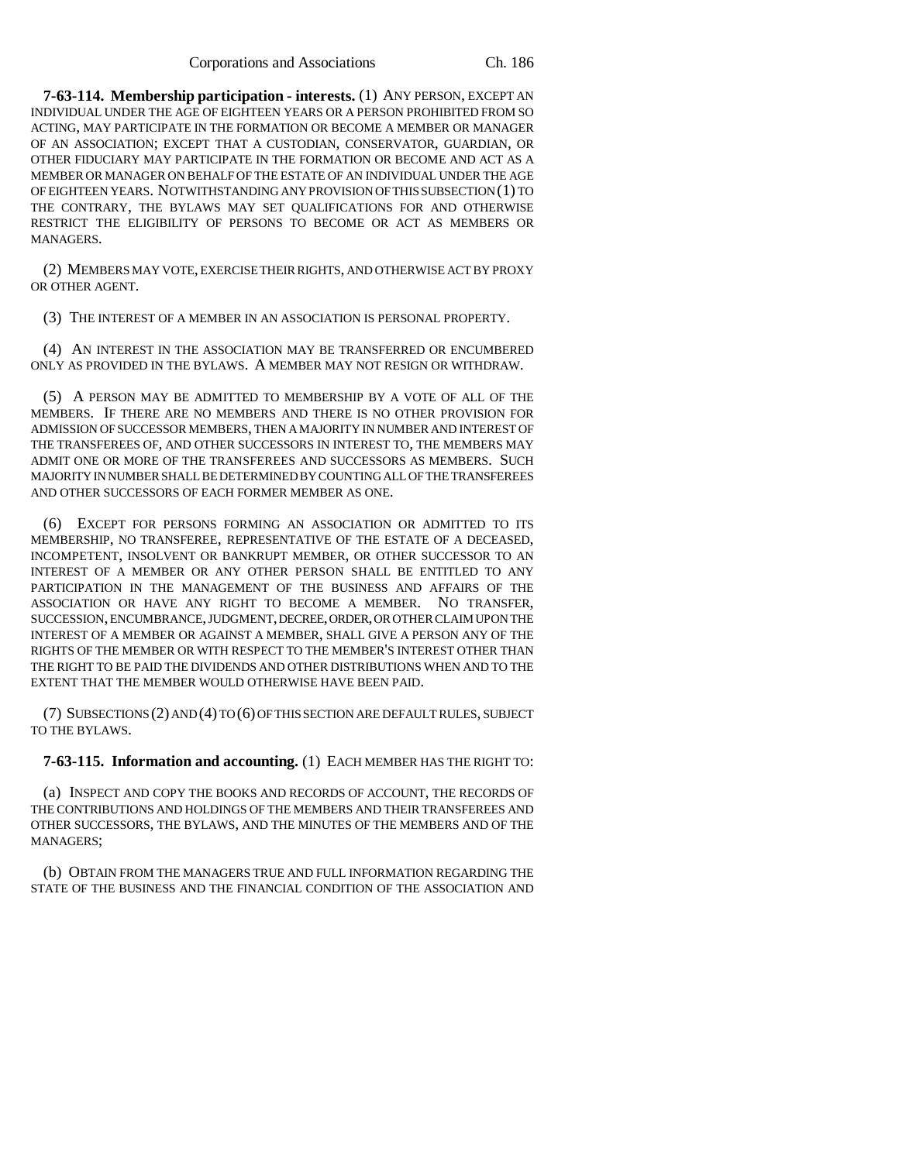**7-63-114. Membership participation - interests.** (1) ANY PERSON, EXCEPT AN INDIVIDUAL UNDER THE AGE OF EIGHTEEN YEARS OR A PERSON PROHIBITED FROM SO ACTING, MAY PARTICIPATE IN THE FORMATION OR BECOME A MEMBER OR MANAGER OF AN ASSOCIATION; EXCEPT THAT A CUSTODIAN, CONSERVATOR, GUARDIAN, OR OTHER FIDUCIARY MAY PARTICIPATE IN THE FORMATION OR BECOME AND ACT AS A MEMBER OR MANAGER ON BEHALF OF THE ESTATE OF AN INDIVIDUAL UNDER THE AGE OF EIGHTEEN YEARS. NOTWITHSTANDING ANY PROVISION OF THIS SUBSECTION (1) TO THE CONTRARY, THE BYLAWS MAY SET QUALIFICATIONS FOR AND OTHERWISE RESTRICT THE ELIGIBILITY OF PERSONS TO BECOME OR ACT AS MEMBERS OR MANAGERS.

(2) MEMBERS MAY VOTE, EXERCISE THEIR RIGHTS, AND OTHERWISE ACT BY PROXY OR OTHER AGENT.

(3) THE INTEREST OF A MEMBER IN AN ASSOCIATION IS PERSONAL PROPERTY.

(4) AN INTEREST IN THE ASSOCIATION MAY BE TRANSFERRED OR ENCUMBERED ONLY AS PROVIDED IN THE BYLAWS. A MEMBER MAY NOT RESIGN OR WITHDRAW.

(5) A PERSON MAY BE ADMITTED TO MEMBERSHIP BY A VOTE OF ALL OF THE MEMBERS. IF THERE ARE NO MEMBERS AND THERE IS NO OTHER PROVISION FOR ADMISSION OF SUCCESSOR MEMBERS, THEN A MAJORITY IN NUMBER AND INTEREST OF THE TRANSFEREES OF, AND OTHER SUCCESSORS IN INTEREST TO, THE MEMBERS MAY ADMIT ONE OR MORE OF THE TRANSFEREES AND SUCCESSORS AS MEMBERS. SUCH MAJORITY IN NUMBER SHALL BE DETERMINED BY COUNTING ALL OF THE TRANSFEREES AND OTHER SUCCESSORS OF EACH FORMER MEMBER AS ONE.

(6) EXCEPT FOR PERSONS FORMING AN ASSOCIATION OR ADMITTED TO ITS MEMBERSHIP, NO TRANSFEREE, REPRESENTATIVE OF THE ESTATE OF A DECEASED, INCOMPETENT, INSOLVENT OR BANKRUPT MEMBER, OR OTHER SUCCESSOR TO AN INTEREST OF A MEMBER OR ANY OTHER PERSON SHALL BE ENTITLED TO ANY PARTICIPATION IN THE MANAGEMENT OF THE BUSINESS AND AFFAIRS OF THE ASSOCIATION OR HAVE ANY RIGHT TO BECOME A MEMBER. NO TRANSFER, SUCCESSION, ENCUMBRANCE, JUDGMENT, DECREE, ORDER, OR OTHER CLAIM UPON THE INTEREST OF A MEMBER OR AGAINST A MEMBER, SHALL GIVE A PERSON ANY OF THE RIGHTS OF THE MEMBER OR WITH RESPECT TO THE MEMBER'S INTEREST OTHER THAN THE RIGHT TO BE PAID THE DIVIDENDS AND OTHER DISTRIBUTIONS WHEN AND TO THE EXTENT THAT THE MEMBER WOULD OTHERWISE HAVE BEEN PAID.

(7) SUBSECTIONS (2) AND (4) TO (6) OF THIS SECTION ARE DEFAULT RULES, SUBJECT TO THE BYLAWS.

**7-63-115. Information and accounting.** (1) EACH MEMBER HAS THE RIGHT TO:

(a) INSPECT AND COPY THE BOOKS AND RECORDS OF ACCOUNT, THE RECORDS OF THE CONTRIBUTIONS AND HOLDINGS OF THE MEMBERS AND THEIR TRANSFEREES AND OTHER SUCCESSORS, THE BYLAWS, AND THE MINUTES OF THE MEMBERS AND OF THE MANAGERS;

(b) OBTAIN FROM THE MANAGERS TRUE AND FULL INFORMATION REGARDING THE STATE OF THE BUSINESS AND THE FINANCIAL CONDITION OF THE ASSOCIATION AND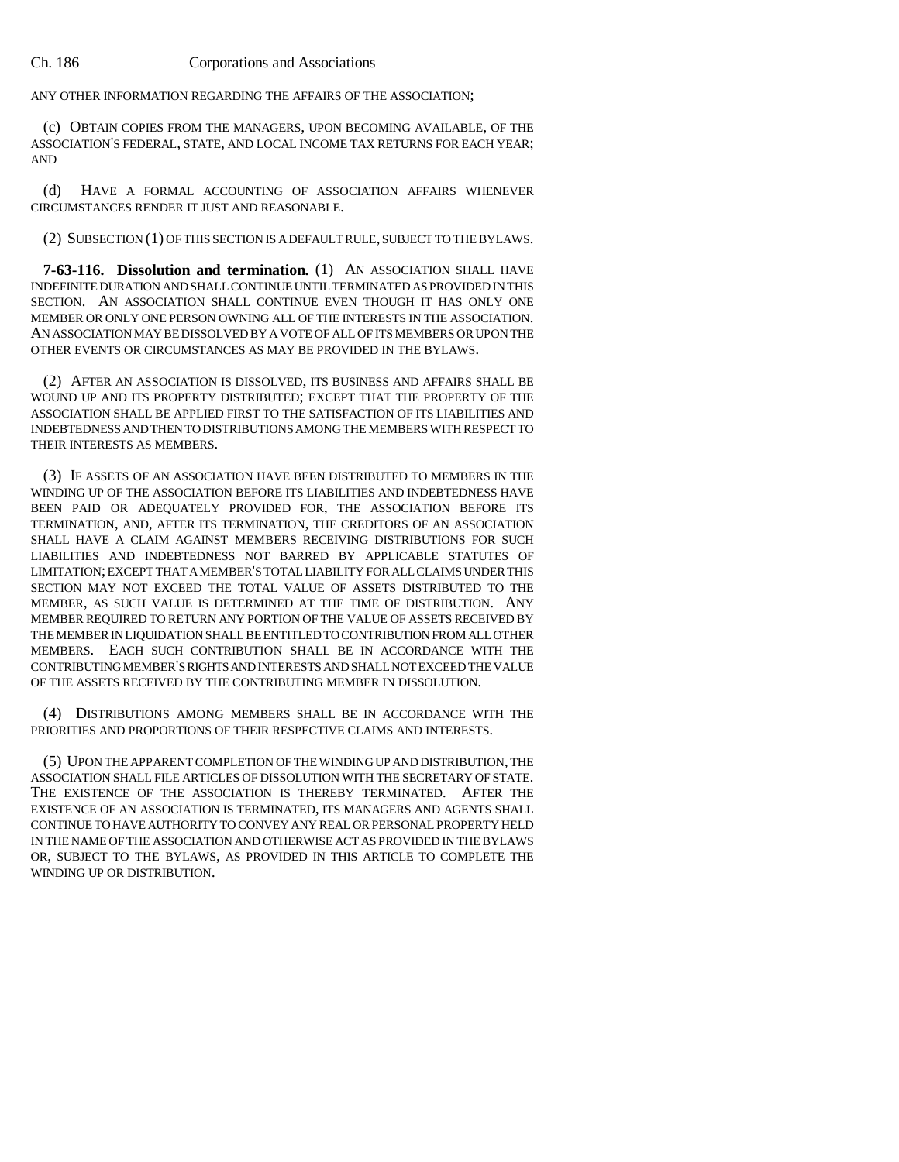ANY OTHER INFORMATION REGARDING THE AFFAIRS OF THE ASSOCIATION;

(c) OBTAIN COPIES FROM THE MANAGERS, UPON BECOMING AVAILABLE, OF THE ASSOCIATION'S FEDERAL, STATE, AND LOCAL INCOME TAX RETURNS FOR EACH YEAR; AND

(d) HAVE A FORMAL ACCOUNTING OF ASSOCIATION AFFAIRS WHENEVER CIRCUMSTANCES RENDER IT JUST AND REASONABLE.

(2) SUBSECTION (1) OF THIS SECTION IS A DEFAULT RULE, SUBJECT TO THE BYLAWS.

**7-63-116. Dissolution and termination.** (1) AN ASSOCIATION SHALL HAVE INDEFINITE DURATION AND SHALL CONTINUE UNTIL TERMINATED AS PROVIDED IN THIS SECTION. AN ASSOCIATION SHALL CONTINUE EVEN THOUGH IT HAS ONLY ONE MEMBER OR ONLY ONE PERSON OWNING ALL OF THE INTERESTS IN THE ASSOCIATION. AN ASSOCIATION MAY BE DISSOLVED BY A VOTE OF ALL OF ITS MEMBERS OR UPON THE OTHER EVENTS OR CIRCUMSTANCES AS MAY BE PROVIDED IN THE BYLAWS.

(2) AFTER AN ASSOCIATION IS DISSOLVED, ITS BUSINESS AND AFFAIRS SHALL BE WOUND UP AND ITS PROPERTY DISTRIBUTED; EXCEPT THAT THE PROPERTY OF THE ASSOCIATION SHALL BE APPLIED FIRST TO THE SATISFACTION OF ITS LIABILITIES AND INDEBTEDNESS AND THEN TO DISTRIBUTIONS AMONG THE MEMBERS WITH RESPECT TO THEIR INTERESTS AS MEMBERS.

(3) IF ASSETS OF AN ASSOCIATION HAVE BEEN DISTRIBUTED TO MEMBERS IN THE WINDING UP OF THE ASSOCIATION BEFORE ITS LIABILITIES AND INDEBTEDNESS HAVE BEEN PAID OR ADEQUATELY PROVIDED FOR, THE ASSOCIATION BEFORE ITS TERMINATION, AND, AFTER ITS TERMINATION, THE CREDITORS OF AN ASSOCIATION SHALL HAVE A CLAIM AGAINST MEMBERS RECEIVING DISTRIBUTIONS FOR SUCH LIABILITIES AND INDEBTEDNESS NOT BARRED BY APPLICABLE STATUTES OF LIMITATION; EXCEPT THAT A MEMBER'S TOTAL LIABILITY FOR ALL CLAIMS UNDER THIS SECTION MAY NOT EXCEED THE TOTAL VALUE OF ASSETS DISTRIBUTED TO THE MEMBER, AS SUCH VALUE IS DETERMINED AT THE TIME OF DISTRIBUTION. ANY MEMBER REQUIRED TO RETURN ANY PORTION OF THE VALUE OF ASSETS RECEIVED BY THE MEMBER IN LIQUIDATION SHALL BE ENTITLED TO CONTRIBUTION FROM ALL OTHER MEMBERS. EACH SUCH CONTRIBUTION SHALL BE IN ACCORDANCE WITH THE CONTRIBUTING MEMBER'S RIGHTS AND INTERESTS AND SHALL NOT EXCEED THE VALUE OF THE ASSETS RECEIVED BY THE CONTRIBUTING MEMBER IN DISSOLUTION.

(4) DISTRIBUTIONS AMONG MEMBERS SHALL BE IN ACCORDANCE WITH THE PRIORITIES AND PROPORTIONS OF THEIR RESPECTIVE CLAIMS AND INTERESTS.

(5) UPON THE APPARENT COMPLETION OF THE WINDING UP AND DISTRIBUTION, THE ASSOCIATION SHALL FILE ARTICLES OF DISSOLUTION WITH THE SECRETARY OF STATE. THE EXISTENCE OF THE ASSOCIATION IS THEREBY TERMINATED. AFTER THE EXISTENCE OF AN ASSOCIATION IS TERMINATED, ITS MANAGERS AND AGENTS SHALL CONTINUE TO HAVE AUTHORITY TO CONVEY ANY REAL OR PERSONAL PROPERTY HELD IN THE NAME OF THE ASSOCIATION AND OTHERWISE ACT AS PROVIDED IN THE BYLAWS OR, SUBJECT TO THE BYLAWS, AS PROVIDED IN THIS ARTICLE TO COMPLETE THE WINDING UP OR DISTRIBUTION.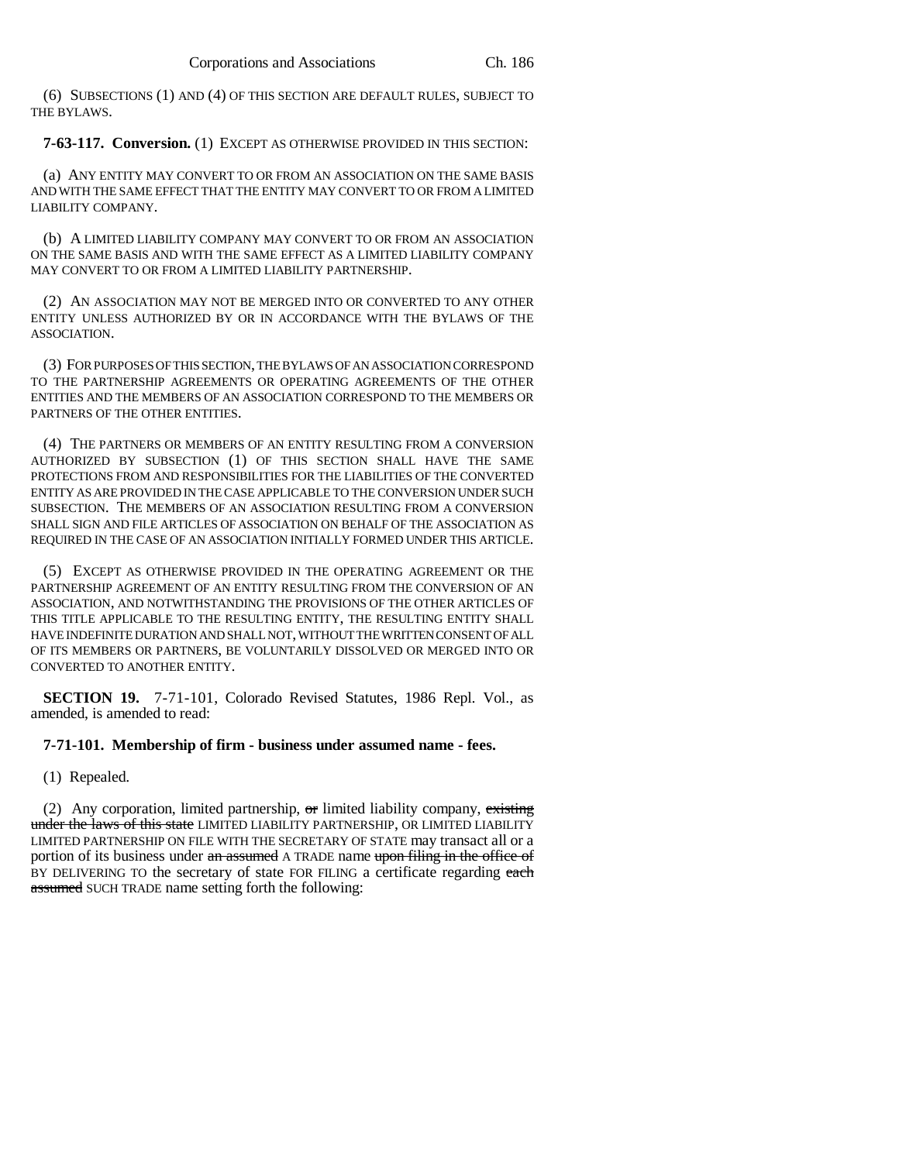(6) SUBSECTIONS (1) AND (4) OF THIS SECTION ARE DEFAULT RULES, SUBJECT TO THE BYLAWS.

**7-63-117. Conversion.** (1) EXCEPT AS OTHERWISE PROVIDED IN THIS SECTION:

(a) ANY ENTITY MAY CONVERT TO OR FROM AN ASSOCIATION ON THE SAME BASIS AND WITH THE SAME EFFECT THAT THE ENTITY MAY CONVERT TO OR FROM A LIMITED LIABILITY COMPANY.

(b) A LIMITED LIABILITY COMPANY MAY CONVERT TO OR FROM AN ASSOCIATION ON THE SAME BASIS AND WITH THE SAME EFFECT AS A LIMITED LIABILITY COMPANY MAY CONVERT TO OR FROM A LIMITED LIABILITY PARTNERSHIP.

(2) AN ASSOCIATION MAY NOT BE MERGED INTO OR CONVERTED TO ANY OTHER ENTITY UNLESS AUTHORIZED BY OR IN ACCORDANCE WITH THE BYLAWS OF THE ASSOCIATION.

(3) FOR PURPOSES OF THIS SECTION, THE BYLAWS OF AN ASSOCIATION CORRESPOND TO THE PARTNERSHIP AGREEMENTS OR OPERATING AGREEMENTS OF THE OTHER ENTITIES AND THE MEMBERS OF AN ASSOCIATION CORRESPOND TO THE MEMBERS OR PARTNERS OF THE OTHER ENTITIES.

(4) THE PARTNERS OR MEMBERS OF AN ENTITY RESULTING FROM A CONVERSION AUTHORIZED BY SUBSECTION (1) OF THIS SECTION SHALL HAVE THE SAME PROTECTIONS FROM AND RESPONSIBILITIES FOR THE LIABILITIES OF THE CONVERTED ENTITY AS ARE PROVIDED IN THE CASE APPLICABLE TO THE CONVERSION UNDER SUCH SUBSECTION. THE MEMBERS OF AN ASSOCIATION RESULTING FROM A CONVERSION SHALL SIGN AND FILE ARTICLES OF ASSOCIATION ON BEHALF OF THE ASSOCIATION AS REQUIRED IN THE CASE OF AN ASSOCIATION INITIALLY FORMED UNDER THIS ARTICLE.

(5) EXCEPT AS OTHERWISE PROVIDED IN THE OPERATING AGREEMENT OR THE PARTNERSHIP AGREEMENT OF AN ENTITY RESULTING FROM THE CONVERSION OF AN ASSOCIATION, AND NOTWITHSTANDING THE PROVISIONS OF THE OTHER ARTICLES OF THIS TITLE APPLICABLE TO THE RESULTING ENTITY, THE RESULTING ENTITY SHALL HAVE INDEFINITE DURATION AND SHALL NOT, WITHOUT THE WRITTEN CONSENT OF ALL OF ITS MEMBERS OR PARTNERS, BE VOLUNTARILY DISSOLVED OR MERGED INTO OR CONVERTED TO ANOTHER ENTITY.

**SECTION 19.** 7-71-101, Colorado Revised Statutes, 1986 Repl. Vol., as amended, is amended to read:

## **7-71-101. Membership of firm - business under assumed name - fees.**

(1) Repealed.

(2) Any corporation, limited partnership,  $\sigma$  limited liability company, existing under the laws of this state LIMITED LIABILITY PARTNERSHIP, OR LIMITED LIABILITY LIMITED PARTNERSHIP ON FILE WITH THE SECRETARY OF STATE may transact all or a portion of its business under an assumed A TRADE name upon filing in the office of BY DELIVERING TO the secretary of state FOR FILING a certificate regarding each assumed SUCH TRADE name setting forth the following: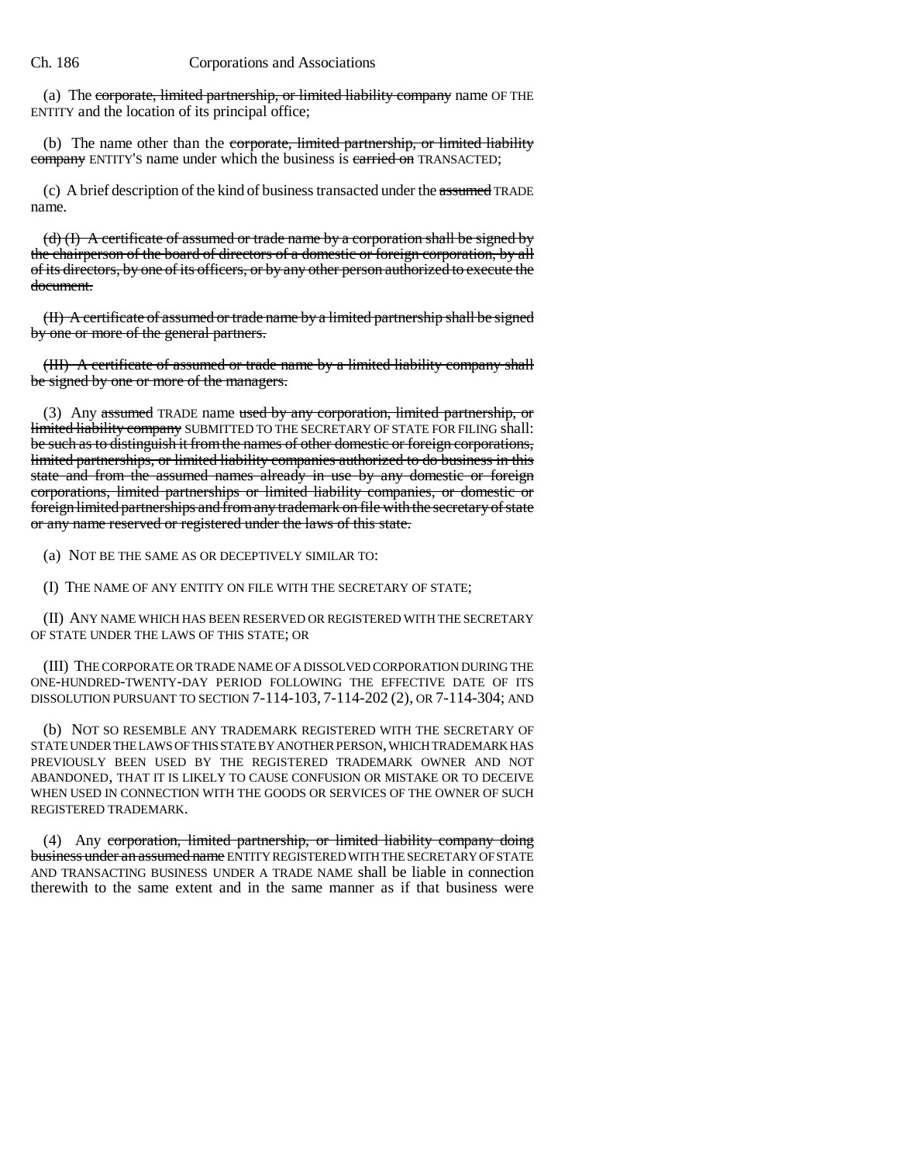(a) The corporate, limited partnership, or limited liability company name OF THE ENTITY and the location of its principal office;

(b) The name other than the corporate, limited partnership, or limited liability company ENTITY'S name under which the business is carried on TRANSACTED;

(c) A brief description of the kind of business transacted under the assumed TRADE name.

(d) (I) A certificate of assumed or trade name by a corporation shall be signed by the chairperson of the board of directors of a domestic or foreign corporation, by all of its directors, by one of its officers, or by any other person authorized to execute the document.

(II) A certificate of assumed or trade name by a limited partnership shall be signed by one or more of the general partners.

(III) A certificate of assumed or trade name by a limited liability company shall be signed by one or more of the managers.

(3) Any assumed TRADE name used by any corporation, limited partnership, or limited liability company SUBMITTED TO THE SECRETARY OF STATE FOR FILING shall: be such as to distinguish it from the names of other domestic or foreign corporations, limited partnerships, or limited liability companies authorized to do business in this state and from the assumed names already in use by any domestic or foreign corporations, limited partnerships or limited liability companies, or domestic or foreign limited partnerships and from any trademark on file with the secretary of state or any name reserved or registered under the laws of this state.

(a) NOT BE THE SAME AS OR DECEPTIVELY SIMILAR TO:

(I) THE NAME OF ANY ENTITY ON FILE WITH THE SECRETARY OF STATE;

(II) ANY NAME WHICH HAS BEEN RESERVED OR REGISTERED WITH THE SECRETARY OF STATE UNDER THE LAWS OF THIS STATE; OR

(III) THE CORPORATE OR TRADE NAME OF A DISSOLVED CORPORATION DURING THE ONE-HUNDRED-TWENTY-DAY PERIOD FOLLOWING THE EFFECTIVE DATE OF ITS DISSOLUTION PURSUANT TO SECTION 7-114-103, 7-114-202 (2), OR 7-114-304; AND

(b) NOT SO RESEMBLE ANY TRADEMARK REGISTERED WITH THE SECRETARY OF STATE UNDER THE LAWS OF THIS STATE BY ANOTHER PERSON, WHICH TRADEMARK HAS PREVIOUSLY BEEN USED BY THE REGISTERED TRADEMARK OWNER AND NOT ABANDONED, THAT IT IS LIKELY TO CAUSE CONFUSION OR MISTAKE OR TO DECEIVE WHEN USED IN CONNECTION WITH THE GOODS OR SERVICES OF THE OWNER OF SUCH REGISTERED TRADEMARK.

(4) Any corporation, limited partnership, or limited liability company doing business under an assumed name ENTITY REGISTERED WITH THE SECRETARY OF STATE AND TRANSACTING BUSINESS UNDER A TRADE NAME shall be liable in connection therewith to the same extent and in the same manner as if that business were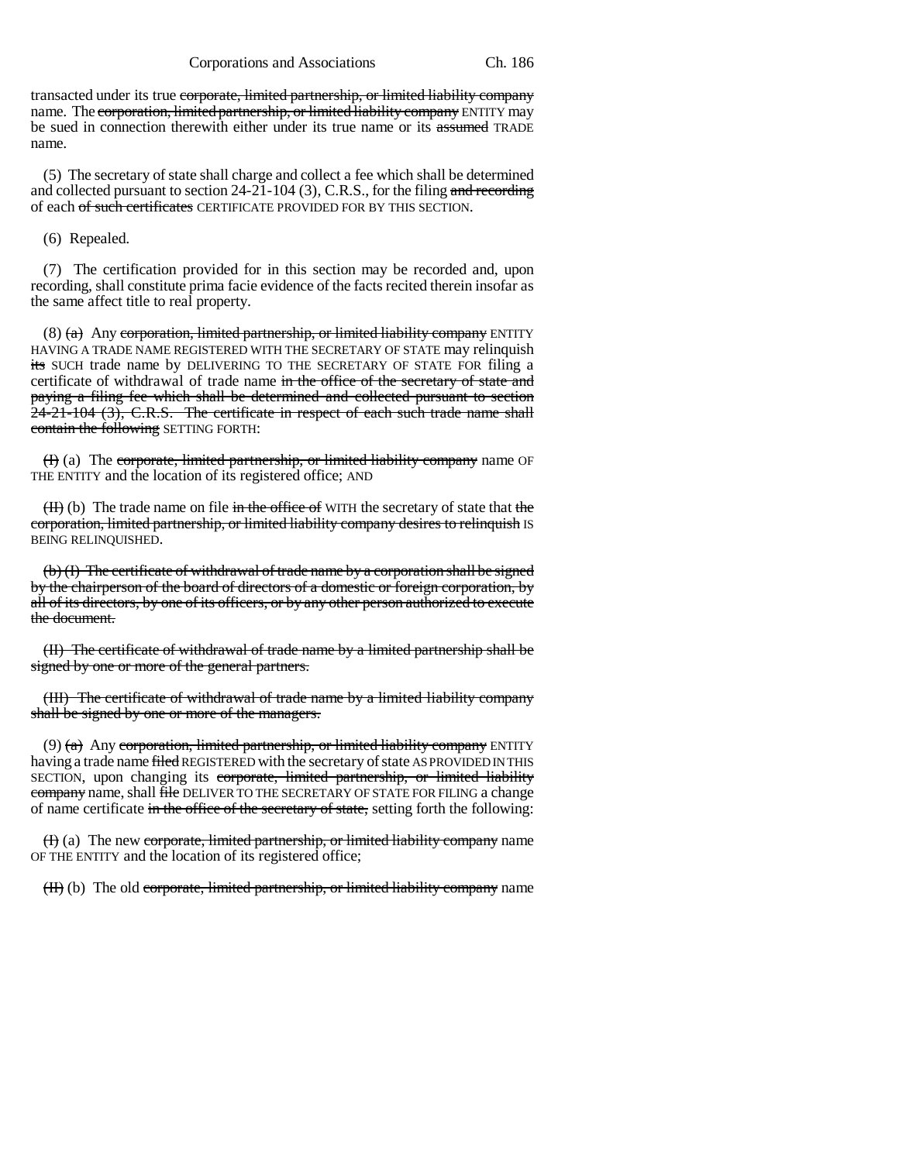transacted under its true corporate, limited partnership, or limited liability company name. The corporation, limited partnership, or limited liability company ENTITY may be sued in connection therewith either under its true name or its assumed TRADE name.

(5) The secretary of state shall charge and collect a fee which shall be determined and collected pursuant to section 24-21-104 (3), C.R.S., for the filing and recording of each of such certificates CERTIFICATE PROVIDED FOR BY THIS SECTION.

(6) Repealed.

(7) The certification provided for in this section may be recorded and, upon recording, shall constitute prima facie evidence of the facts recited therein insofar as the same affect title to real property.

 $(8)$  (a) Any corporation, limited partnership, or limited liability company ENTITY HAVING A TRADE NAME REGISTERED WITH THE SECRETARY OF STATE may relinquish its SUCH trade name by DELIVERING TO THE SECRETARY OF STATE FOR filing a certificate of withdrawal of trade name in the office of the secretary of state and paying a filing fee which shall be determined and collected pursuant to section 24-21-104 (3), C.R.S. The certificate in respect of each such trade name shall contain the following SETTING FORTH:

(H) (a) The corporate, limited partnership, or limited liability company name OF THE ENTITY and the location of its registered office; AND

(H) (b) The trade name on file in the office of WITH the secretary of state that the corporation, limited partnership, or limited liability company desires to relinquish IS BEING RELINQUISHED.

 $(b)$  (I) The certificate of withdrawal of trade name by a corporation shall be signed by the chairperson of the board of directors of a domestic or foreign corporation, by all of its directors, by one of its officers, or by any other person authorized to execute the document.

(II) The certificate of withdrawal of trade name by a limited partnership shall be signed by one or more of the general partners.

(III) The certificate of withdrawal of trade name by a limited liability company shall be signed by one or more of the managers.

(9)  $(a)$  Any corporation, limited partnership, or limited liability company ENTITY having a trade name filed REGISTERED with the secretary of state AS PROVIDED IN THIS SECTION, upon changing its corporate, limited partnership, or limited liability company name, shall file DELIVER TO THE SECRETARY OF STATE FOR FILING a change of name certificate in the office of the secretary of state, setting forth the following:

(H) (a) The new corporate, limited partnership, or limited liability company name OF THE ENTITY and the location of its registered office;

 $(H)$  (b) The old corporate, limited partnership, or limited liability company name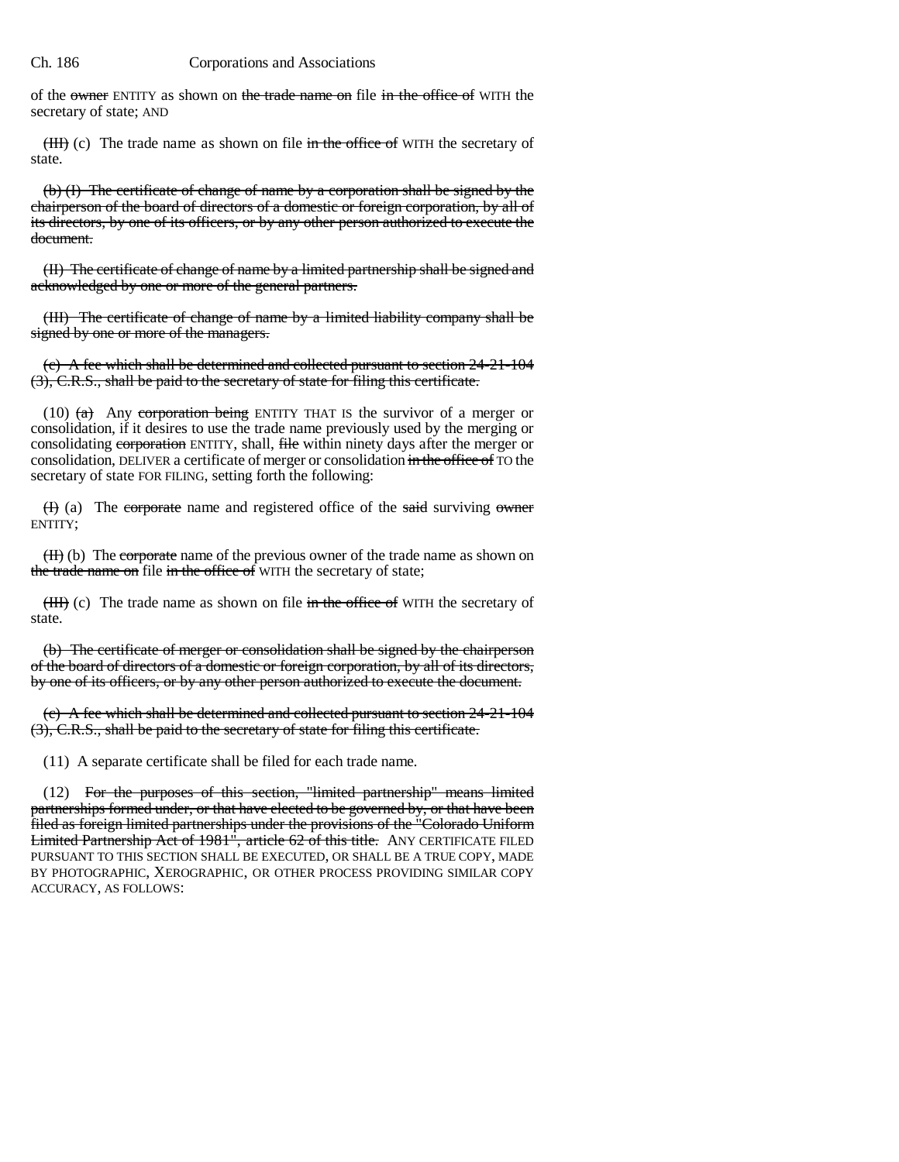of the owner ENTITY as shown on the trade name on file in the office of WITH the secretary of state; AND

(III) (c) The trade name as shown on file in the office of WITH the secretary of state.

(b) (I) The certificate of change of name by a corporation shall be signed by the chairperson of the board of directors of a domestic or foreign corporation, by all of its directors, by one of its officers, or by any other person authorized to execute the document.

(II) The certificate of change of name by a limited partnership shall be signed and acknowledged by one or more of the general partners.

(III) The certificate of change of name by a limited liability company shall be signed by one or more of the managers.

(c) A fee which shall be determined and collected pursuant to section 24-21-104 (3), C.R.S., shall be paid to the secretary of state for filing this certificate.

(10)  $(a)$  Any corporation being ENTITY THAT IS the survivor of a merger or consolidation, if it desires to use the trade name previously used by the merging or consolidating corporation ENTITY, shall, file within ninety days after the merger or consolidation, DELIVER a certificate of merger or consolidation in the office of TO the secretary of state FOR FILING, setting forth the following:

(H) (a) The corporate name and registered office of the said surviving owner ENTITY;

(II) (b) The corporate name of the previous owner of the trade name as shown on the trade name on file in the office of WITH the secretary of state;

(HII) (c) The trade name as shown on file in the office of WITH the secretary of state.

(b) The certificate of merger or consolidation shall be signed by the chairperson of the board of directors of a domestic or foreign corporation, by all of its directors, by one of its officers, or by any other person authorized to execute the document.

(c) A fee which shall be determined and collected pursuant to section 24-21-104 (3), C.R.S., shall be paid to the secretary of state for filing this certificate.

(11) A separate certificate shall be filed for each trade name.

(12) For the purposes of this section, "limited partnership" means limited partnerships formed under, or that have elected to be governed by, or that have been filed as foreign limited partnerships under the provisions of the "Colorado Uniform Limited Partnership Act of 1981", article 62 of this title. ANY CERTIFICATE FILED PURSUANT TO THIS SECTION SHALL BE EXECUTED, OR SHALL BE A TRUE COPY, MADE BY PHOTOGRAPHIC, XEROGRAPHIC, OR OTHER PROCESS PROVIDING SIMILAR COPY ACCURACY, AS FOLLOWS: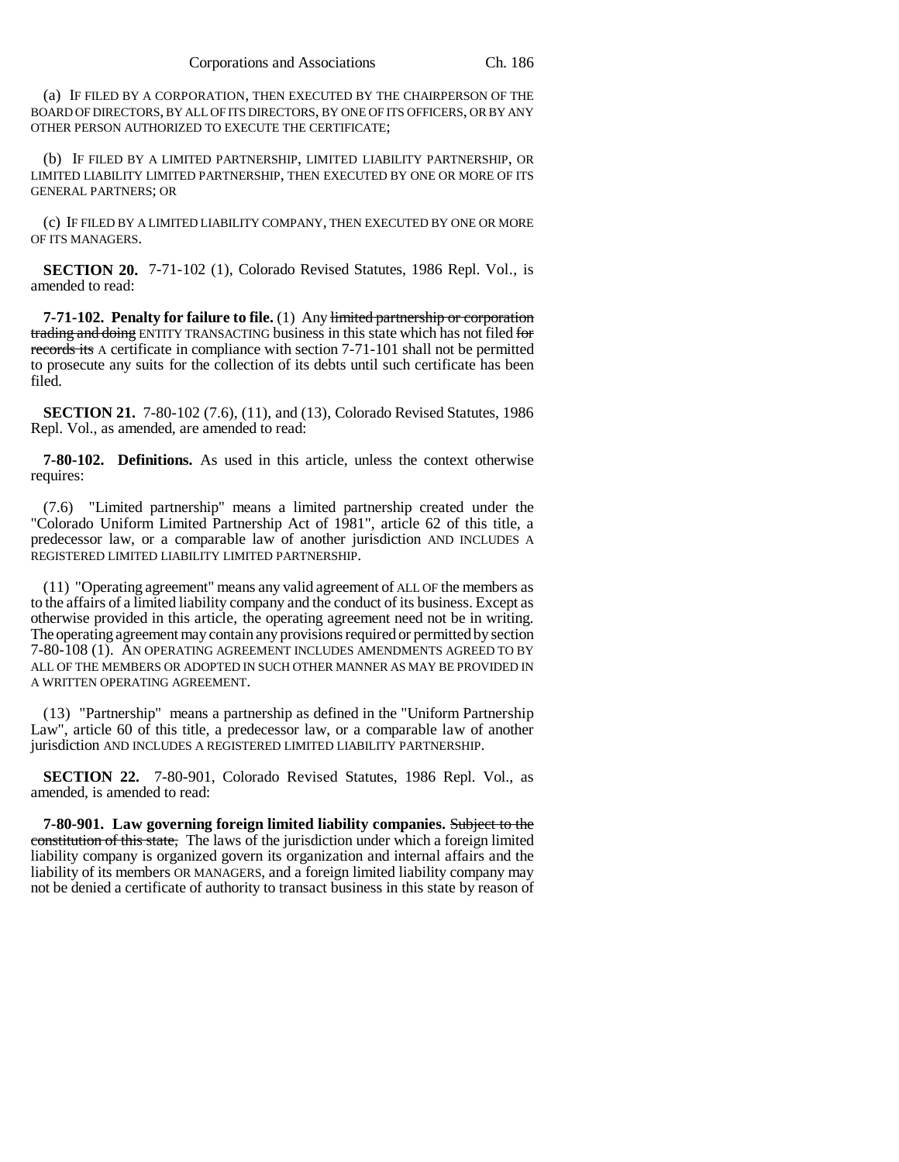(a) IF FILED BY A CORPORATION, THEN EXECUTED BY THE CHAIRPERSON OF THE BOARD OF DIRECTORS, BY ALL OF ITS DIRECTORS, BY ONE OF ITS OFFICERS, OR BY ANY OTHER PERSON AUTHORIZED TO EXECUTE THE CERTIFICATE;

(b) IF FILED BY A LIMITED PARTNERSHIP, LIMITED LIABILITY PARTNERSHIP, OR LIMITED LIABILITY LIMITED PARTNERSHIP, THEN EXECUTED BY ONE OR MORE OF ITS GENERAL PARTNERS; OR

(c) IF FILED BY A LIMITED LIABILITY COMPANY, THEN EXECUTED BY ONE OR MORE OF ITS MANAGERS.

**SECTION 20.** 7-71-102 (1), Colorado Revised Statutes, 1986 Repl. Vol., is amended to read:

**7-71-102. Penalty for failure to file.** (1) Any limited partnership or corporation trading and doing ENTITY TRANSACTING business in this state which has not filed for records its A certificate in compliance with section 7-71-101 shall not be permitted to prosecute any suits for the collection of its debts until such certificate has been filed.

**SECTION 21.** 7-80-102 (7.6), (11), and (13), Colorado Revised Statutes, 1986 Repl. Vol., as amended, are amended to read:

**7-80-102. Definitions.** As used in this article, unless the context otherwise requires:

(7.6) "Limited partnership" means a limited partnership created under the "Colorado Uniform Limited Partnership Act of 1981", article 62 of this title, a predecessor law, or a comparable law of another jurisdiction AND INCLUDES A REGISTERED LIMITED LIABILITY LIMITED PARTNERSHIP.

(11) "Operating agreement" means any valid agreement of ALL OF the members as to the affairs of a limited liability company and the conduct of its business. Except as otherwise provided in this article, the operating agreement need not be in writing. The operating agreement may contain any provisions required or permitted by section 7-80-108 (1). AN OPERATING AGREEMENT INCLUDES AMENDMENTS AGREED TO BY ALL OF THE MEMBERS OR ADOPTED IN SUCH OTHER MANNER AS MAY BE PROVIDED IN A WRITTEN OPERATING AGREEMENT.

(13) "Partnership" means a partnership as defined in the "Uniform Partnership Law", article 60 of this title, a predecessor law, or a comparable law of another jurisdiction AND INCLUDES A REGISTERED LIMITED LIABILITY PARTNERSHIP.

**SECTION 22.** 7-80-901, Colorado Revised Statutes, 1986 Repl. Vol., as amended, is amended to read:

**7-80-901. Law governing foreign limited liability companies.** Subject to the constitution of this state, The laws of the jurisdiction under which a foreign limited liability company is organized govern its organization and internal affairs and the liability of its members OR MANAGERS, and a foreign limited liability company may not be denied a certificate of authority to transact business in this state by reason of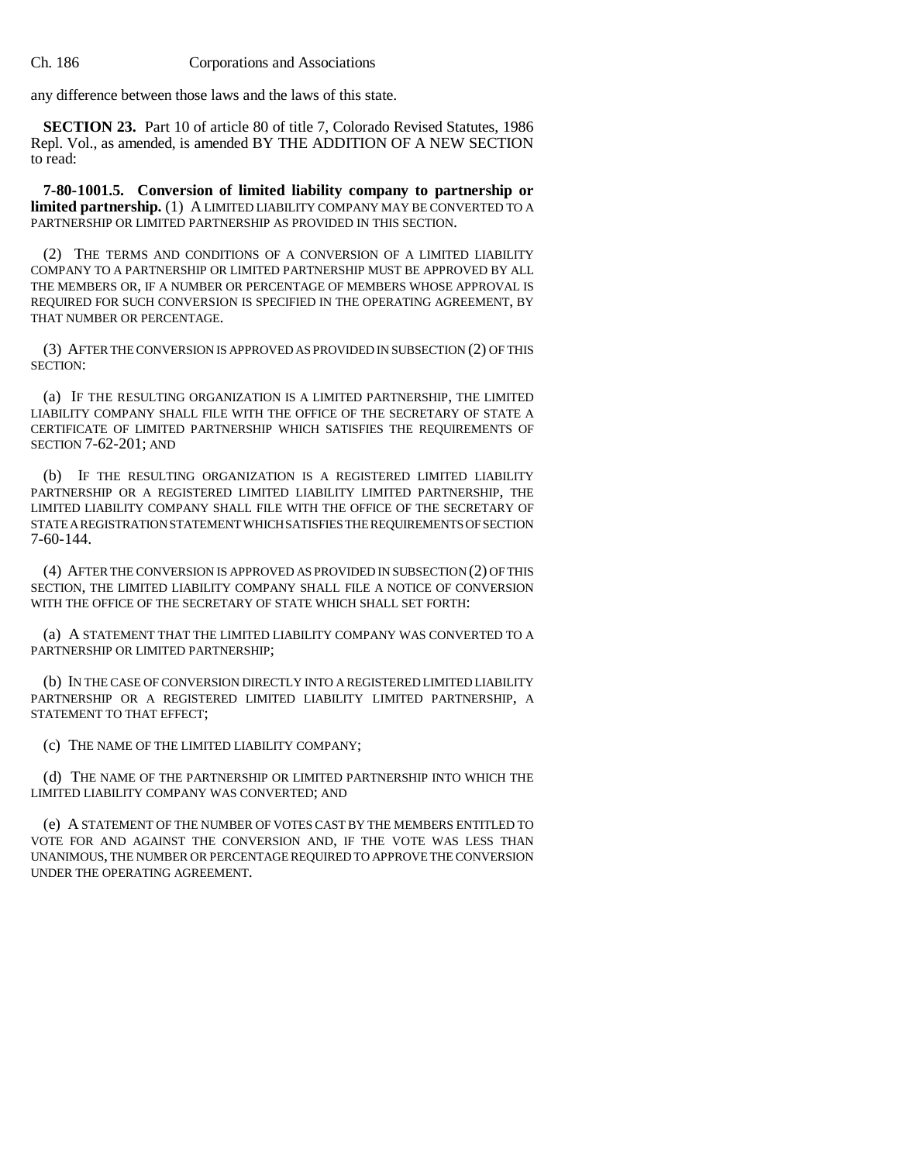any difference between those laws and the laws of this state.

**SECTION 23.** Part 10 of article 80 of title 7, Colorado Revised Statutes, 1986 Repl. Vol., as amended, is amended BY THE ADDITION OF A NEW SECTION to read:

**7-80-1001.5. Conversion of limited liability company to partnership or limited partnership.** (1) A LIMITED LIABILITY COMPANY MAY BE CONVERTED TO A PARTNERSHIP OR LIMITED PARTNERSHIP AS PROVIDED IN THIS SECTION.

(2) THE TERMS AND CONDITIONS OF A CONVERSION OF A LIMITED LIABILITY COMPANY TO A PARTNERSHIP OR LIMITED PARTNERSHIP MUST BE APPROVED BY ALL THE MEMBERS OR, IF A NUMBER OR PERCENTAGE OF MEMBERS WHOSE APPROVAL IS REQUIRED FOR SUCH CONVERSION IS SPECIFIED IN THE OPERATING AGREEMENT, BY THAT NUMBER OR PERCENTAGE.

(3) AFTER THE CONVERSION IS APPROVED AS PROVIDED IN SUBSECTION (2) OF THIS SECTION:

(a) IF THE RESULTING ORGANIZATION IS A LIMITED PARTNERSHIP, THE LIMITED LIABILITY COMPANY SHALL FILE WITH THE OFFICE OF THE SECRETARY OF STATE A CERTIFICATE OF LIMITED PARTNERSHIP WHICH SATISFIES THE REQUIREMENTS OF SECTION 7-62-201; AND

(b) IF THE RESULTING ORGANIZATION IS A REGISTERED LIMITED LIABILITY PARTNERSHIP OR A REGISTERED LIMITED LIABILITY LIMITED PARTNERSHIP, THE LIMITED LIABILITY COMPANY SHALL FILE WITH THE OFFICE OF THE SECRETARY OF STATE A REGISTRATION STATEMENT WHICH SATISFIES THE REQUIREMENTS OF SECTION 7-60-144.

(4) AFTER THE CONVERSION IS APPROVED AS PROVIDED IN SUBSECTION (2) OF THIS SECTION, THE LIMITED LIABILITY COMPANY SHALL FILE A NOTICE OF CONVERSION WITH THE OFFICE OF THE SECRETARY OF STATE WHICH SHALL SET FORTH:

(a) A STATEMENT THAT THE LIMITED LIABILITY COMPANY WAS CONVERTED TO A PARTNERSHIP OR LIMITED PARTNERSHIP;

(b) IN THE CASE OF CONVERSION DIRECTLY INTO A REGISTERED LIMITED LIABILITY PARTNERSHIP OR A REGISTERED LIMITED LIABILITY LIMITED PARTNERSHIP, A STATEMENT TO THAT EFFECT;

(c) THE NAME OF THE LIMITED LIABILITY COMPANY;

(d) THE NAME OF THE PARTNERSHIP OR LIMITED PARTNERSHIP INTO WHICH THE LIMITED LIABILITY COMPANY WAS CONVERTED; AND

(e) A STATEMENT OF THE NUMBER OF VOTES CAST BY THE MEMBERS ENTITLED TO VOTE FOR AND AGAINST THE CONVERSION AND, IF THE VOTE WAS LESS THAN UNANIMOUS, THE NUMBER OR PERCENTAGE REQUIRED TO APPROVE THE CONVERSION UNDER THE OPERATING AGREEMENT.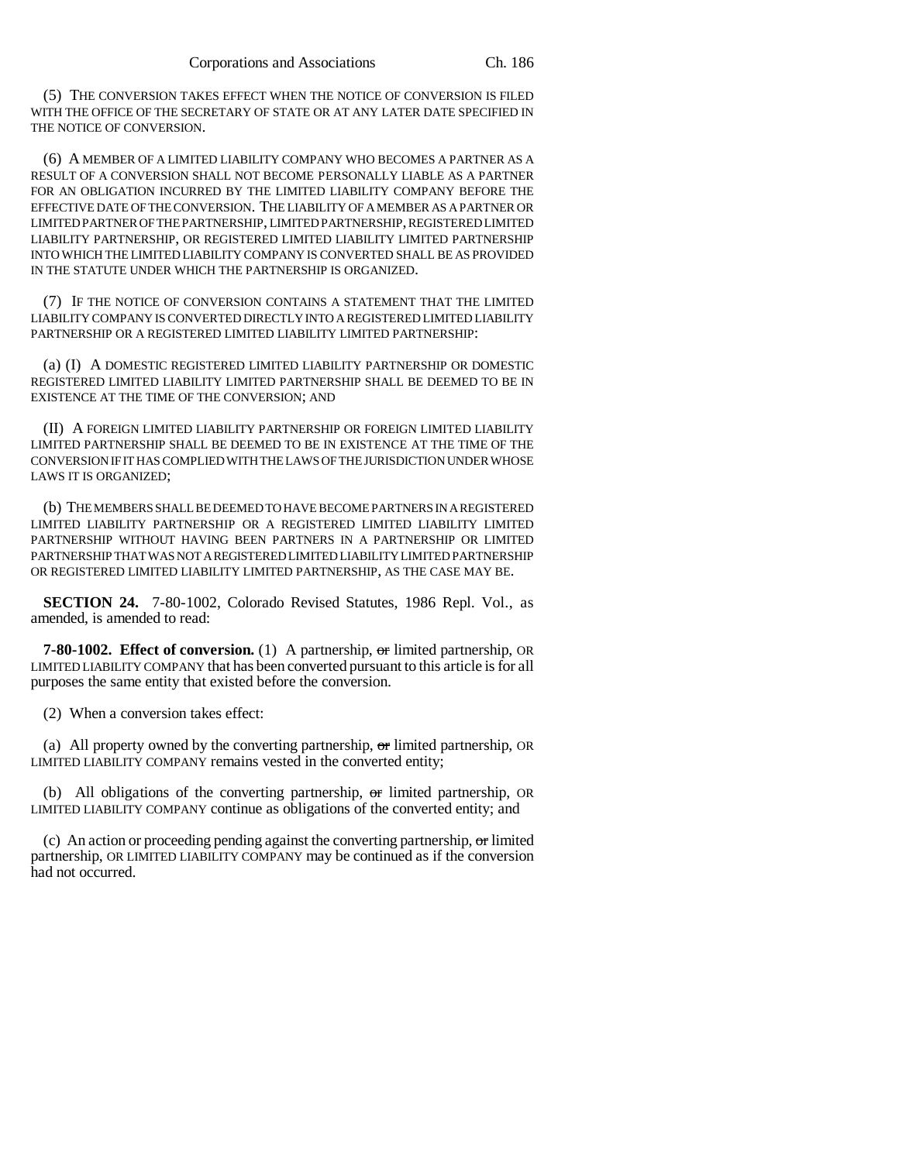(5) THE CONVERSION TAKES EFFECT WHEN THE NOTICE OF CONVERSION IS FILED WITH THE OFFICE OF THE SECRETARY OF STATE OR AT ANY LATER DATE SPECIFIED IN THE NOTICE OF CONVERSION.

(6) A MEMBER OF A LIMITED LIABILITY COMPANY WHO BECOMES A PARTNER AS A RESULT OF A CONVERSION SHALL NOT BECOME PERSONALLY LIABLE AS A PARTNER FOR AN OBLIGATION INCURRED BY THE LIMITED LIABILITY COMPANY BEFORE THE EFFECTIVE DATE OF THE CONVERSION. THE LIABILITY OF A MEMBER AS A PARTNER OR LIMITED PARTNER OF THE PARTNERSHIP, LIMITED PARTNERSHIP, REGISTERED LIMITED LIABILITY PARTNERSHIP, OR REGISTERED LIMITED LIABILITY LIMITED PARTNERSHIP INTO WHICH THE LIMITED LIABILITY COMPANY IS CONVERTED SHALL BE AS PROVIDED IN THE STATUTE UNDER WHICH THE PARTNERSHIP IS ORGANIZED.

(7) IF THE NOTICE OF CONVERSION CONTAINS A STATEMENT THAT THE LIMITED LIABILITY COMPANY IS CONVERTED DIRECTLY INTO A REGISTERED LIMITED LIABILITY PARTNERSHIP OR A REGISTERED LIMITED LIABILITY LIMITED PARTNERSHIP:

(a) (I) A DOMESTIC REGISTERED LIMITED LIABILITY PARTNERSHIP OR DOMESTIC REGISTERED LIMITED LIABILITY LIMITED PARTNERSHIP SHALL BE DEEMED TO BE IN EXISTENCE AT THE TIME OF THE CONVERSION; AND

(II) A FOREIGN LIMITED LIABILITY PARTNERSHIP OR FOREIGN LIMITED LIABILITY LIMITED PARTNERSHIP SHALL BE DEEMED TO BE IN EXISTENCE AT THE TIME OF THE CONVERSION IF IT HAS COMPLIED WITH THE LAWS OF THE JURISDICTION UNDER WHOSE LAWS IT IS ORGANIZED;

(b) THE MEMBERS SHALL BE DEEMED TO HAVE BECOME PARTNERS IN A REGISTERED LIMITED LIABILITY PARTNERSHIP OR A REGISTERED LIMITED LIABILITY LIMITED PARTNERSHIP WITHOUT HAVING BEEN PARTNERS IN A PARTNERSHIP OR LIMITED PARTNERSHIP THAT WAS NOT A REGISTERED LIMITED LIABILITY LIMITED PARTNERSHIP OR REGISTERED LIMITED LIABILITY LIMITED PARTNERSHIP, AS THE CASE MAY BE.

**SECTION 24.** 7-80-1002, Colorado Revised Statutes, 1986 Repl. Vol., as amended, is amended to read:

**7-80-1002. Effect of conversion.** (1) A partnership, or limited partnership, OR LIMITED LIABILITY COMPANY that has been converted pursuant to this article is for all purposes the same entity that existed before the conversion.

(2) When a conversion takes effect:

(a) All property owned by the converting partnership,  $\sigma$ r limited partnership, OR LIMITED LIABILITY COMPANY remains vested in the converted entity;

(b) All obligations of the converting partnership, or limited partnership, OR LIMITED LIABILITY COMPANY continue as obligations of the converted entity; and

(c) An action or proceeding pending against the converting partnership,  $\sigma$  limited partnership, OR LIMITED LIABILITY COMPANY may be continued as if the conversion had not occurred.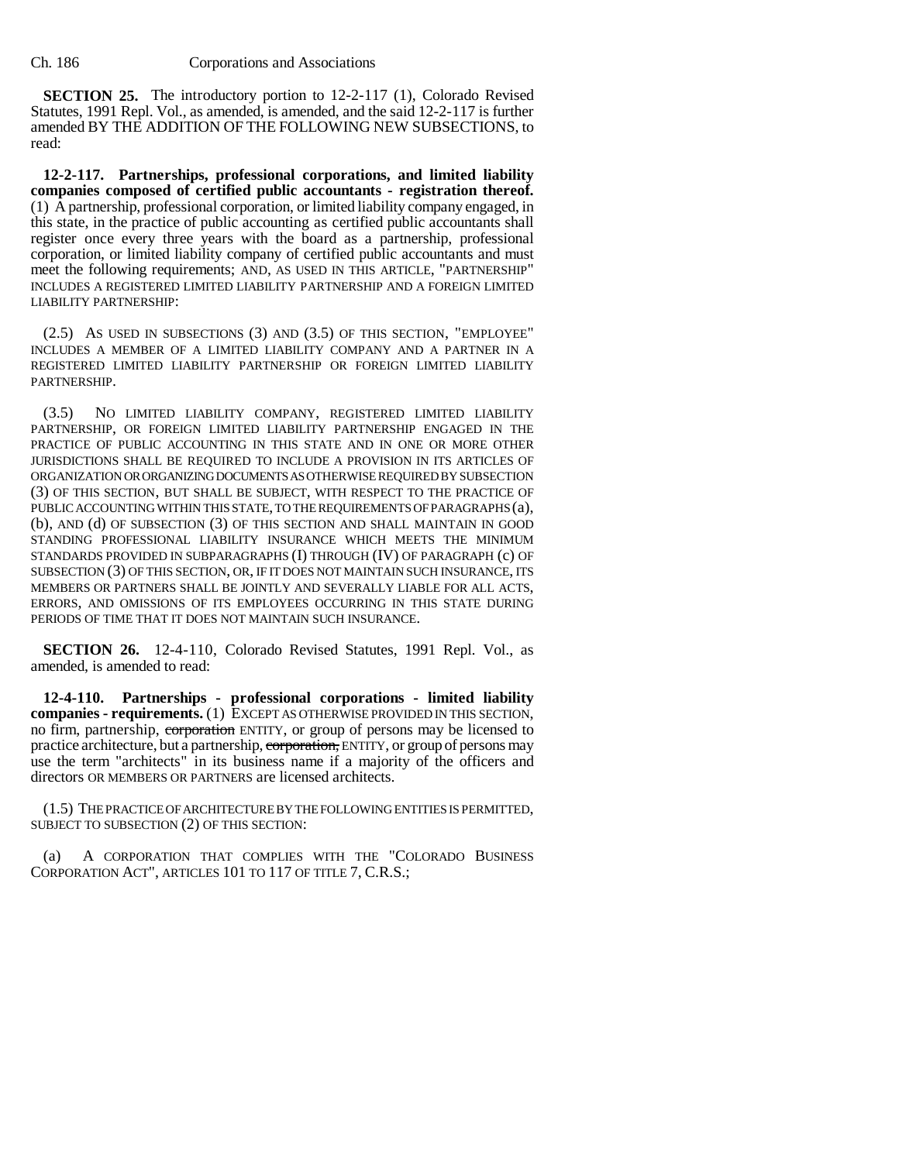**SECTION 25.** The introductory portion to 12-2-117 (1), Colorado Revised Statutes, 1991 Repl. Vol., as amended, is amended, and the said 12-2-117 is further amended BY THE ADDITION OF THE FOLLOWING NEW SUBSECTIONS, to read:

**12-2-117. Partnerships, professional corporations, and limited liability companies composed of certified public accountants - registration thereof.** (1) A partnership, professional corporation, or limited liability company engaged, in this state, in the practice of public accounting as certified public accountants shall register once every three years with the board as a partnership, professional corporation, or limited liability company of certified public accountants and must meet the following requirements; AND, AS USED IN THIS ARTICLE, "PARTNERSHIP" INCLUDES A REGISTERED LIMITED LIABILITY PARTNERSHIP AND A FOREIGN LIMITED LIABILITY PARTNERSHIP:

(2.5) AS USED IN SUBSECTIONS (3) AND (3.5) OF THIS SECTION, "EMPLOYEE" INCLUDES A MEMBER OF A LIMITED LIABILITY COMPANY AND A PARTNER IN A REGISTERED LIMITED LIABILITY PARTNERSHIP OR FOREIGN LIMITED LIABILITY PARTNERSHIP.

(3.5) NO LIMITED LIABILITY COMPANY, REGISTERED LIMITED LIABILITY PARTNERSHIP, OR FOREIGN LIMITED LIABILITY PARTNERSHIP ENGAGED IN THE PRACTICE OF PUBLIC ACCOUNTING IN THIS STATE AND IN ONE OR MORE OTHER JURISDICTIONS SHALL BE REQUIRED TO INCLUDE A PROVISION IN ITS ARTICLES OF ORGANIZATION OR ORGANIZING DOCUMENTS AS OTHERWISE REQUIRED BY SUBSECTION (3) OF THIS SECTION, BUT SHALL BE SUBJECT, WITH RESPECT TO THE PRACTICE OF PUBLIC ACCOUNTING WITHIN THIS STATE, TO THE REQUIREMENTS OF PARAGRAPHS (a), (b), AND (d) OF SUBSECTION (3) OF THIS SECTION AND SHALL MAINTAIN IN GOOD STANDING PROFESSIONAL LIABILITY INSURANCE WHICH MEETS THE MINIMUM STANDARDS PROVIDED IN SUBPARAGRAPHS (I) THROUGH (IV) OF PARAGRAPH (c) OF SUBSECTION (3) OF THIS SECTION, OR, IF IT DOES NOT MAINTAIN SUCH INSURANCE, ITS MEMBERS OR PARTNERS SHALL BE JOINTLY AND SEVERALLY LIABLE FOR ALL ACTS, ERRORS, AND OMISSIONS OF ITS EMPLOYEES OCCURRING IN THIS STATE DURING PERIODS OF TIME THAT IT DOES NOT MAINTAIN SUCH INSURANCE.

**SECTION 26.** 12-4-110, Colorado Revised Statutes, 1991 Repl. Vol., as amended, is amended to read:

**12-4-110. Partnerships - professional corporations - limited liability companies - requirements.** (1) EXCEPT AS OTHERWISE PROVIDED IN THIS SECTION, no firm, partnership, corporation ENTITY, or group of persons may be licensed to practice architecture, but a partnership, corporation, ENTITY, or group of persons may use the term "architects" in its business name if a majority of the officers and directors OR MEMBERS OR PARTNERS are licensed architects.

(1.5) THE PRACTICE OF ARCHITECTURE BY THE FOLLOWING ENTITIES IS PERMITTED, SUBJECT TO SUBSECTION (2) OF THIS SECTION:

(a) A CORPORATION THAT COMPLIES WITH THE "COLORADO BUSINESS CORPORATION ACT", ARTICLES 101 TO 117 OF TITLE 7, C.R.S.;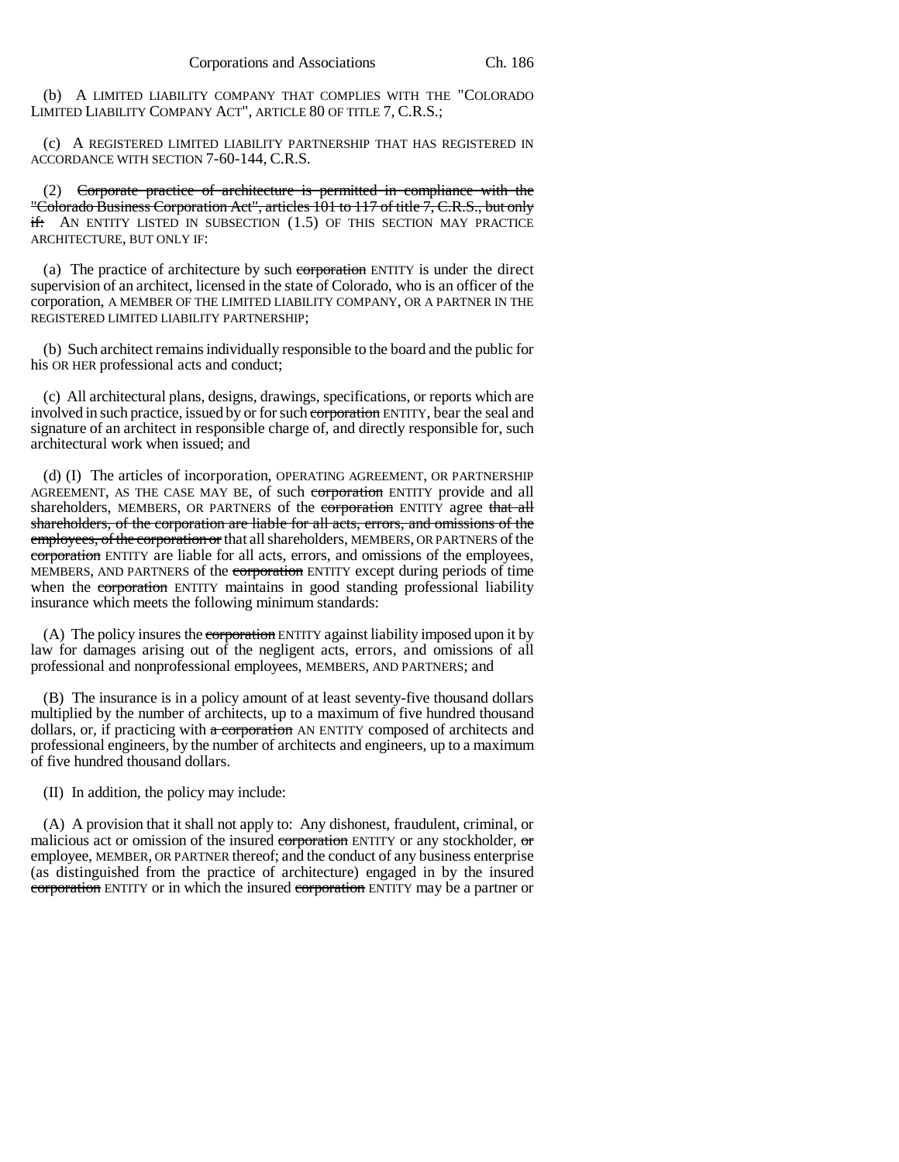(b) A LIMITED LIABILITY COMPANY THAT COMPLIES WITH THE "COLORADO LIMITED LIABILITY COMPANY ACT", ARTICLE 80 OF TITLE 7, C.R.S.;

(c) A REGISTERED LIMITED LIABILITY PARTNERSHIP THAT HAS REGISTERED IN ACCORDANCE WITH SECTION 7-60-144, C.R.S.

(2) Corporate practice of architecture is permitted in compliance with the "Colorado Business Corporation Act", articles 101 to 117 of title 7, C.R.S., but only  $\frac{d}{dt}$ : AN ENTITY LISTED IN SUBSECTION (1.5) OF THIS SECTION MAY PRACTICE ARCHITECTURE, BUT ONLY IF:

(a) The practice of architecture by such corporation ENTITY is under the direct supervision of an architect, licensed in the state of Colorado, who is an officer of the corporation, A MEMBER OF THE LIMITED LIABILITY COMPANY, OR A PARTNER IN THE REGISTERED LIMITED LIABILITY PARTNERSHIP;

(b) Such architect remains individually responsible to the board and the public for his OR HER professional acts and conduct;

(c) All architectural plans, designs, drawings, specifications, or reports which are involved in such practice, issued by or for such corporation ENTITY, bear the seal and signature of an architect in responsible charge of, and directly responsible for, such architectural work when issued; and

(d) (I) The articles of incorporation, OPERATING AGREEMENT, OR PARTNERSHIP AGREEMENT, AS THE CASE MAY BE, of such corporation ENTITY provide and all shareholders, MEMBERS, OR PARTNERS of the corporation ENTITY agree that all shareholders, of the corporation are liable for all acts, errors, and omissions of the employees, of the corporation or that all shareholders, MEMBERS, OR PARTNERS of the corporation ENTITY are liable for all acts, errors, and omissions of the employees, MEMBERS, AND PARTNERS of the corporation ENTITY except during periods of time when the corporation ENTITY maintains in good standing professional liability insurance which meets the following minimum standards:

(A) The policy insures the corporation ENTITY against liability imposed upon it by law for damages arising out of the negligent acts, errors, and omissions of all professional and nonprofessional employees, MEMBERS, AND PARTNERS; and

(B) The insurance is in a policy amount of at least seventy-five thousand dollars multiplied by the number of architects, up to a maximum of five hundred thousand dollars, or, if practicing with a corporation AN ENTITY composed of architects and professional engineers, by the number of architects and engineers, up to a maximum of five hundred thousand dollars.

(II) In addition, the policy may include:

(A) A provision that it shall not apply to: Any dishonest, fraudulent, criminal, or malicious act or omission of the insured corporation ENTITY or any stockholder,  $\sigma$ employee, MEMBER, OR PARTNER thereof; and the conduct of any business enterprise (as distinguished from the practice of architecture) engaged in by the insured corporation ENTITY or in which the insured corporation ENTITY may be a partner or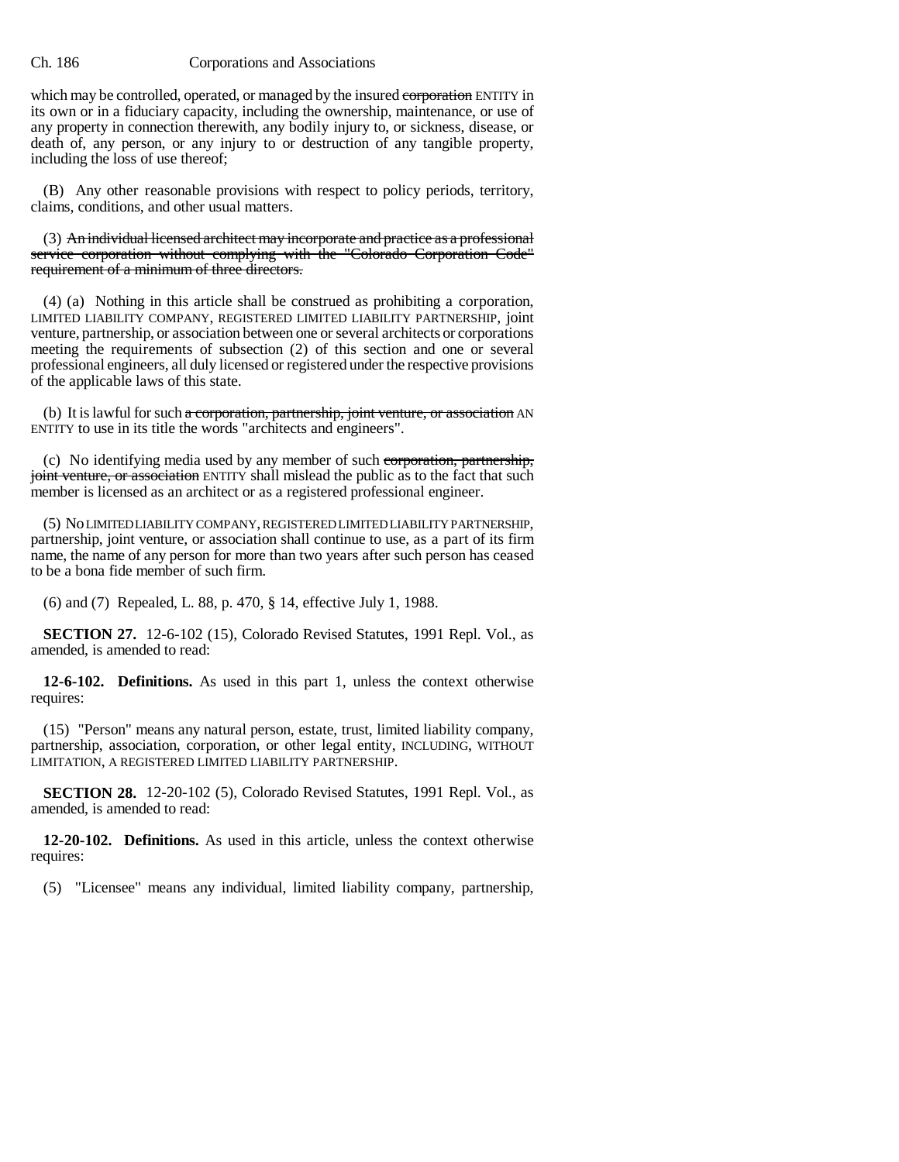which may be controlled, operated, or managed by the insured corporation ENTITY in its own or in a fiduciary capacity, including the ownership, maintenance, or use of any property in connection therewith, any bodily injury to, or sickness, disease, or death of, any person, or any injury to or destruction of any tangible property, including the loss of use thereof;

(B) Any other reasonable provisions with respect to policy periods, territory, claims, conditions, and other usual matters.

(3) An individual licensed architect may incorporate and practice as a professional service corporation without complying with the "Colorado Corporation Code" requirement of a minimum of three directors.

(4) (a) Nothing in this article shall be construed as prohibiting a corporation, LIMITED LIABILITY COMPANY, REGISTERED LIMITED LIABILITY PARTNERSHIP, joint venture, partnership, or association between one or several architects or corporations meeting the requirements of subsection (2) of this section and one or several professional engineers, all duly licensed or registered under the respective provisions of the applicable laws of this state.

(b) It is lawful for such a corporation, partnership, joint venture, or association AN ENTITY to use in its title the words "architects and engineers".

(c) No identifying media used by any member of such corporation, partnership, joint venture, or association ENTITY shall mislead the public as to the fact that such member is licensed as an architect or as a registered professional engineer.

(5) No LIMITED LIABILITY COMPANY, REGISTERED LIMITED LIABILITY PARTNERSHIP, partnership, joint venture, or association shall continue to use, as a part of its firm name, the name of any person for more than two years after such person has ceased to be a bona fide member of such firm.

(6) and (7) Repealed, L. 88, p. 470, § 14, effective July 1, 1988.

**SECTION 27.** 12-6-102 (15), Colorado Revised Statutes, 1991 Repl. Vol., as amended, is amended to read:

**12-6-102. Definitions.** As used in this part 1, unless the context otherwise requires:

(15) "Person" means any natural person, estate, trust, limited liability company, partnership, association, corporation, or other legal entity, INCLUDING, WITHOUT LIMITATION, A REGISTERED LIMITED LIABILITY PARTNERSHIP.

**SECTION 28.** 12-20-102 (5), Colorado Revised Statutes, 1991 Repl. Vol., as amended, is amended to read:

**12-20-102. Definitions.** As used in this article, unless the context otherwise requires:

(5) "Licensee" means any individual, limited liability company, partnership,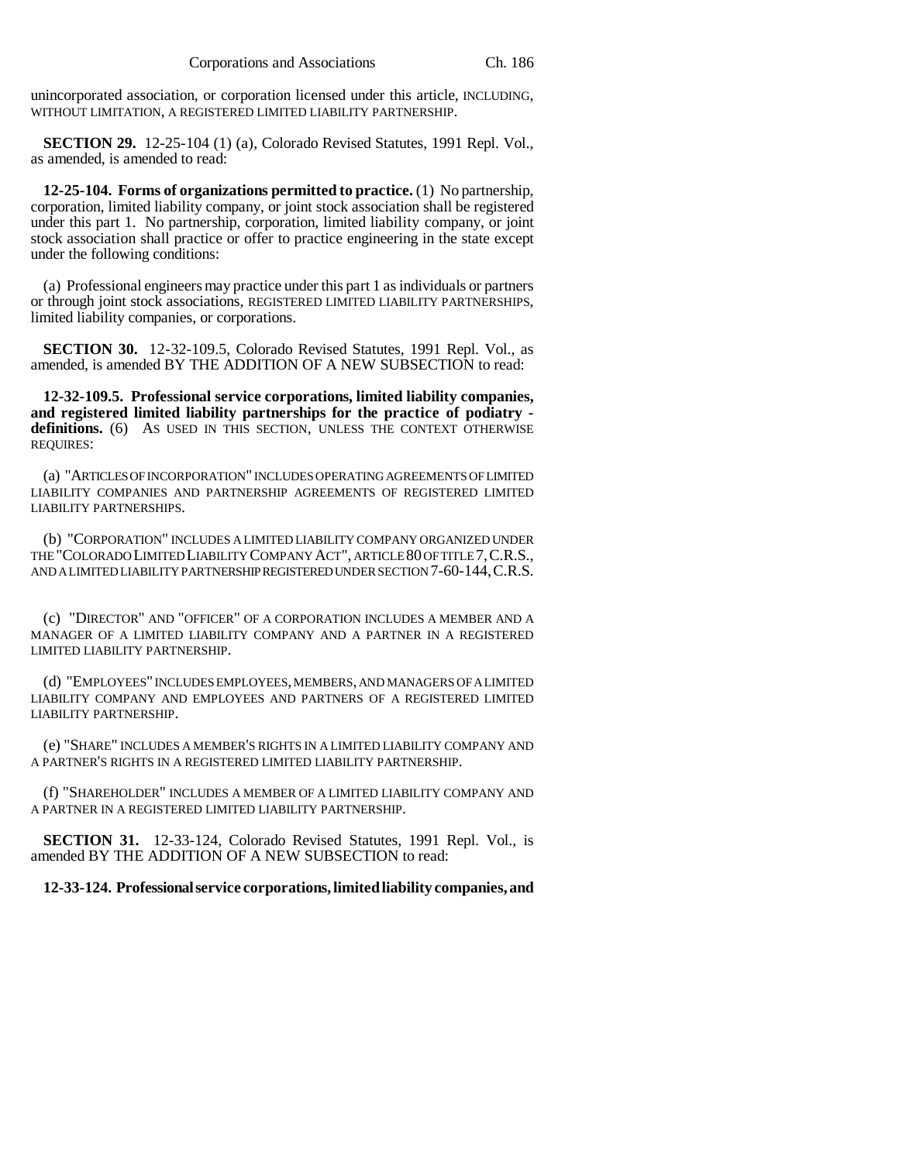unincorporated association, or corporation licensed under this article, INCLUDING, WITHOUT LIMITATION, A REGISTERED LIMITED LIABILITY PARTNERSHIP.

**SECTION 29.** 12-25-104 (1) (a), Colorado Revised Statutes, 1991 Repl. Vol., as amended, is amended to read:

**12-25-104. Forms of organizations permitted to practice.** (1) No partnership, corporation, limited liability company, or joint stock association shall be registered under this part 1. No partnership, corporation, limited liability company, or joint stock association shall practice or offer to practice engineering in the state except under the following conditions:

(a) Professional engineers may practice under this part 1 as individuals or partners or through joint stock associations, REGISTERED LIMITED LIABILITY PARTNERSHIPS, limited liability companies, or corporations.

**SECTION 30.** 12-32-109.5, Colorado Revised Statutes, 1991 Repl. Vol., as amended, is amended BY THE ADDITION OF A NEW SUBSECTION to read:

**12-32-109.5. Professional service corporations, limited liability companies, and registered limited liability partnerships for the practice of podiatry**  definitions. (6) As USED IN THIS SECTION, UNLESS THE CONTEXT OTHERWISE REQUIRES:

(a) "ARTICLES OF INCORPORATION" INCLUDES OPERATING AGREEMENTS OF LIMITED LIABILITY COMPANIES AND PARTNERSHIP AGREEMENTS OF REGISTERED LIMITED LIABILITY PARTNERSHIPS.

(b) "CORPORATION" INCLUDES A LIMITED LIABILITY COMPANY ORGANIZED UNDER THE "COLORADO LIMITED LIABILITY COMPANY ACT", ARTICLE 80 OF TITLE 7,C.R.S., AND A LIMITED LIABILITY PARTNERSHIP REGISTERED UNDER SECTION 7-60-144,C.R.S.

(c) "DIRECTOR" AND "OFFICER" OF A CORPORATION INCLUDES A MEMBER AND A MANAGER OF A LIMITED LIABILITY COMPANY AND A PARTNER IN A REGISTERED LIMITED LIABILITY PARTNERSHIP.

(d) "EMPLOYEES" INCLUDES EMPLOYEES, MEMBERS, AND MANAGERS OF A LIMITED LIABILITY COMPANY AND EMPLOYEES AND PARTNERS OF A REGISTERED LIMITED LIABILITY PARTNERSHIP.

(e) "SHARE" INCLUDES A MEMBER'S RIGHTS IN A LIMITED LIABILITY COMPANY AND A PARTNER'S RIGHTS IN A REGISTERED LIMITED LIABILITY PARTNERSHIP.

(f) "SHAREHOLDER" INCLUDES A MEMBER OF A LIMITED LIABILITY COMPANY AND A PARTNER IN A REGISTERED LIMITED LIABILITY PARTNERSHIP.

**SECTION 31.** 12-33-124, Colorado Revised Statutes, 1991 Repl. Vol., is amended BY THE ADDITION OF A NEW SUBSECTION to read:

# **12-33-124. Professional service corporations, limited liability companies, and**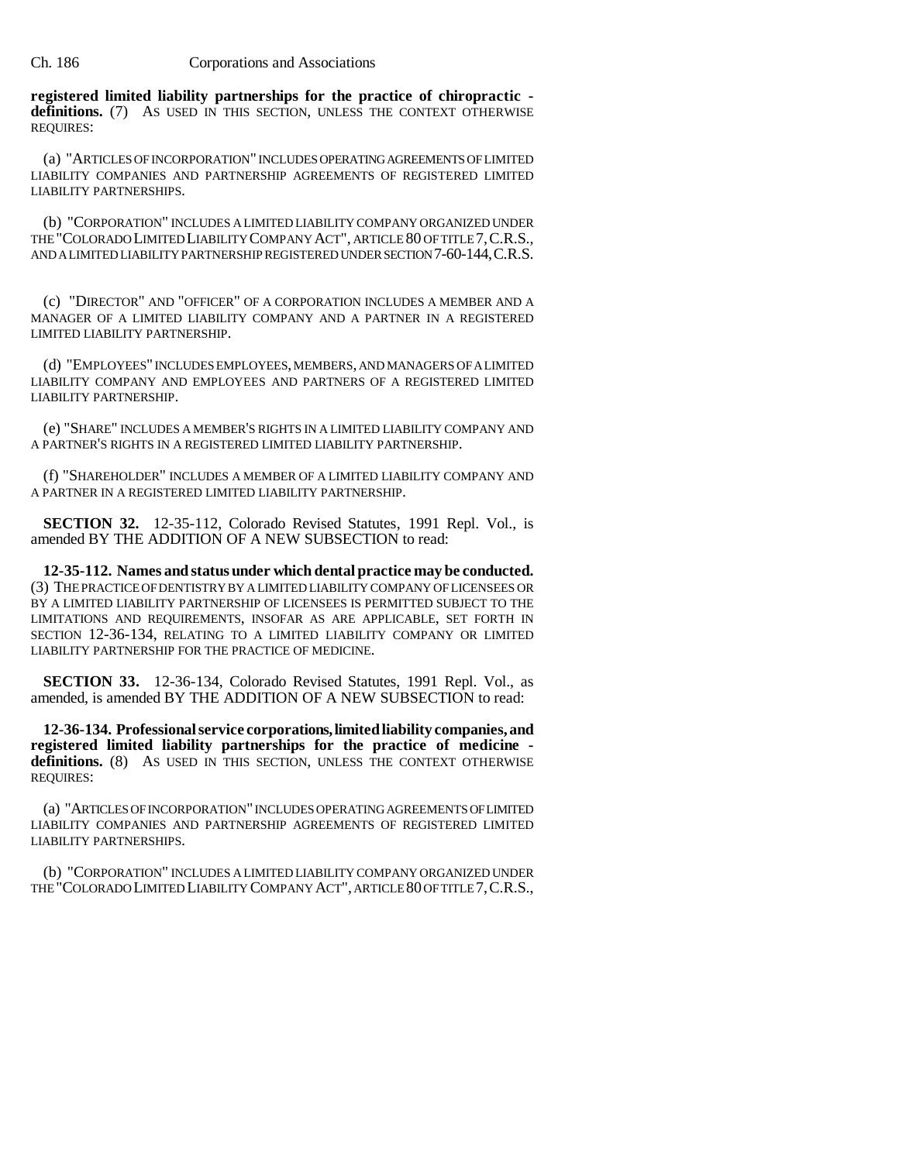**registered limited liability partnerships for the practice of chiropractic**  definitions. (7) AS USED IN THIS SECTION, UNLESS THE CONTEXT OTHERWISE REQUIRES:

(a) "ARTICLES OF INCORPORATION" INCLUDES OPERATING AGREEMENTS OF LIMITED LIABILITY COMPANIES AND PARTNERSHIP AGREEMENTS OF REGISTERED LIMITED LIABILITY PARTNERSHIPS.

(b) "CORPORATION" INCLUDES A LIMITED LIABILITY COMPANY ORGANIZED UNDER THE "COLORADO LIMITED LIABILITY COMPANY ACT", ARTICLE 80 OF TITLE 7,C.R.S., AND A LIMITED LIABILITY PARTNERSHIP REGISTERED UNDER SECTION 7-60-144,C.R.S.

(c) "DIRECTOR" AND "OFFICER" OF A CORPORATION INCLUDES A MEMBER AND A MANAGER OF A LIMITED LIABILITY COMPANY AND A PARTNER IN A REGISTERED LIMITED LIABILITY PARTNERSHIP.

(d) "EMPLOYEES" INCLUDES EMPLOYEES, MEMBERS, AND MANAGERS OF A LIMITED LIABILITY COMPANY AND EMPLOYEES AND PARTNERS OF A REGISTERED LIMITED LIABILITY PARTNERSHIP.

(e) "SHARE" INCLUDES A MEMBER'S RIGHTS IN A LIMITED LIABILITY COMPANY AND A PARTNER'S RIGHTS IN A REGISTERED LIMITED LIABILITY PARTNERSHIP.

(f) "SHAREHOLDER" INCLUDES A MEMBER OF A LIMITED LIABILITY COMPANY AND A PARTNER IN A REGISTERED LIMITED LIABILITY PARTNERSHIP.

**SECTION 32.** 12-35-112, Colorado Revised Statutes, 1991 Repl. Vol., is amended BY THE ADDITION OF A NEW SUBSECTION to read:

**12-35-112. Names and status under which dental practice may be conducted.** (3) THE PRACTICE OF DENTISTRY BY A LIMITED LIABILITY COMPANY OF LICENSEES OR BY A LIMITED LIABILITY PARTNERSHIP OF LICENSEES IS PERMITTED SUBJECT TO THE LIMITATIONS AND REQUIREMENTS, INSOFAR AS ARE APPLICABLE, SET FORTH IN SECTION 12-36-134, RELATING TO A LIMITED LIABILITY COMPANY OR LIMITED LIABILITY PARTNERSHIP FOR THE PRACTICE OF MEDICINE.

**SECTION 33.** 12-36-134, Colorado Revised Statutes, 1991 Repl. Vol., as amended, is amended BY THE ADDITION OF A NEW SUBSECTION to read:

**12-36-134. Professional service corporations, limited liability companies, and registered limited liability partnerships for the practice of medicine**  definitions. (8) AS USED IN THIS SECTION, UNLESS THE CONTEXT OTHERWISE REQUIRES:

(a) "ARTICLES OF INCORPORATION" INCLUDES OPERATING AGREEMENTS OF LIMITED LIABILITY COMPANIES AND PARTNERSHIP AGREEMENTS OF REGISTERED LIMITED LIABILITY PARTNERSHIPS.

(b) "CORPORATION" INCLUDES A LIMITED LIABILITY COMPANY ORGANIZED UNDER THE "COLORADO LIMITED LIABILITY COMPANY ACT", ARTICLE 80 OF TITLE 7,C.R.S.,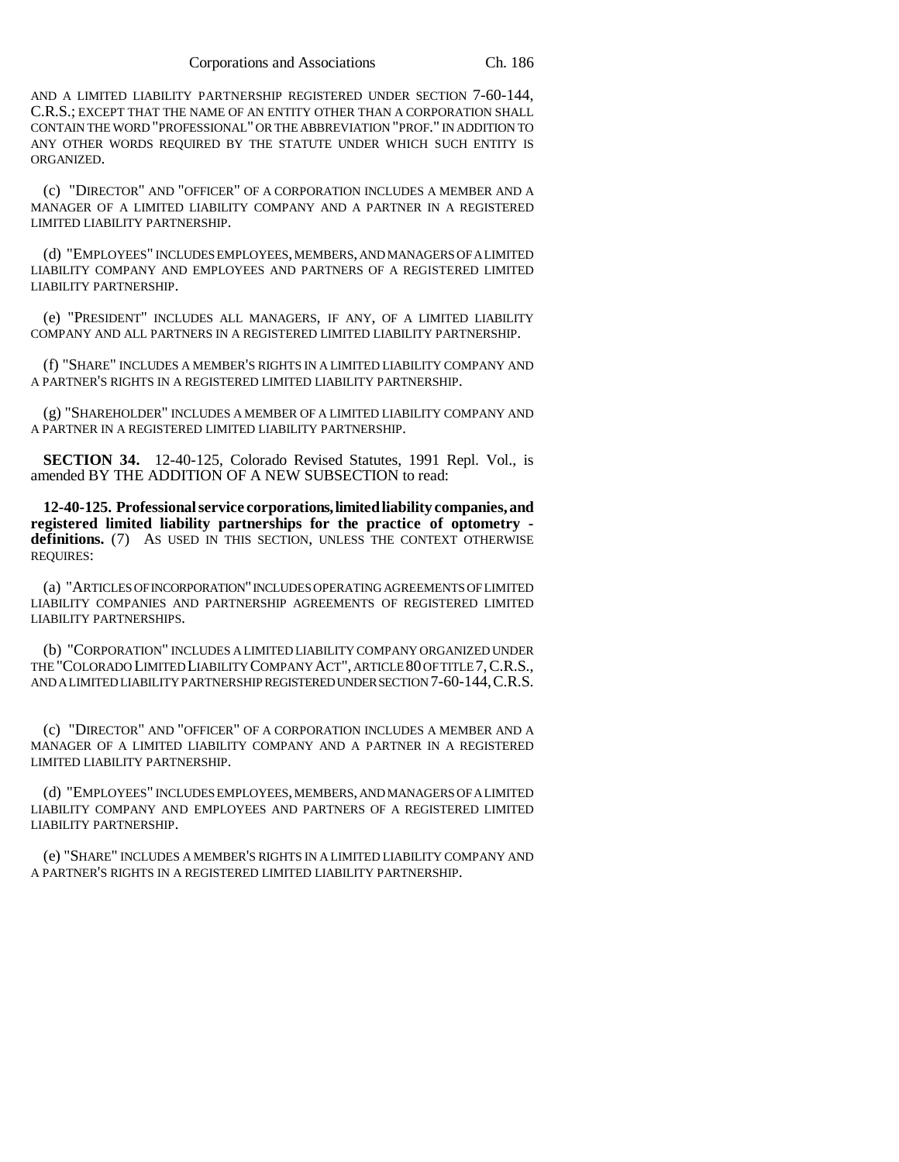AND A LIMITED LIABILITY PARTNERSHIP REGISTERED UNDER SECTION 7-60-144, C.R.S.; EXCEPT THAT THE NAME OF AN ENTITY OTHER THAN A CORPORATION SHALL CONTAIN THE WORD "PROFESSIONAL" OR THE ABBREVIATION "PROF." IN ADDITION TO ANY OTHER WORDS REQUIRED BY THE STATUTE UNDER WHICH SUCH ENTITY IS ORGANIZED.

(c) "DIRECTOR" AND "OFFICER" OF A CORPORATION INCLUDES A MEMBER AND A MANAGER OF A LIMITED LIABILITY COMPANY AND A PARTNER IN A REGISTERED LIMITED LIABILITY PARTNERSHIP.

(d) "EMPLOYEES" INCLUDES EMPLOYEES, MEMBERS, AND MANAGERS OF A LIMITED LIABILITY COMPANY AND EMPLOYEES AND PARTNERS OF A REGISTERED LIMITED LIABILITY PARTNERSHIP.

(e) "PRESIDENT" INCLUDES ALL MANAGERS, IF ANY, OF A LIMITED LIABILITY COMPANY AND ALL PARTNERS IN A REGISTERED LIMITED LIABILITY PARTNERSHIP.

(f) "SHARE" INCLUDES A MEMBER'S RIGHTS IN A LIMITED LIABILITY COMPANY AND A PARTNER'S RIGHTS IN A REGISTERED LIMITED LIABILITY PARTNERSHIP.

(g) "SHAREHOLDER" INCLUDES A MEMBER OF A LIMITED LIABILITY COMPANY AND A PARTNER IN A REGISTERED LIMITED LIABILITY PARTNERSHIP.

**SECTION 34.** 12-40-125, Colorado Revised Statutes, 1991 Repl. Vol., is amended BY THE ADDITION OF A NEW SUBSECTION to read:

**12-40-125. Professional service corporations, limited liability companies, and registered limited liability partnerships for the practice of optometry**  definitions. (7) AS USED IN THIS SECTION, UNLESS THE CONTEXT OTHERWISE REQUIRES:

(a) "ARTICLES OF INCORPORATION" INCLUDES OPERATING AGREEMENTS OF LIMITED LIABILITY COMPANIES AND PARTNERSHIP AGREEMENTS OF REGISTERED LIMITED LIABILITY PARTNERSHIPS.

(b) "CORPORATION" INCLUDES A LIMITED LIABILITY COMPANY ORGANIZED UNDER THE "COLORADO LIMITED LIABILITY COMPANY ACT", ARTICLE 80 OF TITLE 7, C.R.S., AND A LIMITED LIABILITY PARTNERSHIP REGISTERED UNDER SECTION 7-60-144,C.R.S.

(c) "DIRECTOR" AND "OFFICER" OF A CORPORATION INCLUDES A MEMBER AND A MANAGER OF A LIMITED LIABILITY COMPANY AND A PARTNER IN A REGISTERED LIMITED LIABILITY PARTNERSHIP.

(d) "EMPLOYEES" INCLUDES EMPLOYEES, MEMBERS, AND MANAGERS OF A LIMITED LIABILITY COMPANY AND EMPLOYEES AND PARTNERS OF A REGISTERED LIMITED LIABILITY PARTNERSHIP.

(e) "SHARE" INCLUDES A MEMBER'S RIGHTS IN A LIMITED LIABILITY COMPANY AND A PARTNER'S RIGHTS IN A REGISTERED LIMITED LIABILITY PARTNERSHIP.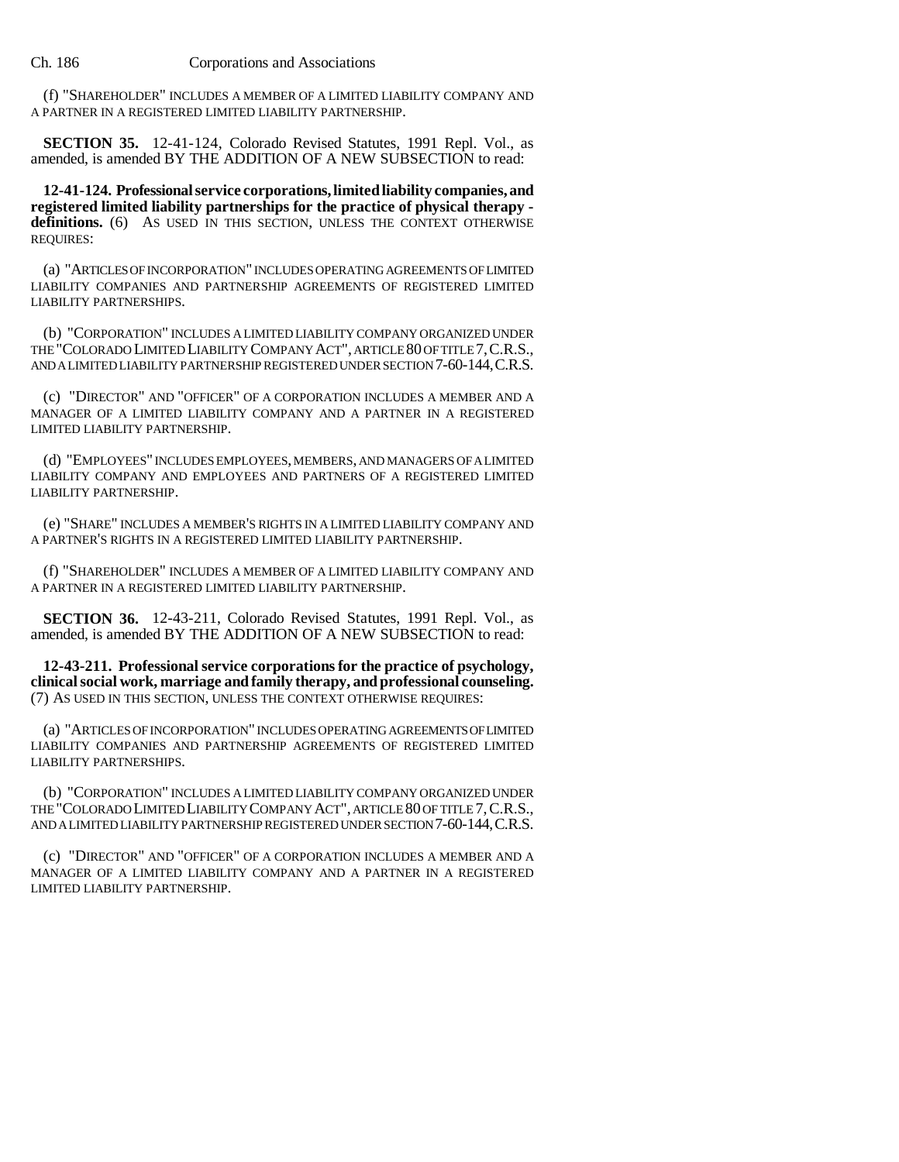(f) "SHAREHOLDER" INCLUDES A MEMBER OF A LIMITED LIABILITY COMPANY AND A PARTNER IN A REGISTERED LIMITED LIABILITY PARTNERSHIP.

**SECTION 35.** 12-41-124, Colorado Revised Statutes, 1991 Repl. Vol., as amended, is amended BY THE ADDITION OF A NEW SUBSECTION to read:

**12-41-124. Professional service corporations, limited liability companies, and registered limited liability partnerships for the practice of physical therapy**  definitions. (6) As USED IN THIS SECTION, UNLESS THE CONTEXT OTHERWISE REQUIRES:

(a) "ARTICLES OF INCORPORATION" INCLUDES OPERATING AGREEMENTS OF LIMITED LIABILITY COMPANIES AND PARTNERSHIP AGREEMENTS OF REGISTERED LIMITED LIABILITY PARTNERSHIPS.

(b) "CORPORATION" INCLUDES A LIMITED LIABILITY COMPANY ORGANIZED UNDER THE "COLORADO LIMITED LIABILITY COMPANY ACT", ARTICLE 80 OF TITLE 7, C.R.S., AND A LIMITED LIABILITY PARTNERSHIP REGISTERED UNDER SECTION 7-60-144,C.R.S.

(c) "DIRECTOR" AND "OFFICER" OF A CORPORATION INCLUDES A MEMBER AND A MANAGER OF A LIMITED LIABILITY COMPANY AND A PARTNER IN A REGISTERED LIMITED LIABILITY PARTNERSHIP.

(d) "EMPLOYEES" INCLUDES EMPLOYEES, MEMBERS, AND MANAGERS OF A LIMITED LIABILITY COMPANY AND EMPLOYEES AND PARTNERS OF A REGISTERED LIMITED LIABILITY PARTNERSHIP.

(e) "SHARE" INCLUDES A MEMBER'S RIGHTS IN A LIMITED LIABILITY COMPANY AND A PARTNER'S RIGHTS IN A REGISTERED LIMITED LIABILITY PARTNERSHIP.

(f) "SHAREHOLDER" INCLUDES A MEMBER OF A LIMITED LIABILITY COMPANY AND A PARTNER IN A REGISTERED LIMITED LIABILITY PARTNERSHIP.

**SECTION 36.** 12-43-211, Colorado Revised Statutes, 1991 Repl. Vol., as amended, is amended BY THE ADDITION OF A NEW SUBSECTION to read:

**12-43-211. Professional service corporations for the practice of psychology, clinical social work, marriage and family therapy, and professional counseling.** (7) AS USED IN THIS SECTION, UNLESS THE CONTEXT OTHERWISE REQUIRES:

(a) "ARTICLES OF INCORPORATION" INCLUDES OPERATING AGREEMENTS OF LIMITED LIABILITY COMPANIES AND PARTNERSHIP AGREEMENTS OF REGISTERED LIMITED LIABILITY PARTNERSHIPS.

(b) "CORPORATION" INCLUDES A LIMITED LIABILITY COMPANY ORGANIZED UNDER THE "COLORADO LIMITED LIABILITY COMPANY ACT", ARTICLE 80 OF TITLE 7,C.R.S., AND A LIMITED LIABILITY PARTNERSHIP REGISTERED UNDER SECTION 7-60-144,C.R.S.

(c) "DIRECTOR" AND "OFFICER" OF A CORPORATION INCLUDES A MEMBER AND A MANAGER OF A LIMITED LIABILITY COMPANY AND A PARTNER IN A REGISTERED LIMITED LIABILITY PARTNERSHIP.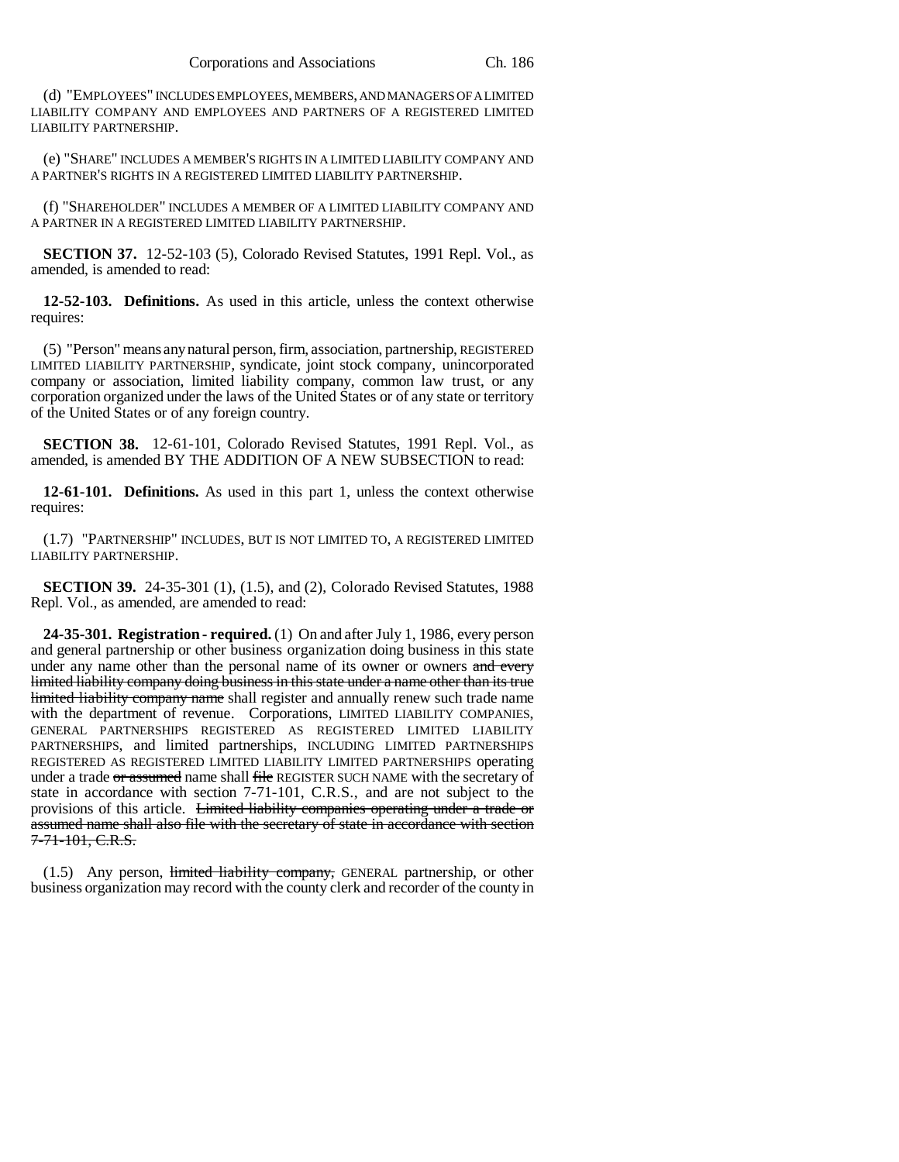(d) "EMPLOYEES" INCLUDES EMPLOYEES, MEMBERS, AND MANAGERS OF A LIMITED LIABILITY COMPANY AND EMPLOYEES AND PARTNERS OF A REGISTERED LIMITED LIABILITY PARTNERSHIP.

(e) "SHARE" INCLUDES A MEMBER'S RIGHTS IN A LIMITED LIABILITY COMPANY AND A PARTNER'S RIGHTS IN A REGISTERED LIMITED LIABILITY PARTNERSHIP.

(f) "SHAREHOLDER" INCLUDES A MEMBER OF A LIMITED LIABILITY COMPANY AND A PARTNER IN A REGISTERED LIMITED LIABILITY PARTNERSHIP.

**SECTION 37.** 12-52-103 (5), Colorado Revised Statutes, 1991 Repl. Vol., as amended, is amended to read:

**12-52-103. Definitions.** As used in this article, unless the context otherwise requires:

(5) "Person" means any natural person, firm, association, partnership, REGISTERED LIMITED LIABILITY PARTNERSHIP, syndicate, joint stock company, unincorporated company or association, limited liability company, common law trust, or any corporation organized under the laws of the United States or of any state or territory of the United States or of any foreign country.

**SECTION 38.** 12-61-101, Colorado Revised Statutes, 1991 Repl. Vol., as amended, is amended BY THE ADDITION OF A NEW SUBSECTION to read:

**12-61-101. Definitions.** As used in this part 1, unless the context otherwise requires:

(1.7) "PARTNERSHIP" INCLUDES, BUT IS NOT LIMITED TO, A REGISTERED LIMITED LIABILITY PARTNERSHIP.

**SECTION 39.** 24-35-301 (1), (1.5), and (2), Colorado Revised Statutes, 1988 Repl. Vol., as amended, are amended to read:

**24-35-301. Registration - required.** (1) On and after July 1, 1986, every person and general partnership or other business organization doing business in this state under any name other than the personal name of its owner or owners and every limited liability company doing business in this state under a name other than its true limited liability company name shall register and annually renew such trade name with the department of revenue. Corporations, LIMITED LIABILITY COMPANIES, GENERAL PARTNERSHIPS REGISTERED AS REGISTERED LIMITED LIABILITY PARTNERSHIPS, and limited partnerships, INCLUDING LIMITED PARTNERSHIPS REGISTERED AS REGISTERED LIMITED LIABILITY LIMITED PARTNERSHIPS operating under a trade or assumed name shall file REGISTER SUCH NAME with the secretary of state in accordance with section 7-71-101, C.R.S., and are not subject to the provisions of this article. Limited liability companies operating under a trade or assumed name shall also file with the secretary of state in accordance with section 7-71-101, C.R.S.

(1.5) Any person, limited liability company, GENERAL partnership, or other business organization may record with the county clerk and recorder of the county in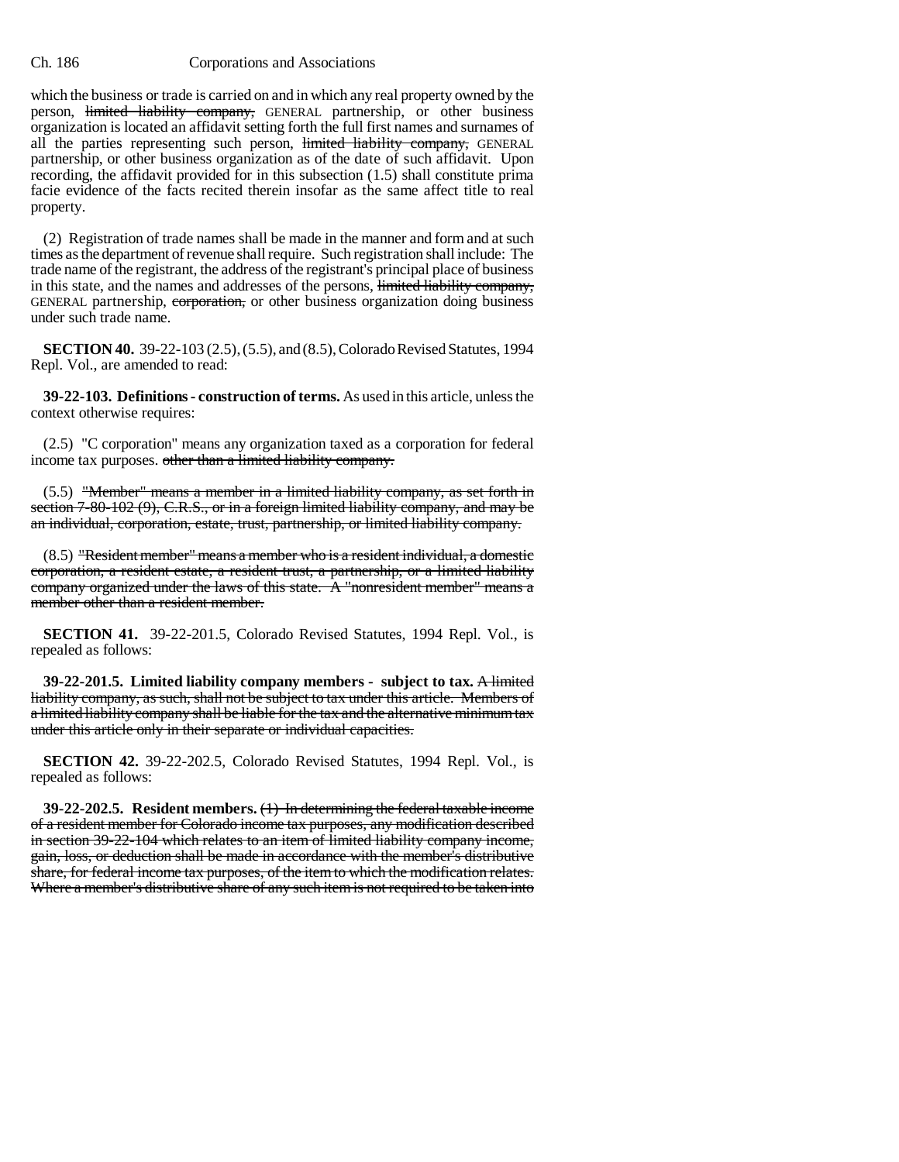which the business or trade is carried on and in which any real property owned by the person, limited liability company, GENERAL partnership, or other business organization is located an affidavit setting forth the full first names and surnames of all the parties representing such person, limited liability company, GENERAL partnership, or other business organization as of the date of such affidavit. Upon recording, the affidavit provided for in this subsection (1.5) shall constitute prima facie evidence of the facts recited therein insofar as the same affect title to real property.

(2) Registration of trade names shall be made in the manner and form and at such times as the department of revenue shall require. Such registration shall include: The trade name of the registrant, the address of the registrant's principal place of business in this state, and the names and addresses of the persons, limited liability company, GENERAL partnership, corporation, or other business organization doing business under such trade name.

**SECTION 40.** 39-22-103 (2.5), (5.5), and (8.5), Colorado Revised Statutes, 1994 Repl. Vol., are amended to read:

**39-22-103. Definitions - construction of terms.** As used in this article, unless the context otherwise requires:

(2.5) "C corporation" means any organization taxed as a corporation for federal income tax purposes. other than a limited liability company.

(5.5) "Member" means a member in a limited liability company, as set forth in section 7-80-102 (9), C.R.S., or in a foreign limited liability company, and may be an individual, corporation, estate, trust, partnership, or limited liability company.

(8.5) "Resident member" means a member who is a resident individual, a domestic corporation, a resident estate, a resident trust, a partnership, or a limited liability company organized under the laws of this state. A "nonresident member" means a member other than a resident member.

**SECTION 41.** 39-22-201.5, Colorado Revised Statutes, 1994 Repl. Vol., is repealed as follows:

**39-22-201.5. Limited liability company members - subject to tax.** A limited liability company, as such, shall not be subject to tax under this article. Members of a limited liability company shall be liable for the tax and the alternative minimum tax under this article only in their separate or individual capacities.

**SECTION 42.** 39-22-202.5, Colorado Revised Statutes, 1994 Repl. Vol., is repealed as follows:

**39-22-202.5. Resident members.** (1) In determining the federal taxable income of a resident member for Colorado income tax purposes, any modification described in section 39-22-104 which relates to an item of limited liability company income, gain, loss, or deduction shall be made in accordance with the member's distributive share, for federal income tax purposes, of the item to which the modification relates. Where a member's distributive share of any such item is not required to be taken into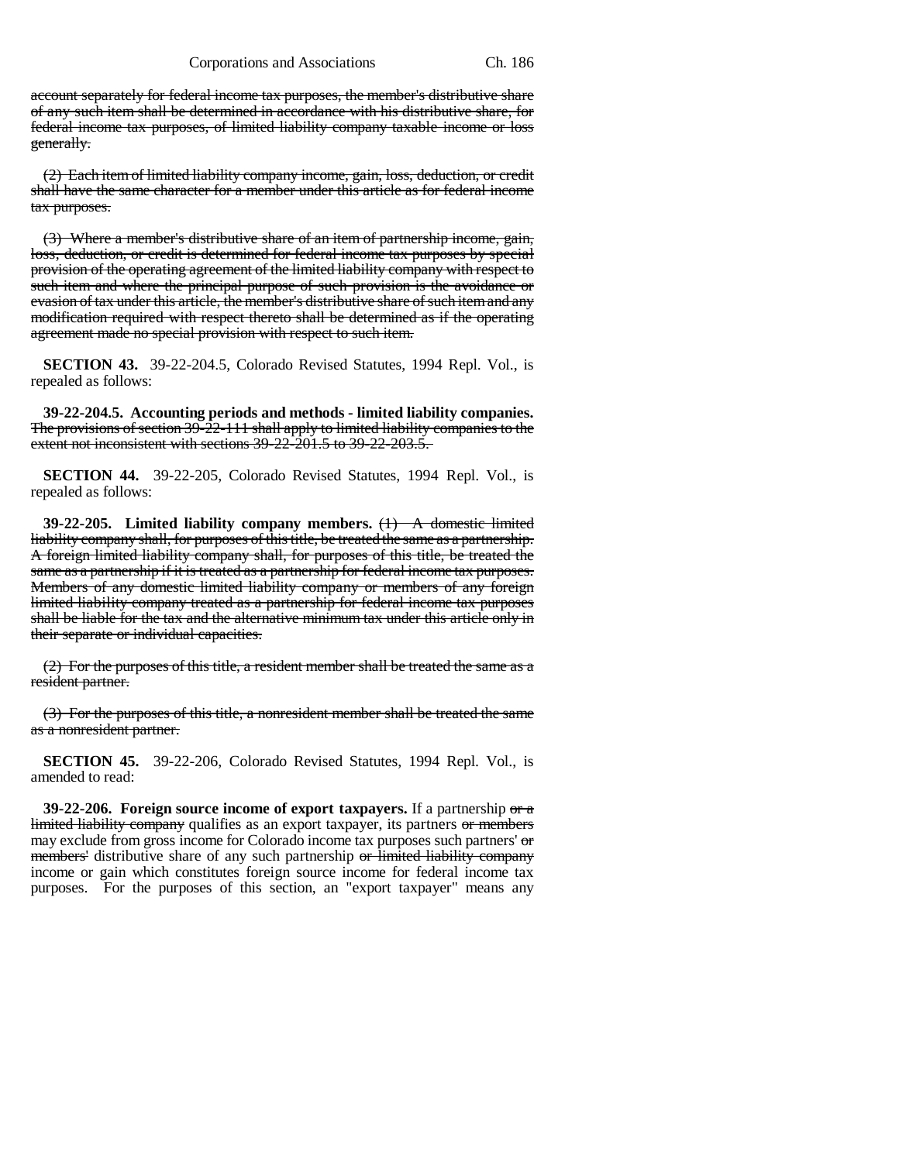account separately for federal income tax purposes, the member's distributive share of any such item shall be determined in accordance with his distributive share, for federal income tax purposes, of limited liability company taxable income or loss generally.

(2) Each item of limited liability company income, gain, loss, deduction, or credit shall have the same character for a member under this article as for federal income tax purposes.

(3) Where a member's distributive share of an item of partnership income, gain, loss, deduction, or credit is determined for federal income tax purposes by special provision of the operating agreement of the limited liability company with respect to such item and where the principal purpose of such provision is the avoidance or evasion of tax under this article, the member's distributive share of such item and any modification required with respect thereto shall be determined as if the operating agreement made no special provision with respect to such item.

**SECTION 43.** 39-22-204.5, Colorado Revised Statutes, 1994 Repl. Vol., is repealed as follows:

**39-22-204.5. Accounting periods and methods - limited liability companies.** The provisions of section 39-22-111 shall apply to limited liability companies to the extent not inconsistent with sections 39-22-201.5 to 39-22-203.5.

**SECTION 44.** 39-22-205, Colorado Revised Statutes, 1994 Repl. Vol., is repealed as follows:

**39-22-205. Limited liability company members.** (1) A domestic limited liability company shall, for purposes of this title, be treated the same as a partnership. A foreign limited liability company shall, for purposes of this title, be treated the same as a partnership if it is treated as a partnership for federal income tax purposes. Members of any domestic limited liability company or members of any foreign limited liability company treated as a partnership for federal income tax purposes shall be liable for the tax and the alternative minimum tax under this article only in their separate or individual capacities.

(2) For the purposes of this title, a resident member shall be treated the same as a resident partner.

(3) For the purposes of this title, a nonresident member shall be treated the same as a nonresident partner.

**SECTION 45.** 39-22-206, Colorado Revised Statutes, 1994 Repl. Vol., is amended to read:

**39-22-206. Foreign source income of export taxpayers.** If a partnership or a limited liability company qualifies as an export taxpayer, its partners or members may exclude from gross income for Colorado income tax purposes such partners' or members' distributive share of any such partnership or limited liability company income or gain which constitutes foreign source income for federal income tax purposes. For the purposes of this section, an "export taxpayer" means any